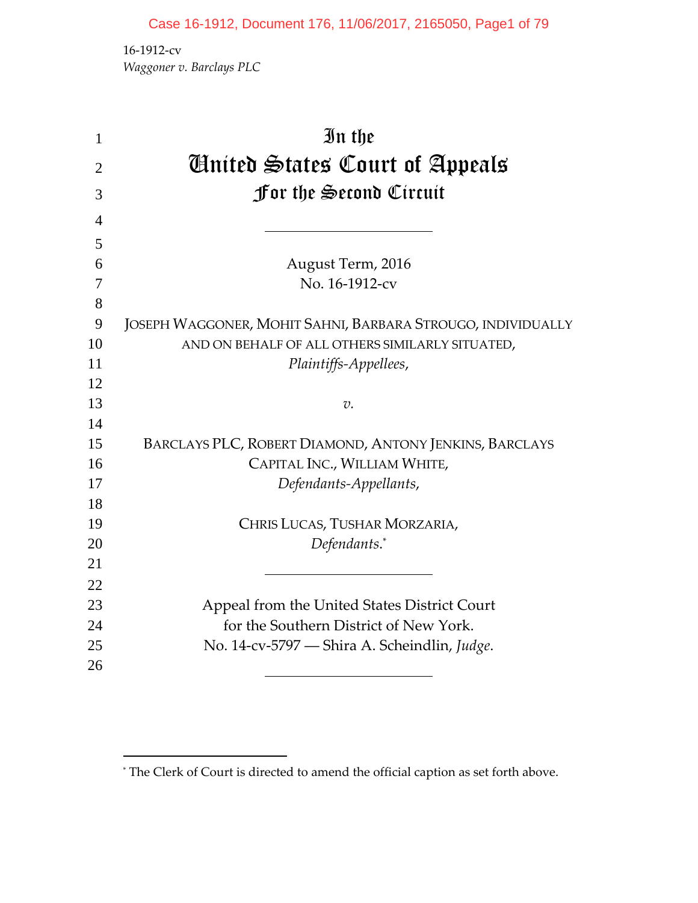‐1912‐cv *Waggoner v. Barclays PLC*

| $\mathbf{1}$   | In the                                                      |
|----------------|-------------------------------------------------------------|
| $\overline{2}$ | Ginited States Court of Appeals                             |
| 3              | For the Second Circuit                                      |
|                |                                                             |
| $\overline{4}$ |                                                             |
| 5              |                                                             |
| 6              | August Term, 2016                                           |
| 7              | No. 16-1912-cv                                              |
| 8              |                                                             |
| 9              | JOSEPH WAGGONER, MOHIT SAHNI, BARBARA STROUGO, INDIVIDUALLY |
| 10             | AND ON BEHALF OF ALL OTHERS SIMILARLY SITUATED,             |
| 11             | Plaintiffs-Appellees,                                       |
| 12             |                                                             |
| 13             | $v$ .                                                       |
| 14             |                                                             |
| 15             | BARCLAYS PLC, ROBERT DIAMOND, ANTONY JENKINS, BARCLAYS      |
| 16             | CAPITAL INC., WILLIAM WHITE,                                |
| 17             | Defendants-Appellants,                                      |
| 18             |                                                             |
| 19             | CHRIS LUCAS, TUSHAR MORZARIA,                               |
| 20             | Defendants.*                                                |
| 21             |                                                             |
| 22             |                                                             |
| 23             | Appeal from the United States District Court                |
| 24             | for the Southern District of New York.                      |
| 25             | No. 14-cv-5797 - Shira A. Scheindlin, Judge.                |
| 26             |                                                             |
|                |                                                             |

<sup>\*</sup> The Clerk of Court is directed to amend the official caption as set forth above.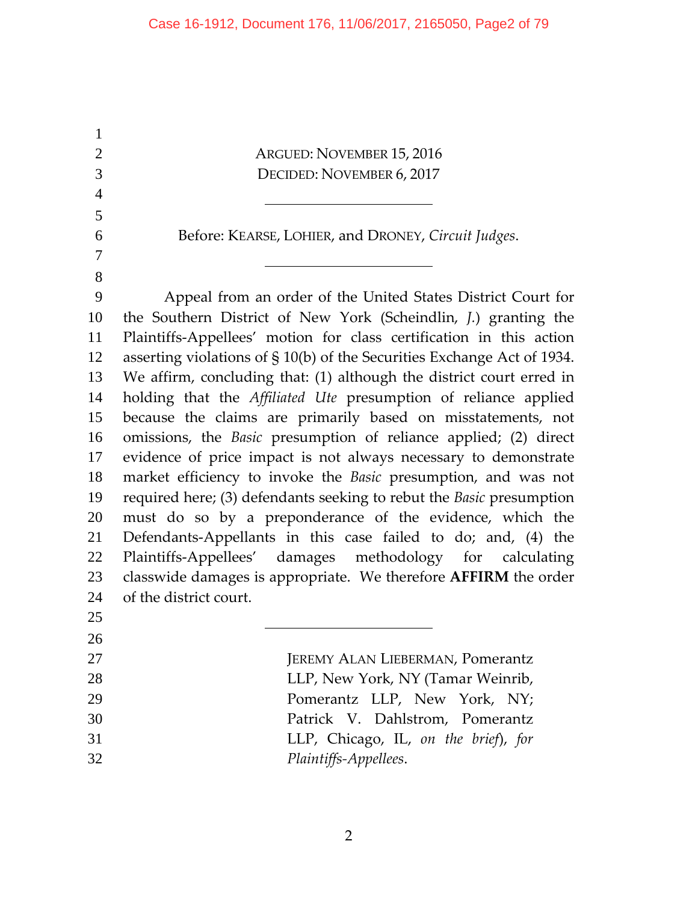ARGUED: NOVEMBER 15, 2016 DECIDED: NOVEMBER 6, 2017 Before: KEARSE, LOHIER, and DRONEY, *Circuit Judges*. Appeal from an order of the United States District Court for the Southern District of New York (Scheindlin, *J.*) granting the Plaintiffs‐Appellees' motion for class certification in this action asserting violations of § 10(b) of the Securities Exchange Act of 1934. We affirm, concluding that: (1) although the district court erred in holding that the *Affiliated Ute* presumption of reliance applied because the claims are primarily based on misstatements, not omissions, the *Basic* presumption of reliance applied; (2) direct evidence of price impact is not always necessary to demonstrate market efficiency to invoke the *Basic* presumption, and was not required here; (3) defendants seeking to rebut the *Basic* presumption must do so by a preponderance of the evidence, which the Defendants‐Appellants in this case failed to do; and, (4) the 22 Plaintiffs-Appellees' damages methodology for calculating classwide damages is appropriate. We therefore **AFFIRM** the order of the district court. **JEREMY ALAN LIEBERMAN, Pomerantz** 28 LLP, New York, NY (Tamar Weinrib, Pomerantz LLP, New York, NY; Patrick V. Dahlstrom, Pomerantz LLP, Chicago, IL, *on the brief*), *for Plaintiffs‐Appellees*.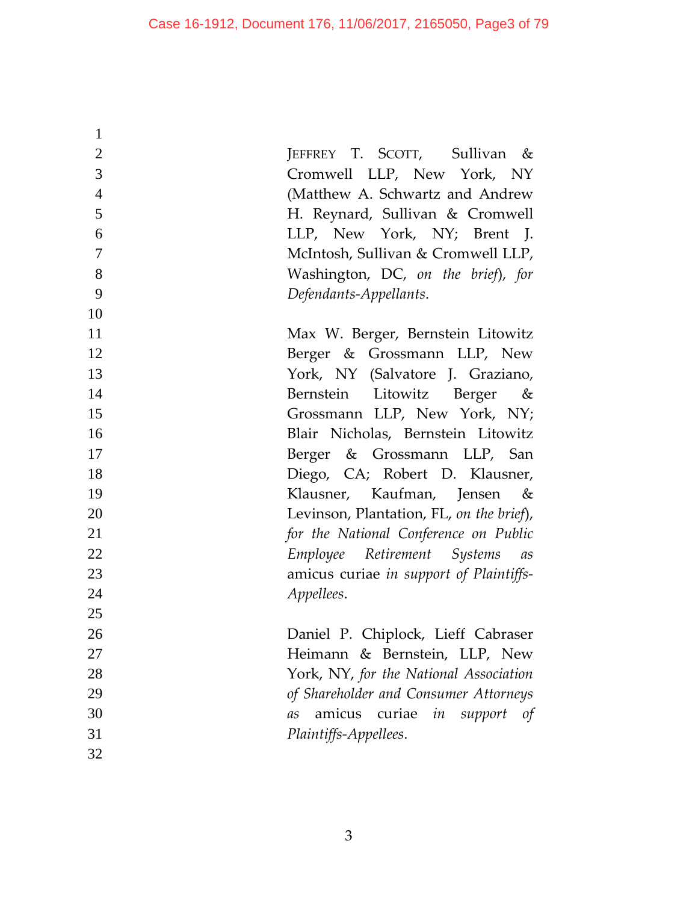| $\mathbf{1}$   |                                          |
|----------------|------------------------------------------|
| $\overline{2}$ | JEFFREY T. SCOTT, Sullivan &             |
| $\overline{3}$ | Cromwell LLP, New York, NY               |
| $\overline{4}$ | (Matthew A. Schwartz and Andrew          |
| 5              | H. Reynard, Sullivan & Cromwell          |
| 6              | LLP, New York, NY; Brent J.              |
| $\overline{7}$ | McIntosh, Sullivan & Cromwell LLP,       |
| 8              | Washington, DC, on the brief), for       |
| 9              | Defendants-Appellants.                   |
| 10             |                                          |
| 11             | Max W. Berger, Bernstein Litowitz        |
| 12             | Berger & Grossmann LLP, New              |
| 13             | York, NY (Salvatore J. Graziano,         |
| 14             | Bernstein Litowitz Berger &              |
| 15             | Grossmann LLP, New York, NY;             |
| 16             | Blair Nicholas, Bernstein Litowitz       |
| 17             | Berger & Grossmann LLP, San              |
| 18             | Diego, CA; Robert D. Klausner,           |
| 19             | Klausner, Kaufman, Jensen &              |
| 20             | Levinson, Plantation, FL, on the brief), |
| 21             | for the National Conference on Public    |
| 22             | Employee Retirement Systems as           |
| 23             | amicus curiae in support of Plaintiffs-  |
| 24             | Appellees.                               |
| 25             |                                          |
| 26             | Daniel P. Chiplock, Lieff Cabraser       |
| 27             | Heimann & Bernstein, LLP, New            |
| 28             | York, NY, for the National Association   |
| 29             | of Shareholder and Consumer Attorneys    |
| 30             | amicus<br>curiae in<br>support of<br>as  |
| 31             | Plaintiffs-Appellees.                    |
| 32             |                                          |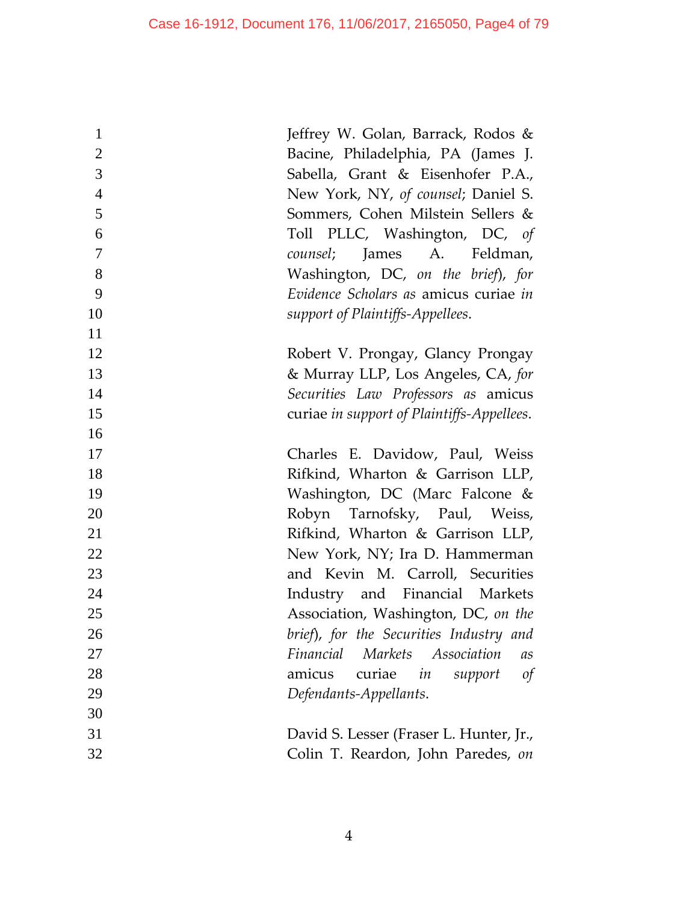| $\mathbf{1}$   | Jeffrey W. Golan, Barrack, Rodos &                 |
|----------------|----------------------------------------------------|
| $\overline{2}$ | Bacine, Philadelphia, PA (James J.                 |
| 3              | Sabella, Grant & Eisenhofer P.A.,                  |
| $\overline{4}$ | New York, NY, of counsel; Daniel S.                |
| 5              | Sommers, Cohen Milstein Sellers &                  |
| 6              | Toll PLLC, Washington, DC, of                      |
| $\overline{7}$ | counsel; James A. Feldman,                         |
| 8              | Washington, DC, on the brief), for                 |
| 9              | Evidence Scholars as amicus curiae in              |
| 10             | support of Plaintiffs-Appellees.                   |
| 11             |                                                    |
| 12             | Robert V. Prongay, Glancy Prongay                  |
| 13             | & Murray LLP, Los Angeles, CA, for                 |
| 14             | Securities Law Professors as amicus                |
| 15             | curiae in support of Plaintiffs-Appellees.         |
| 16             |                                                    |
| 17             | Charles E. Davidow, Paul, Weiss                    |
| 18             | Rifkind, Wharton & Garrison LLP,                   |
| 19             | Washington, DC (Marc Falcone &                     |
| 20             | Robyn Tarnofsky, Paul, Weiss,                      |
| 21             | Rifkind, Wharton & Garrison LLP,                   |
| 22             | New York, NY; Ira D. Hammerman                     |
| 23             | and Kevin M. Carroll, Securities                   |
| 24             | Industry and Financial Markets                     |
| 25             | Association, Washington, DC, on the                |
| 26             | brief), for the Securities Industry and            |
| 27             | Financial<br>Markets Association<br>a <sub>S</sub> |
| 28             | curiae<br>amicus<br>in<br>support<br>$\sigma f$    |
| 29             | Defendants-Appellants.                             |
| 30             |                                                    |
| 31             | David S. Lesser (Fraser L. Hunter, Jr.,            |
| 32             | Colin T. Reardon, John Paredes, on                 |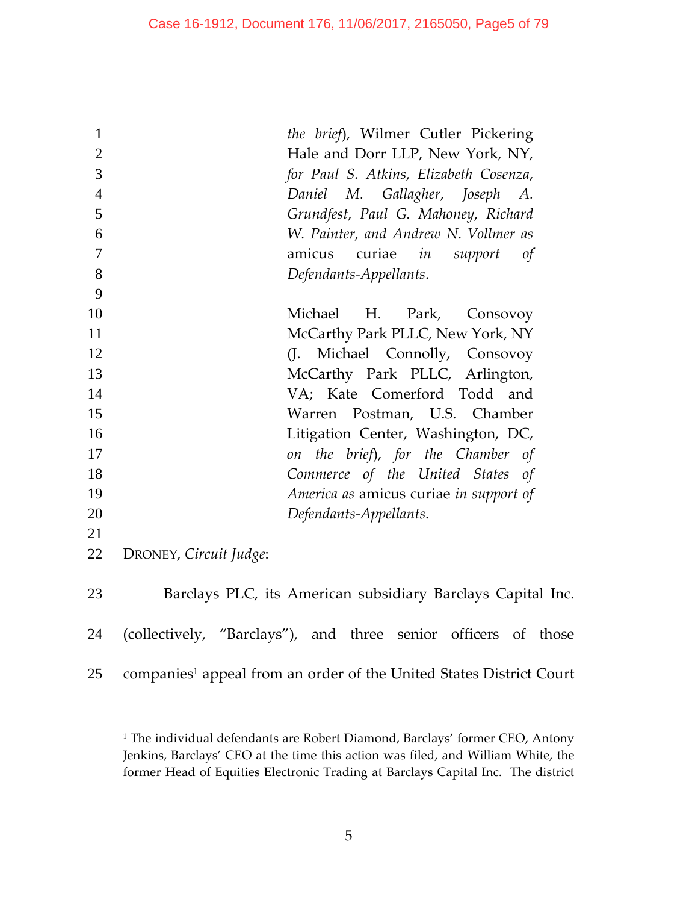| $\mathbf{1}$   | the brief), Wilmer Cutler Pickering                                             |
|----------------|---------------------------------------------------------------------------------|
| $\overline{2}$ | Hale and Dorr LLP, New York, NY,                                                |
| 3              | for Paul S. Atkins, Elizabeth Cosenza,                                          |
| $\overline{4}$ | Daniel M. Gallagher, Joseph<br>А.                                               |
| 5              | Grundfest, Paul G. Mahoney, Richard                                             |
| 6              | W. Painter, and Andrew N. Vollmer as                                            |
| 7              | amicus curiae in support<br>of                                                  |
| 8              | Defendants-Appellants.                                                          |
| 9              |                                                                                 |
| 10             | H. Park,<br>Michael<br>Consovoy                                                 |
| 11             | McCarthy Park PLLC, New York, NY                                                |
| 12             | Michael Connolly, Consovoy<br>(J.                                               |
| 13             | McCarthy Park PLLC, Arlington,                                                  |
| 14             | VA; Kate Comerford Todd and                                                     |
| 15             | Warren Postman, U.S. Chamber                                                    |
| 16             | Litigation Center, Washington, DC,                                              |
| 17             | on the brief), for the Chamber of                                               |
| 18             | Commerce of the United States of                                                |
| 19             | America as amicus curiae in support of                                          |
| 20             | Defendants-Appellants.                                                          |
| 21             |                                                                                 |
| 22             | DRONEY, Circuit Judge:                                                          |
| 23             | Barclays PLC, its American subsidiary Barclays Capital Inc.                     |
| 24             | (collectively, "Barclays"), and three senior officers of those                  |
| 25             | companies <sup>1</sup> appeal from an order of the United States District Court |

<sup>&</sup>lt;sup>1</sup> The individual defendants are Robert Diamond, Barclays' former CEO, Antony Jenkins, Barclays' CEO at the time this action was filed, and William White, the former Head of Equities Electronic Trading at Barclays Capital Inc. The district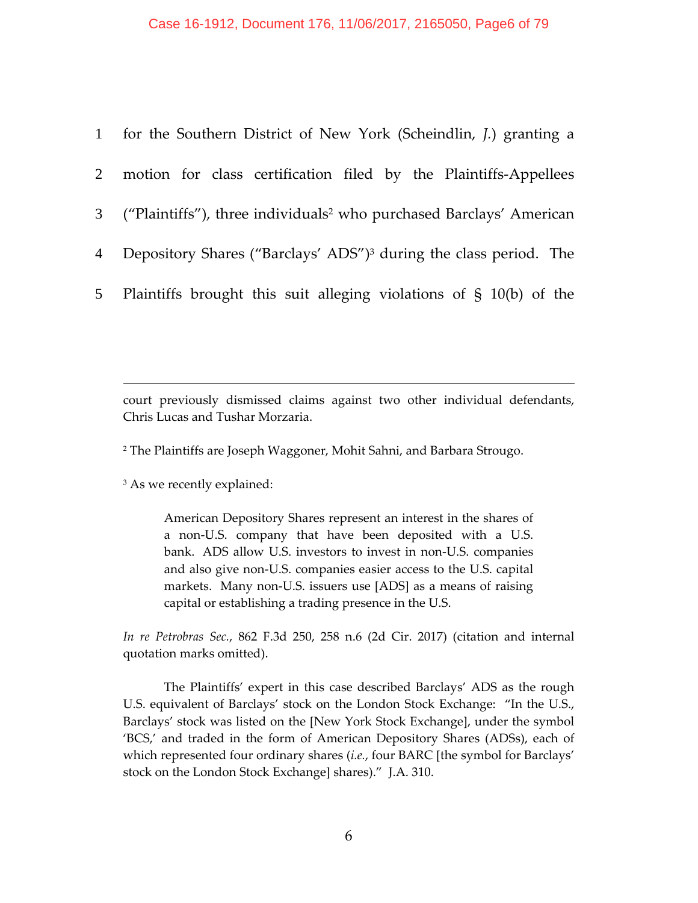|                 | 1 for the Southern District of New York (Scheindlin, J.) granting a               |
|-----------------|-----------------------------------------------------------------------------------|
|                 | 2 motion for class certification filed by the Plaintiffs-Appellees                |
|                 | 3 ("Plaintiffs"), three individuals <sup>2</sup> who purchased Barclays' American |
| $4\overline{ }$ | Depository Shares ("Barclays' ADS") <sup>3</sup> during the class period. The     |
|                 | 5 Plaintiffs brought this suit alleging violations of § 10(b) of the              |

court previously dismissed claims against two other individual defendants, Chris Lucas and Tushar Morzaria.

<sup>2</sup> The Plaintiffs are Joseph Waggoner, Mohit Sahni, and Barbara Strougo.

<sup>3</sup> As we recently explained:

 $\overline{a}$ 

American Depository Shares represent an interest in the shares of a non‐U.S. company that have been deposited with a U.S. bank. ADS allow U.S. investors to invest in non‐U.S. companies and also give non‐U.S. companies easier access to the U.S. capital markets. Many non-U.S. issuers use [ADS] as a means of raising capital or establishing a trading presence in the U.S.

*In re Petrobras Sec.*, 862 F.3d 250, 258 n.6 (2d Cir. 2017) (citation and internal quotation marks omitted).

The Plaintiffs' expert in this case described Barclays' ADS as the rough U.S. equivalent of Barclays' stock on the London Stock Exchange: "In the U.S., Barclays' stock was listed on the [New York Stock Exchange], under the symbol 'BCS,' and traded in the form of American Depository Shares (ADSs), each of which represented four ordinary shares (*i.e.*, four BARC [the symbol for Barclays' stock on the London Stock Exchange] shares)." J.A. 310.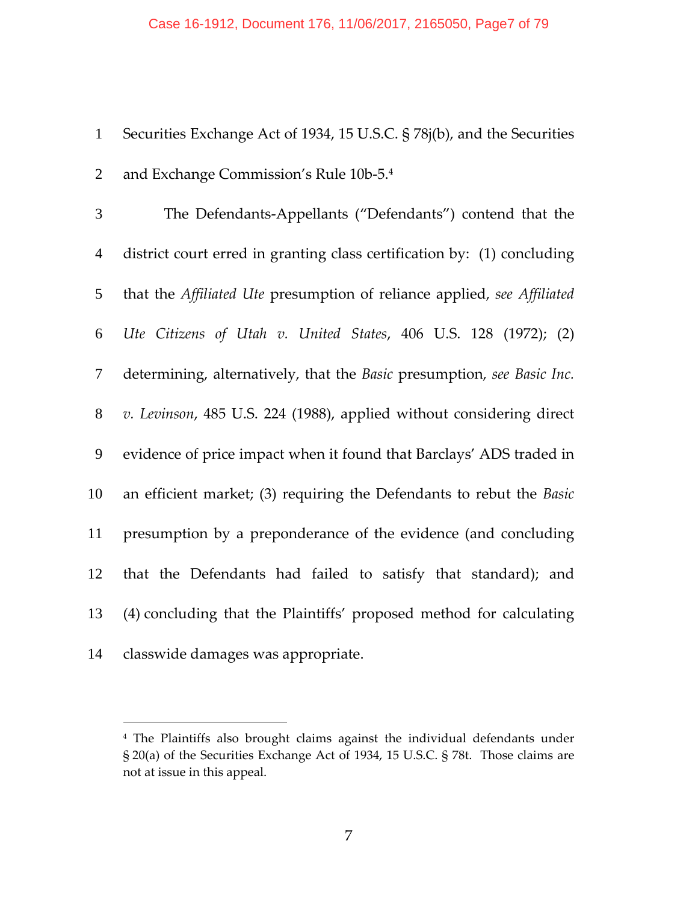| 1 Securities Exchange Act of 1934, 15 U.S.C. § 78j(b), and the Securities |
|---------------------------------------------------------------------------|
| 2 and Exchange Commission's Rule 10b-5.4                                  |

| $\overline{3}$ | The Defendants-Appellants ("Defendants") contend that the               |
|----------------|-------------------------------------------------------------------------|
| $\overline{4}$ | district court erred in granting class certification by: (1) concluding |
| 5              | that the Affiliated Ute presumption of reliance applied, see Affiliated |
| 6              | Ute Citizens of Utah v. United States, 406 U.S. 128 (1972); (2)         |
| $\overline{7}$ | determining, alternatively, that the Basic presumption, see Basic Inc.  |
| 8              | v. Levinson, 485 U.S. 224 (1988), applied without considering direct    |
| 9              | evidence of price impact when it found that Barclays' ADS traded in     |
| 10             | an efficient market; (3) requiring the Defendants to rebut the Basic    |
| 11             | presumption by a preponderance of the evidence (and concluding          |
| 12             | that the Defendants had failed to satisfy that standard); and           |
| 13             | (4) concluding that the Plaintiffs' proposed method for calculating     |
| 14             | classwide damages was appropriate.                                      |

 The Plaintiffs also brought claims against the individual defendants under § 20(a) of the Securities Exchange Act of 1934, 15 U.S.C. § 78t. Those claims are not at issue in this appeal.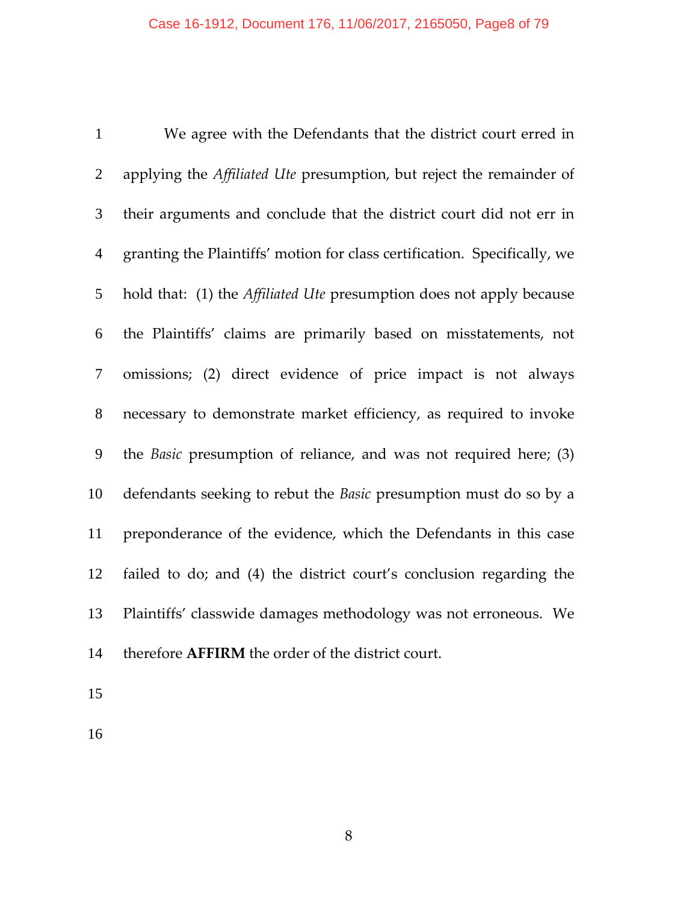We agree with the Defendants that the district court erred in applying the *Affiliated Ute* presumption, but reject the remainder of their arguments and conclude that the district court did not err in granting the Plaintiffs' motion for class certification. Specifically, we hold that: (1) the *Affiliated Ute* presumption does not apply because the Plaintiffs' claims are primarily based on misstatements, not omissions; (2) direct evidence of price impact is not always necessary to demonstrate market efficiency, as required to invoke the *Basic* presumption of reliance, and was not required here; (3) defendants seeking to rebut the *Basic* presumption must do so by a preponderance of the evidence, which the Defendants in this case failed to do; and (4) the district court's conclusion regarding the Plaintiffs' classwide damages methodology was not erroneous. We therefore **AFFIRM** the order of the district court.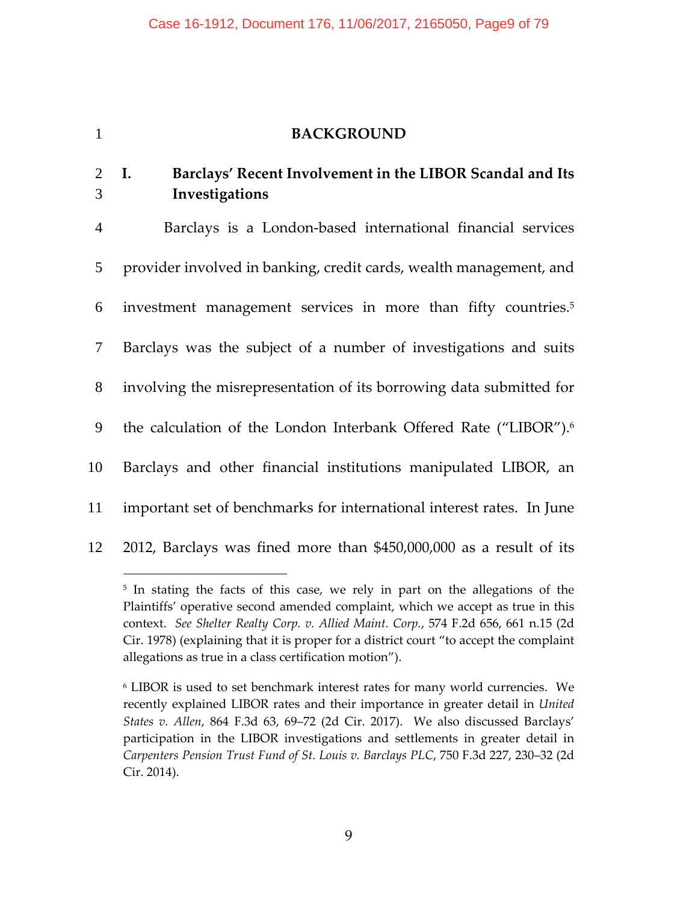## 1 **BACKGROUND**

## 2 **I. Barclays' Recent Involvement in the LIBOR Scandal and Its** 3 **Investigations**

Barclays is a London‐based international financial services provider involved in banking, credit cards, wealth management, and investment management services in more than fifty countries.5 6  Barclays was the subject of a number of investigations and suits involving the misrepresentation of its borrowing data submitted for 9 the calculation of the London Interbank Offered Rate ("LIBOR").<sup>6</sup> Barclays and other financial institutions manipulated LIBOR, an important set of benchmarks for international interest rates. In June 2012, Barclays was fined more than \$450,000,000 as a result of its

<sup>&</sup>lt;sup>5</sup> In stating the facts of this case, we rely in part on the allegations of the Plaintiffs' operative second amended complaint, which we accept as true in this context. *See Shelter Realty Corp. v. Allied Maint. Corp.*, 574 F.2d 656, 661 n.15 (2d Cir. 1978) (explaining that it is proper for a district court "to accept the complaint allegations as true in a class certification motion").

<sup>6</sup> LIBOR is used to set benchmark interest rates for many world currencies. We recently explained LIBOR rates and their importance in greater detail in *United States v. Allen*, 864 F.3d 63, 69–72 (2d Cir. 2017). We also discussed Barclays' participation in the LIBOR investigations and settlements in greater detail in *Carpenters Pension Trust Fund of St. Louis v. Barclays PLC*, 750 F.3d 227, 230–32 (2d Cir. 2014).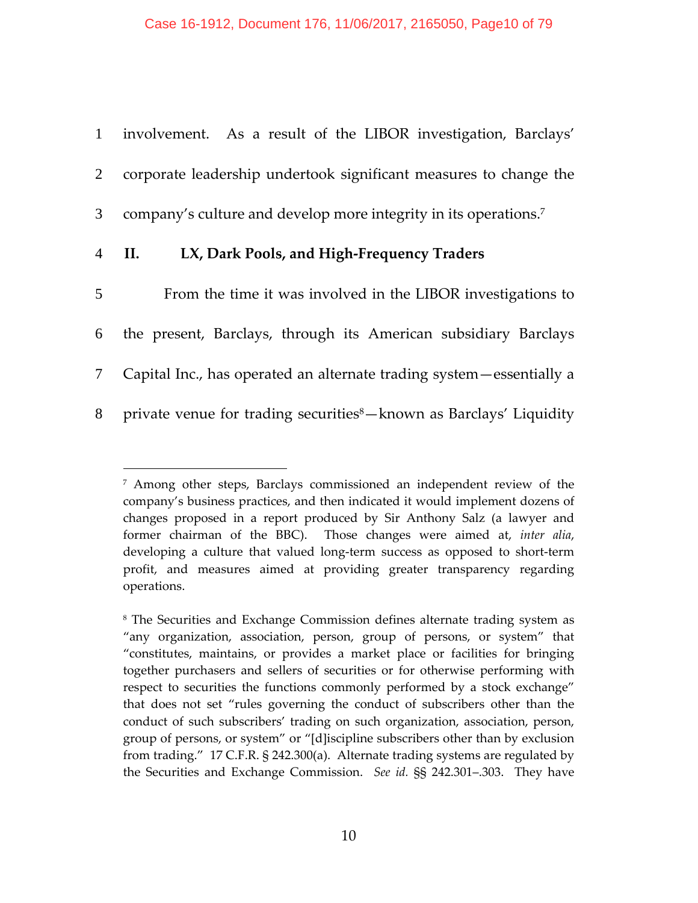|                | 1 involvement. As a result of the LIBOR investigation, Barclays'                |
|----------------|---------------------------------------------------------------------------------|
|                | 2 corporate leadership undertook significant measures to change the             |
|                | 3 company's culture and develop more integrity in its operations. <sup>7</sup>  |
|                | 4 II.<br>LX, Dark Pools, and High-Frequency Traders                             |
| 5 <sup>5</sup> | From the time it was involved in the LIBOR investigations to                    |
|                | 6 the present, Barclays, through its American subsidiary Barclays               |
|                | 7 Capital Inc., has operated an alternate trading system — essentially a        |
| 8              | private venue for trading securities <sup>8</sup> -known as Barclays' Liquidity |

<sup>7</sup> Among other steps, Barclays commissioned an independent review of the company's business practices, and then indicated it would implement dozens of changes proposed in a report produced by Sir Anthony Salz (a lawyer and former chairman of the BBC). Those changes were aimed at, *inter alia*, developing a culture that valued long-term success as opposed to short-term profit, and measures aimed at providing greater transparency regarding operations.

<sup>8</sup> The Securities and Exchange Commission defines alternate trading system as "any organization, association, person, group of persons, or system" that "constitutes, maintains, or provides a market place or facilities for bringing together purchasers and sellers of securities or for otherwise performing with respect to securities the functions commonly performed by a stock exchange" that does not set "rules governing the conduct of subscribers other than the conduct of such subscribers' trading on such organization, association, person, group of persons, or system" or "[d]iscipline subscribers other than by exclusion from trading." 17 C.F.R. § 242.300(a). Alternate trading systems are regulated by the Securities and Exchange Commission. *See id.* §§ 242.301–.303. They have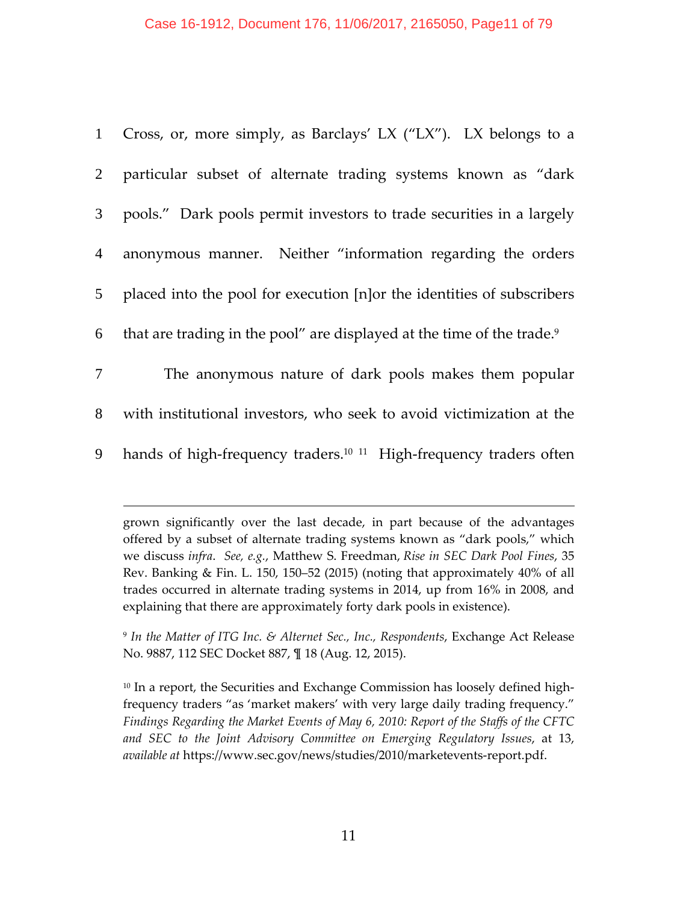### Case 16-1912, Document 176, 11/06/2017, 2165050, Page11 of 79

| 1              | Cross, or, more simply, as Barclays' LX ("LX"). LX belongs to a                    |
|----------------|------------------------------------------------------------------------------------|
| $2^{\circ}$    | particular subset of alternate trading systems known as "dark                      |
| 3 <sup>7</sup> | pools." Dark pools permit investors to trade securities in a largely               |
| $\overline{4}$ | anonymous manner. Neither "information regarding the orders"                       |
| 5 <sup>5</sup> | placed into the pool for execution [n]or the identities of subscribers             |
| 6              | that are trading in the pool" are displayed at the time of the trade. <sup>9</sup> |
| $\tau$         | The anonymous nature of dark pools makes them popular                              |
| 8              | with institutional investors, who seek to avoid victimization at the               |
| 9              | hands of high-frequency traders. <sup>10 11</sup> High-frequency traders often     |

grown significantly over the last decade, in part because of the advantages offered by a subset of alternate trading systems known as "dark pools," which we discuss *infra*. *See, e.g.*, Matthew S. Freedman, *Rise in SEC Dark Pool Fines*, 35 Rev. Banking & Fin. L. 150, 150–52 (2015) (noting that approximately 40% of all trades occurred in alternate trading systems in 2014, up from 16% in 2008, and explaining that there are approximately forty dark pools in existence).

 $\overline{a}$ 

<sup>9</sup> *In the Matter of ITG Inc. & Alternet Sec., Inc., Respondents*, Exchange Act Release No. 9887, 112 SEC Docket 887, ¶ 18 (Aug. 12, 2015).

<sup>10</sup> In a report, the Securities and Exchange Commission has loosely defined highfrequency traders "as 'market makers' with very large daily trading frequency." *Findings Regarding the Market Events of May 6, 2010: Report of the Staffs of the CFTC and SEC to the Joint Advisory Committee on Emerging Regulatory Issues*, at 13, *available at* https://www.sec.gov/news/studies/2010/marketevents‐report.pdf.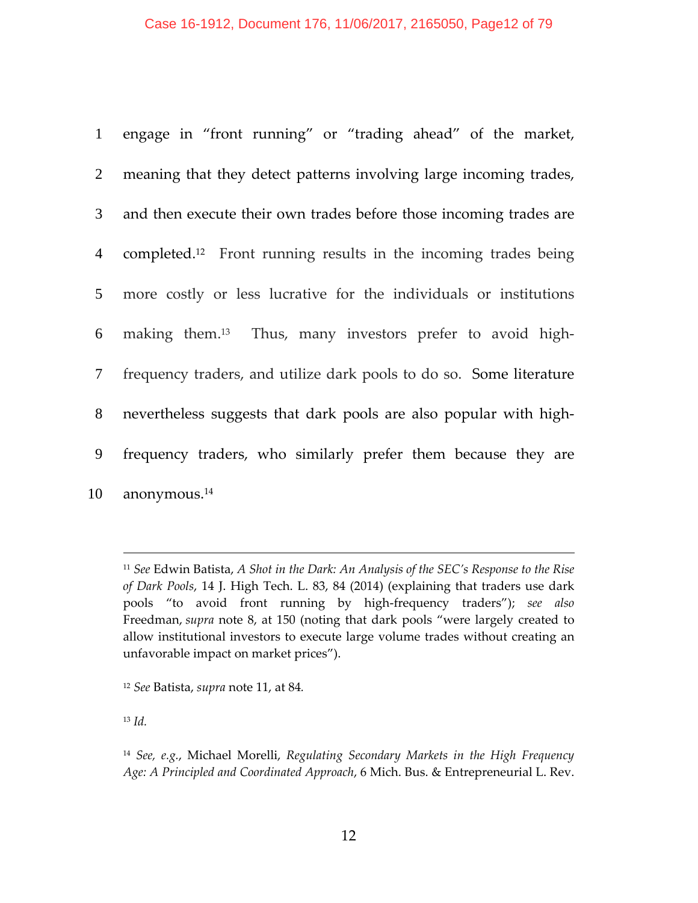|                 | 1 engage in "front running" or "trading ahead" of the market,               |
|-----------------|-----------------------------------------------------------------------------|
| $\overline{2}$  | meaning that they detect patterns involving large incoming trades,          |
| 3 <sup>7</sup>  | and then execute their own trades before those incoming trades are          |
| $4\overline{ }$ | completed. <sup>12</sup> Front running results in the incoming trades being |
| 5 <sup>5</sup>  | more costly or less lucrative for the individuals or institutions           |
| 6               | making them. <sup>13</sup> Thus, many investors prefer to avoid high-       |
| $7\degree$      | frequency traders, and utilize dark pools to do so. Some literature         |
| 8               | nevertheless suggests that dark pools are also popular with high-           |
| 9               | frequency traders, who similarly prefer them because they are               |
| 10              | anonymous. <sup>14</sup>                                                    |

 *See* Edwin Batista, *A Shot in the Dark: An Analysis of the SEC's Response to the Rise of Dark Pools*, 14 J. High Tech. L. 83, 84 (2014) (explaining that traders use dark pools "to avoid front running by high‐frequency traders"); *see also* Freedman, *supra* note 8, at 150 (noting that dark pools "were largely created to allow institutional investors to execute large volume trades without creating an unfavorable impact on market prices").

*Id.*

*See* Batista, *supra* note 11, at 84*.*

 *See, e.g.*, Michael Morelli, *Regulating Secondary Markets in the High Frequency Age: A Principled and Coordinated Approach*, 6 Mich. Bus. & Entrepreneurial L. Rev.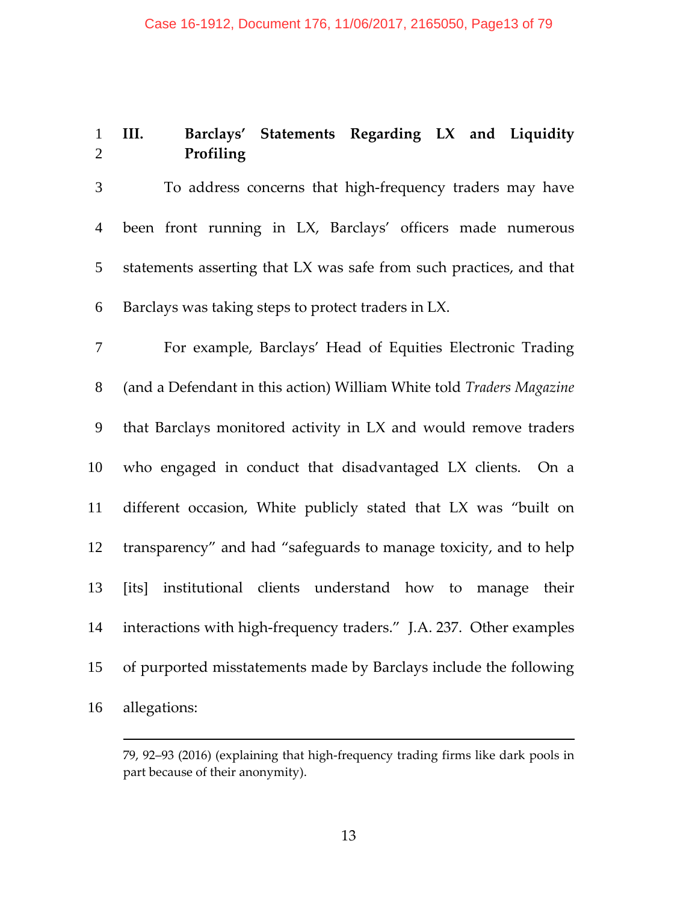# **III. Barclays' Statements Regarding LX and Liquidity Profiling**

To address concerns that high‐frequency traders may have been front running in LX, Barclays' officers made numerous statements asserting that LX was safe from such practices, and that Barclays was taking steps to protect traders in LX.

For example, Barclays' Head of Equities Electronic Trading (and a Defendant in this action) William White told *Traders Magazine* that Barclays monitored activity in LX and would remove traders who engaged in conduct that disadvantaged LX clients. On a different occasion, White publicly stated that LX was "built on transparency" and had "safeguards to manage toxicity, and to help [its] institutional clients understand how to manage their 14 interactions with high-frequency traders." J.A. 237. Other examples of purported misstatements made by Barclays include the following allegations:

<sup>79,</sup> 92–93 (2016) (explaining that high‐frequency trading firms like dark pools in part because of their anonymity).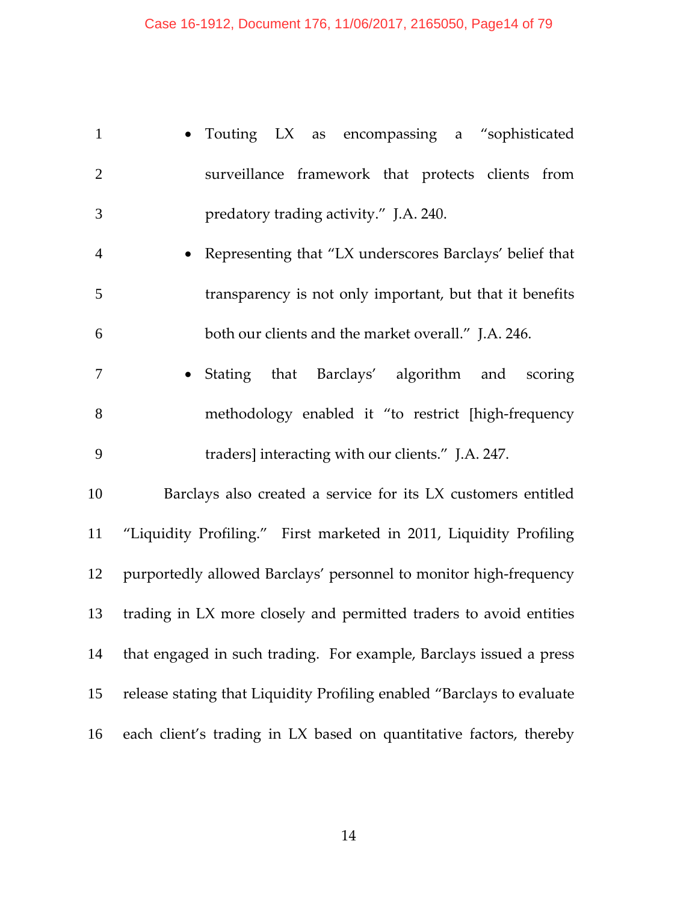| $\mathbf{1}$   | • Touting LX as encompassing a "sophisticated                          |
|----------------|------------------------------------------------------------------------|
| $\overline{2}$ | surveillance framework that protects clients from                      |
| 3              | predatory trading activity." J.A. 240.                                 |
| $\overline{4}$ | • Representing that "LX underscores Barclays' belief that              |
| 5              | transparency is not only important, but that it benefits               |
| 6              | both our clients and the market overall." J.A. 246.                    |
| 7              | • Stating that Barclays' algorithm and scoring                         |
| 8              | methodology enabled it "to restrict [high-frequency                    |
| 9              | traders] interacting with our clients." J.A. 247.                      |
| 10             | Barclays also created a service for its LX customers entitled          |
| 11             | "Liquidity Profiling." First marketed in 2011, Liquidity Profiling     |
| 12             | purportedly allowed Barclays' personnel to monitor high-frequency      |
| 13             | trading in LX more closely and permitted traders to avoid entities     |
| 14             | that engaged in such trading. For example, Barclays issued a press     |
| 15             | release stating that Liquidity Profiling enabled "Barclays to evaluate |
| 16             | each client's trading in LX based on quantitative factors, thereby     |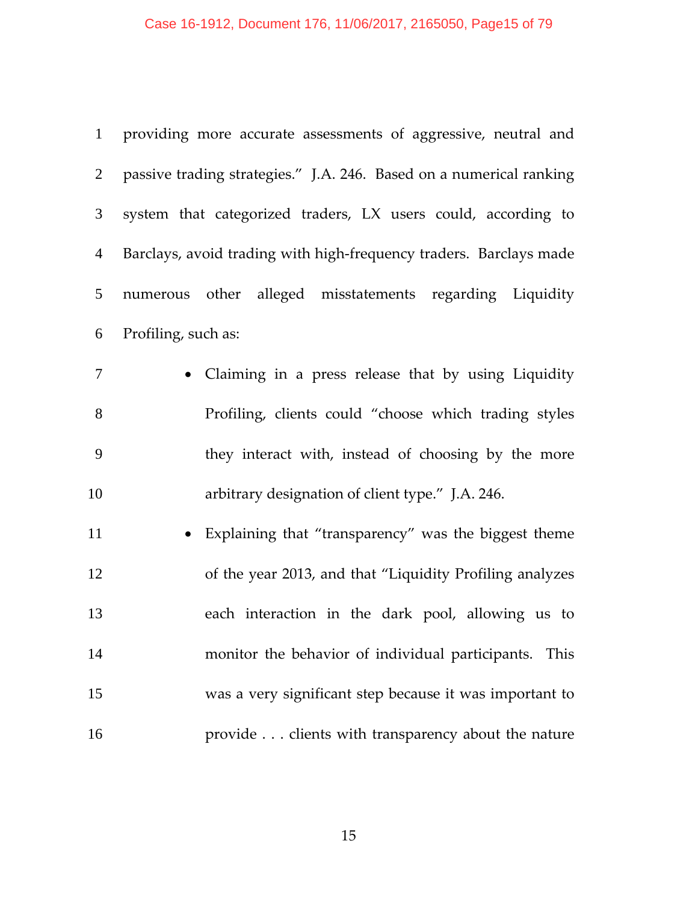# Case 16-1912, Document 176, 11/06/2017, 2165050, Page15 of 79

| $\mathbf{1}$    | providing more accurate assessments of aggressive, neutral and      |
|-----------------|---------------------------------------------------------------------|
| $\overline{2}$  | passive trading strategies." J.A. 246. Based on a numerical ranking |
| $\mathfrak{Z}$  | system that categorized traders, LX users could, according to       |
| $\overline{4}$  | Barclays, avoid trading with high-frequency traders. Barclays made  |
| $5\overline{)}$ | numerous other alleged misstatements regarding Liquidity            |
| 6               | Profiling, such as:                                                 |
| $\overline{7}$  | • Claiming in a press release that by using Liquidity               |
| 8               | Profiling, clients could "choose which trading styles               |
| 9               | they interact with, instead of choosing by the more                 |
| 10              | arbitrary designation of client type." J.A. 246.                    |
| 11              | • Explaining that "transparency" was the biggest theme              |
| 12              | of the year 2013, and that "Liquidity Profiling analyzes            |
| 13              | each interaction in the dark pool, allowing us to                   |
| 14              | monitor the behavior of individual participants. This               |
| 15              | was a very significant step because it was important to             |
| 16              | provide clients with transparency about the nature                  |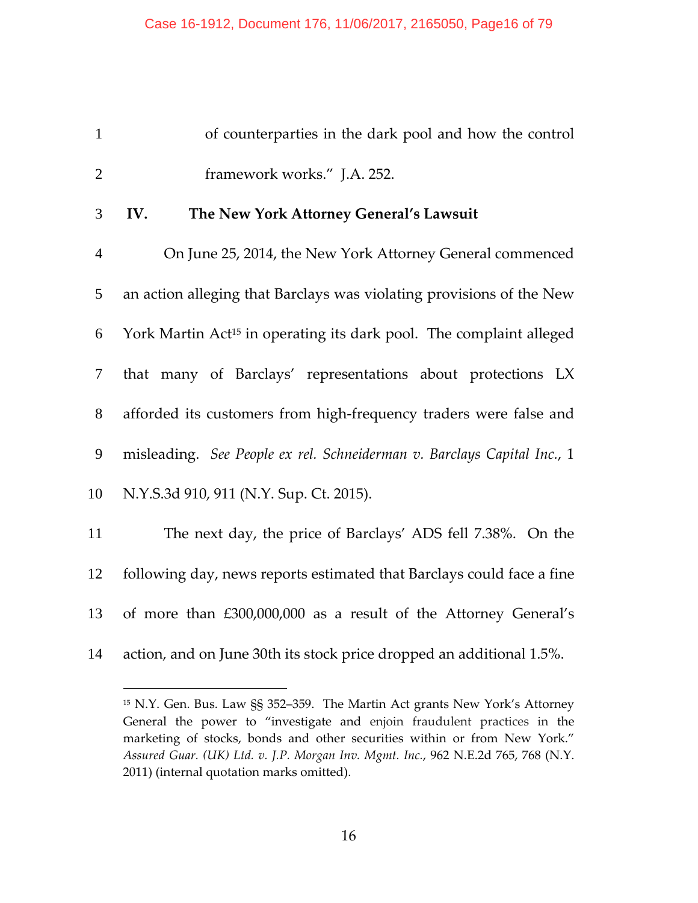| $\mathbf{1}$   | of counterparties in the dark pool and how the control                          |
|----------------|---------------------------------------------------------------------------------|
| $\overline{2}$ | framework works." J.A. 252.                                                     |
| 3              | IV.<br>The New York Attorney General's Lawsuit                                  |
| $\overline{4}$ | On June 25, 2014, the New York Attorney General commenced                       |
| 5              | an action alleging that Barclays was violating provisions of the New            |
| 6              | York Martin Act <sup>15</sup> in operating its dark pool. The complaint alleged |
| $\tau$         | that many of Barclays' representations about protections LX                     |
| 8              | afforded its customers from high-frequency traders were false and               |
| 9              | misleading. See People ex rel. Schneiderman v. Barclays Capital Inc., 1         |
| 10             | N.Y.S.3d 910, 911 (N.Y. Sup. Ct. 2015).                                         |
| 11             | The next day, the price of Barclays' ADS fell 7.38%. On the                     |
| 12             | following day, news reports estimated that Barclays could face a fine           |
| 13             | of more than £300,000,000 as a result of the Attorney General's                 |

action, and on June 30th its stock price dropped an additional 1.5%.

 N.Y. Gen. Bus. Law §§ 352–359. The Martin Act grants New York's Attorney General the power to "investigate and enjoin fraudulent practices in the marketing of stocks, bonds and other securities within or from New York." *Assured Guar. (UK) Ltd. v. J.P. Morgan Inv. Mgmt. Inc.*, 962 N.E.2d 765, 768 (N.Y. 2011) (internal quotation marks omitted).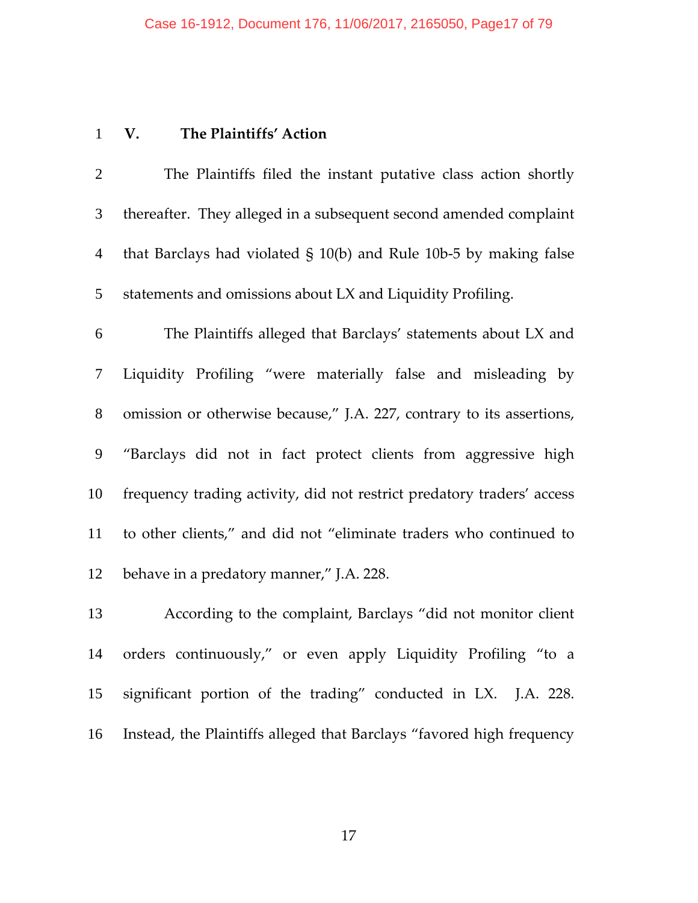## **V. The Plaintiffs' Action**

The Plaintiffs filed the instant putative class action shortly thereafter. They alleged in a subsequent second amended complaint that Barclays had violated § 10(b) and Rule 10b‐5 by making false statements and omissions about LX and Liquidity Profiling.

The Plaintiffs alleged that Barclays' statements about LX and Liquidity Profiling "were materially false and misleading by omission or otherwise because," J.A. 227, contrary to its assertions, "Barclays did not in fact protect clients from aggressive high frequency trading activity, did not restrict predatory traders' access to other clients," and did not "eliminate traders who continued to behave in a predatory manner," J.A. 228.

According to the complaint, Barclays "did not monitor client orders continuously," or even apply Liquidity Profiling "to a significant portion of the trading" conducted in LX. J.A. 228. Instead, the Plaintiffs alleged that Barclays "favored high frequency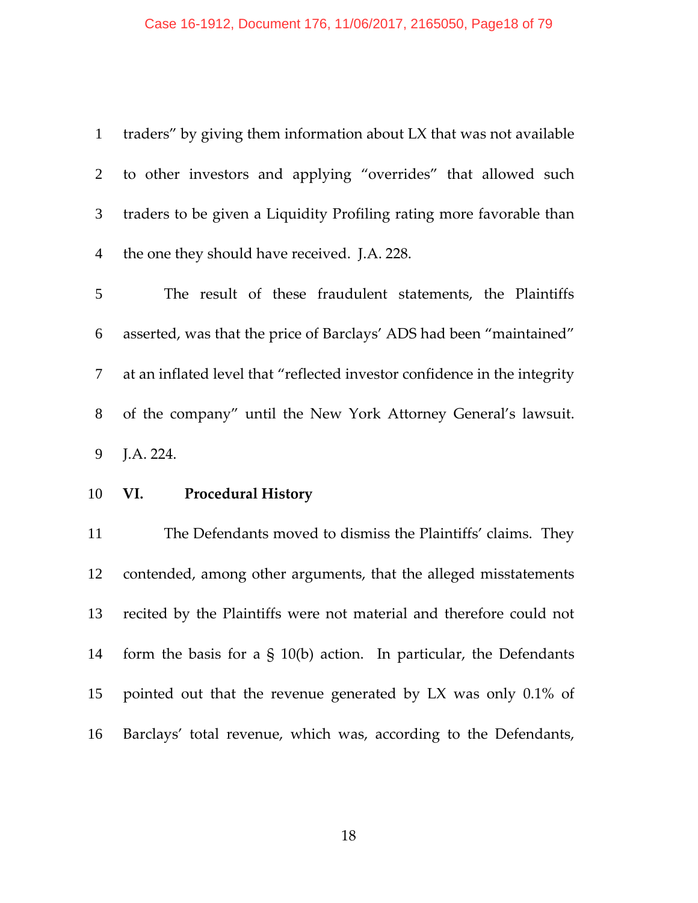# Case 16-1912, Document 176, 11/06/2017, 2165050, Page18 of 79

| $\mathbf{1}$   | traders" by giving them information about LX that was not available       |
|----------------|---------------------------------------------------------------------------|
| 2              | to other investors and applying "overrides" that allowed such             |
| 3              | traders to be given a Liquidity Profiling rating more favorable than      |
| $\overline{4}$ | the one they should have received. J.A. 228.                              |
| 5              | The result of these fraudulent statements, the Plaintiffs                 |
| 6              | asserted, was that the price of Barclays' ADS had been "maintained"       |
| 7              | at an inflated level that "reflected investor confidence in the integrity |
| 8              | of the company" until the New York Attorney General's lawsuit.            |
|                |                                                                           |
| 9              | J.A. 224.                                                                 |
| 10             | VI. Procedural History                                                    |
| 11             | The Defendants moved to dismiss the Plaintiffs' claims. They              |
| 12             | contended, among other arguments, that the alleged misstatements          |
| 13             | recited by the Plaintiffs were not material and therefore could not       |
| 14             | form the basis for a $\S$ 10(b) action. In particular, the Defendants     |
| 15             | pointed out that the revenue generated by LX was only 0.1% of             |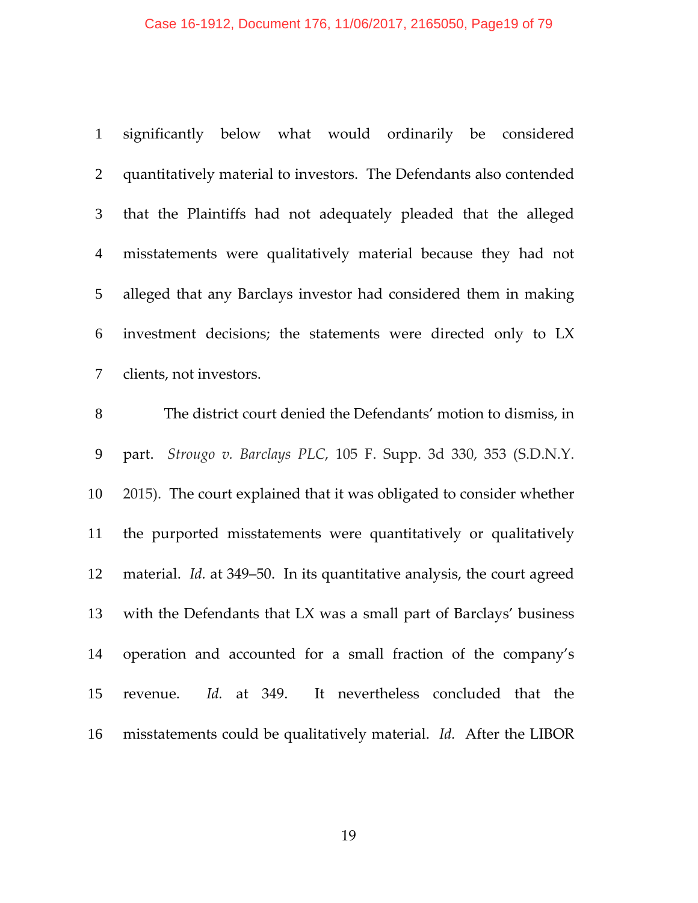#### Case 16-1912, Document 176, 11/06/2017, 2165050, Page19 of 79

significantly below what would ordinarily be considered quantitatively material to investors. The Defendants also contended that the Plaintiffs had not adequately pleaded that the alleged misstatements were qualitatively material because they had not alleged that any Barclays investor had considered them in making investment decisions; the statements were directed only to LX clients, not investors.

The district court denied the Defendants' motion to dismiss, in part. *Strougo v. Barclays PLC*, 105 F. Supp. 3d 330, 353 (S.D.N.Y. 2015). The court explained that it was obligated to consider whether the purported misstatements were quantitatively or qualitatively material. *Id.* at 349–50. In its quantitative analysis, the court agreed with the Defendants that LX was a small part of Barclays' business operation and accounted for a small fraction of the company's revenue. *Id.* at 349. It nevertheless concluded that the misstatements could be qualitatively material. *Id.* After the LIBOR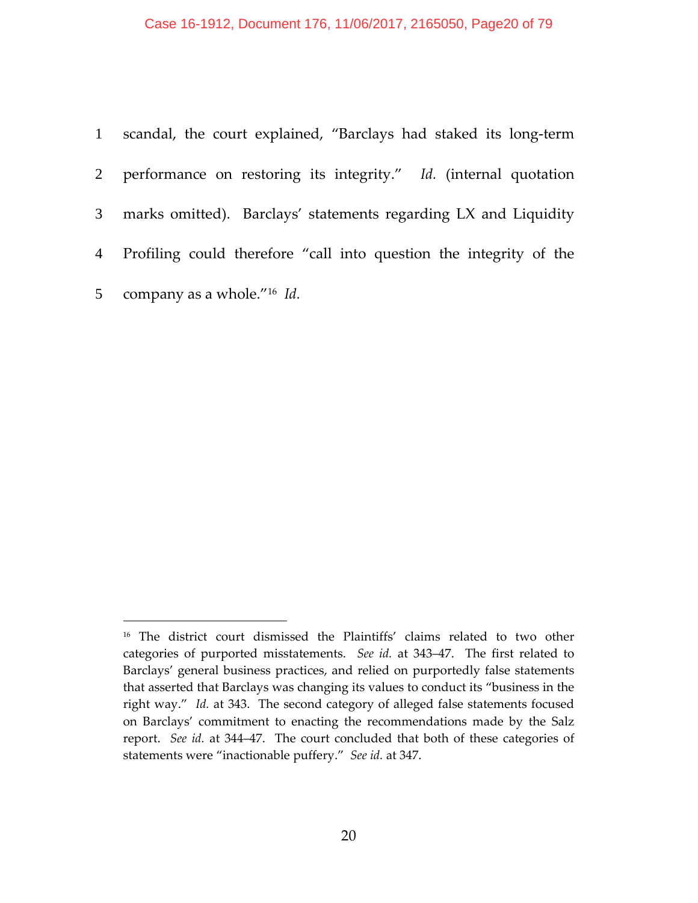#### Case 16-1912, Document 176, 11/06/2017, 2165050, Page20 of 79

| 1 scandal, the court explained, "Barclays had staked its long-term   |
|----------------------------------------------------------------------|
| 2 performance on restoring its integrity." Id. (internal quotation   |
| 3 marks omitted). Barclays' statements regarding LX and Liquidity    |
| 4 Profiling could therefore "call into question the integrity of the |
| 5 company as a whole." <sup>16</sup> <i>Id.</i>                      |

<sup>&</sup>lt;sup>16</sup> The district court dismissed the Plaintiffs' claims related to two other categories of purported misstatements. *See id.* at 343–47. The first related to Barclays' general business practices, and relied on purportedly false statements that asserted that Barclays was changing its values to conduct its "business in the right way." *Id.* at 343. The second category of alleged false statements focused on Barclays' commitment to enacting the recommendations made by the Salz report. *See id.* at 344–47.The court concluded that both of these categories of statements were "inactionable puffery." *See id.* at 347.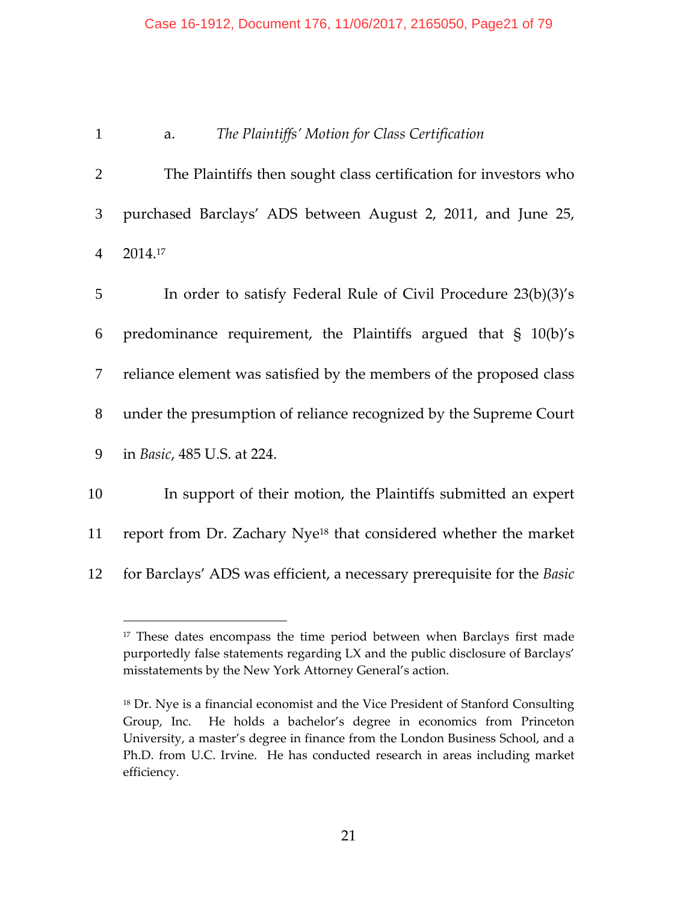### Case 16-1912, Document 176, 11/06/2017, 2165050, Page21 of 79

### 1 a.  *The Plaintiffs' Motion for Class Certification*

2 The Plaintiffs then sought class certification for investors who 3 purchased Barclays' ADS between August 2, 2011, and June 25, 4 2014.17

| 5      | In order to satisfy Federal Rule of Civil Procedure 23(b)(3)'s               |
|--------|------------------------------------------------------------------------------|
| 6      | predominance requirement, the Plaintiffs argued that $\S$ 10(b)'s            |
| $\tau$ | reliance element was satisfied by the members of the proposed class          |
| 8      | under the presumption of reliance recognized by the Supreme Court            |
| 9      | in <i>Basic</i> , 485 U.S. at 224.                                           |
| 10     | In support of their motion, the Plaintiffs submitted an expert               |
| 11     | report from Dr. Zachary Nye <sup>18</sup> that considered whether the market |
|        |                                                                              |

12 for Barclays' ADS was efficient, a necessary prerequisite for the *Basic*

<sup>&</sup>lt;sup>17</sup> These dates encompass the time period between when Barclays first made purportedly false statements regarding LX and the public disclosure of Barclays' misstatements by the New York Attorney General's action.

<sup>&</sup>lt;sup>18</sup> Dr. Nye is a financial economist and the Vice President of Stanford Consulting Group, Inc. He holds a bachelor's degree in economics from Princeton University, a master's degree in finance from the London Business School, and a Ph.D. from U.C. Irvine. He has conducted research in areas including market efficiency.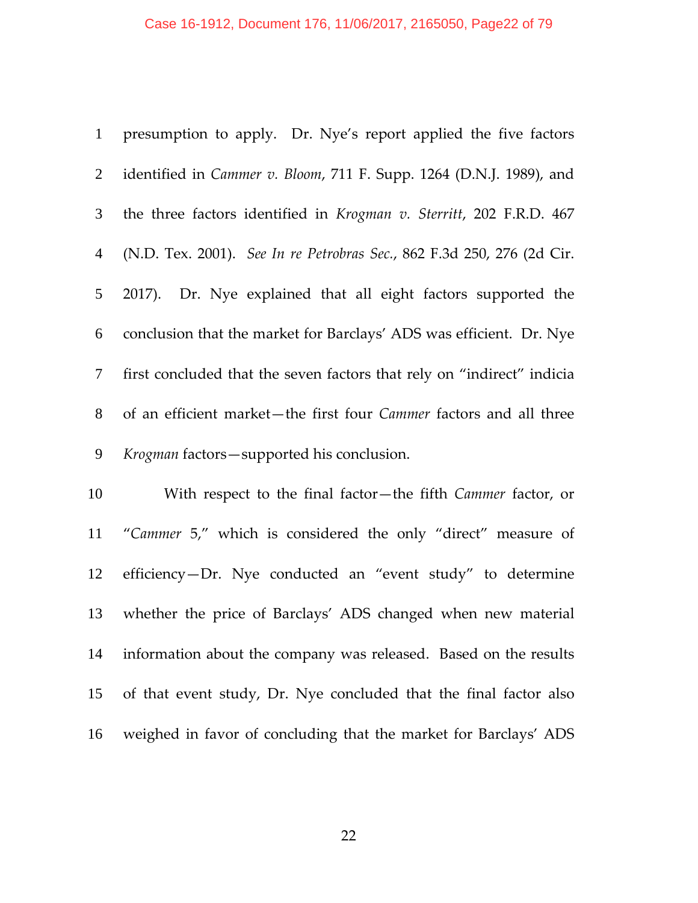| $\mathbf{1}$   | presumption to apply. Dr. Nye's report applied the five factors        |
|----------------|------------------------------------------------------------------------|
| $\overline{2}$ | identified in Cammer v. Bloom, 711 F. Supp. 1264 (D.N.J. 1989), and    |
| $\mathfrak{Z}$ | the three factors identified in Krogman v. Sterritt, 202 F.R.D. 467    |
| $\overline{4}$ | (N.D. Tex. 2001). See In re Petrobras Sec., 862 F.3d 250, 276 (2d Cir. |
| 5              | 2017). Dr. Nye explained that all eight factors supported the          |
| 6              | conclusion that the market for Barclays' ADS was efficient. Dr. Nye    |
| 7              | first concluded that the seven factors that rely on "indirect" indicia |
| $8\,$          | of an efficient market-the first four Cammer factors and all three     |
| $\mathbf{9}$   | Krogman factors-supported his conclusion.                              |
| 10             | With respect to the final factor-the fifth Cammer factor, or           |
| 11             | "Cammer 5," which is considered the only "direct" measure of           |
| 12             | efficiency-Dr. Nye conducted an "event study" to determine             |
| 13             | whether the price of Barclays' ADS changed when new material           |
| 14             | information about the company was released. Based on the results       |
| 15             | of that event study, Dr. Nye concluded that the final factor also      |

weighed in favor of concluding that the market for Barclays' ADS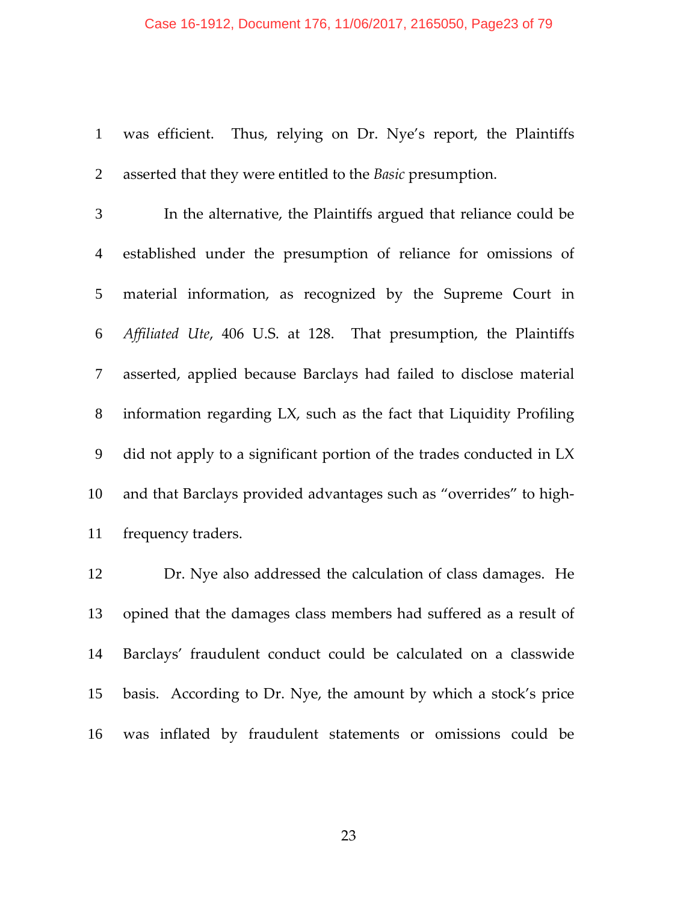#### Case 16-1912, Document 176, 11/06/2017, 2165050, Page23 of 79

1 was efficient. Thus, relying on Dr. Nye's report, the Plaintiffs asserted that they were entitled to the *Basic* presumption.

In the alternative, the Plaintiffs argued that reliance could be established under the presumption of reliance for omissions of material information, as recognized by the Supreme Court in *Affiliated Ute*, 406 U.S. at 128. That presumption, the Plaintiffs asserted, applied because Barclays had failed to disclose material information regarding LX, such as the fact that Liquidity Profiling did not apply to a significant portion of the trades conducted in LX 10 and that Barclays provided advantages such as "overrides" to high-frequency traders.

Dr. Nye also addressed the calculation of class damages. He opined that the damages class members had suffered as a result of Barclays' fraudulent conduct could be calculated on a classwide basis. According to Dr. Nye, the amount by which a stock's price was inflated by fraudulent statements or omissions could be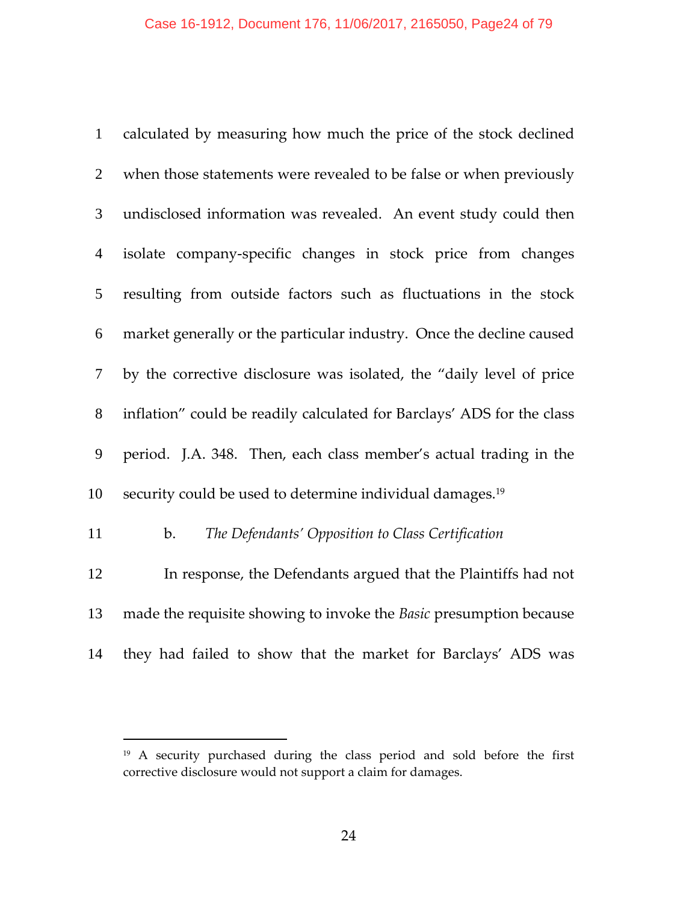| $\mathbf{1}$   | calculated by measuring how much the price of the stock declined       |
|----------------|------------------------------------------------------------------------|
| $\overline{2}$ | when those statements were revealed to be false or when previously     |
| 3              | undisclosed information was revealed. An event study could then        |
| $\overline{4}$ | isolate company-specific changes in stock price from changes           |
| 5              | resulting from outside factors such as fluctuations in the stock       |
| 6              | market generally or the particular industry. Once the decline caused   |
| $\tau$         | by the corrective disclosure was isolated, the "daily level of price   |
| $8\phantom{.}$ | inflation" could be readily calculated for Barclays' ADS for the class |
| 9              | period. J.A. 348. Then, each class member's actual trading in the      |
| 10             | security could be used to determine individual damages. <sup>19</sup>  |
| 11             | The Defendants' Opposition to Class Certification<br>b.                |
| 12             | In response, the Defendants argued that the Plaintiffs had not         |
| 13             | made the requisite showing to invoke the Basic presumption because     |
|                |                                                                        |

they had failed to show that the market for Barclays' ADS was

<sup>&</sup>lt;sup>19</sup> A security purchased during the class period and sold before the first corrective disclosure would not support a claim for damages.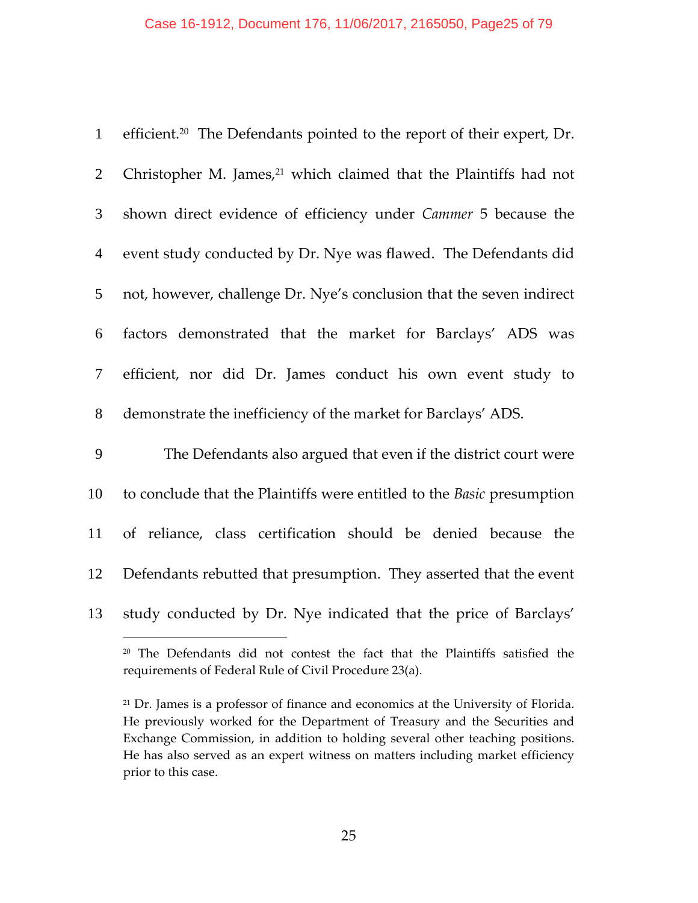#### Case 16-1912, Document 176, 11/06/2017, 2165050, Page25 of 79

| $\mathbf{1}$   | efficient. <sup>20</sup> The Defendants pointed to the report of their expert, Dr. |
|----------------|------------------------------------------------------------------------------------|
| $\overline{2}$ | Christopher M. James, <sup>21</sup> which claimed that the Plaintiffs had not      |
| $\mathfrak{Z}$ | shown direct evidence of efficiency under Cammer 5 because the                     |
| $\overline{4}$ | event study conducted by Dr. Nye was flawed. The Defendants did                    |
| $\mathfrak{S}$ | not, however, challenge Dr. Nye's conclusion that the seven indirect               |
| 6              | factors demonstrated that the market for Barclays' ADS was                         |
| $\tau$         | efficient, nor did Dr. James conduct his own event study to                        |
| $8\phantom{.}$ | demonstrate the inefficiency of the market for Barclays' ADS.                      |
| 9              | The Defendants also argued that even if the district court were                    |
| 10             | to conclude that the Plaintiffs were entitled to the Basic presumption             |
| 11             | of reliance, class certification should be denied because the                      |
| 12             | Defendants rebutted that presumption. They asserted that the event                 |
| 13             | study conducted by Dr. Nye indicated that the price of Barclays'                   |
|                |                                                                                    |

<sup>&</sup>lt;sup>20</sup> The Defendants did not contest the fact that the Plaintiffs satisfied the requirements of Federal Rule of Civil Procedure 23(a).

<sup>&</sup>lt;sup>21</sup> Dr. James is a professor of finance and economics at the University of Florida. He previously worked for the Department of Treasury and the Securities and Exchange Commission, in addition to holding several other teaching positions. He has also served as an expert witness on matters including market efficiency prior to this case.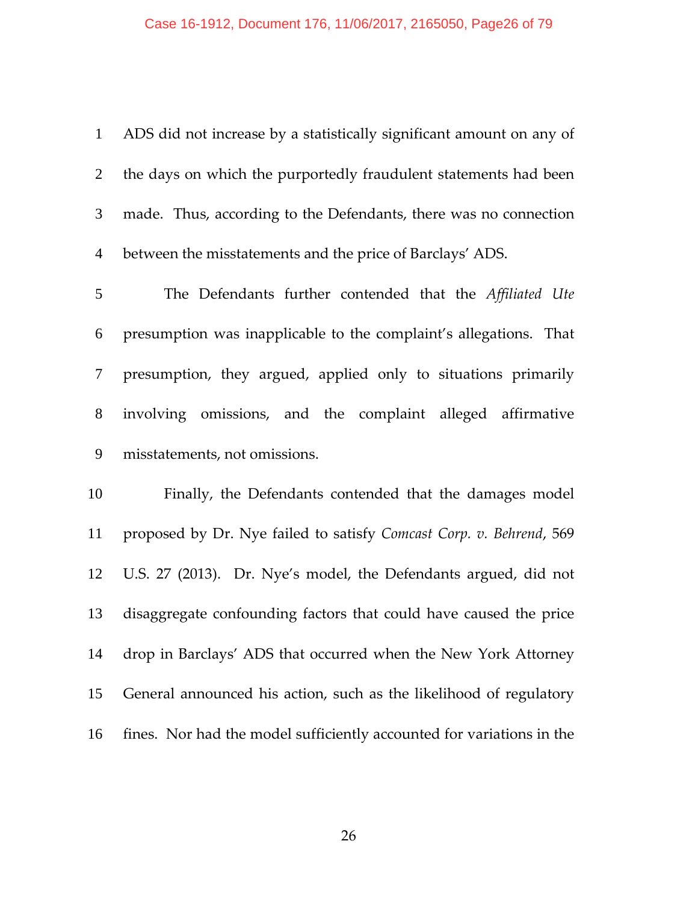## Case 16-1912, Document 176, 11/06/2017, 2165050, Page26 of 79

| 1               | ADS did not increase by a statistically significant amount on any of  |
|-----------------|-----------------------------------------------------------------------|
| $\overline{2}$  | the days on which the purportedly fraudulent statements had been      |
| $\mathfrak{Z}$  | made. Thus, according to the Defendants, there was no connection      |
| $\overline{4}$  | between the misstatements and the price of Barclays' ADS.             |
| $5\overline{)}$ | The Defendants further contended that the Affiliated Ute              |
| 6               | presumption was inapplicable to the complaint's allegations. That     |
| $\tau$          | presumption, they argued, applied only to situations primarily        |
| 8               | involving omissions, and the complaint alleged affirmative            |
| 9               | misstatements, not omissions.                                         |
| 10              | Finally, the Defendants contended that the damages model              |
| 11              | proposed by Dr. Nye failed to satisfy Comcast Corp. v. Behrend, 569   |
| 12              | U.S. 27 (2013). Dr. Nye's model, the Defendants argued, did not       |
| 13              | disaggregate confounding factors that could have caused the price     |
| 14              | drop in Barclays' ADS that occurred when the New York Attorney        |
| 15              | General announced his action, such as the likelihood of regulatory    |
| 16              | fines. Nor had the model sufficiently accounted for variations in the |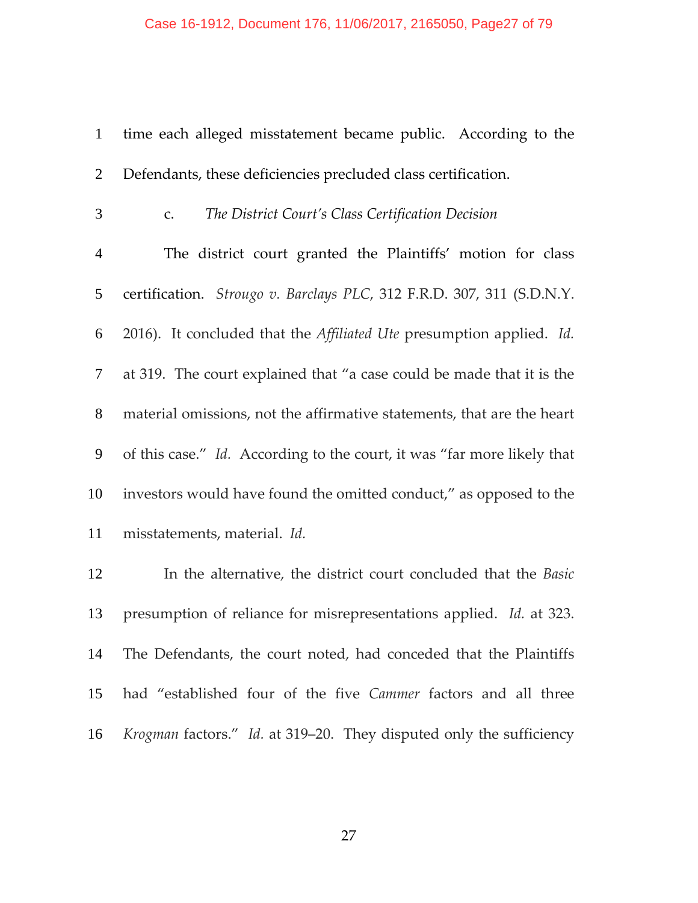| $\mathbf{1}$   | time each alleged misstatement became public. According to the                     |
|----------------|------------------------------------------------------------------------------------|
| $\overline{2}$ | Defendants, these deficiencies precluded class certification.                      |
| 3              | The District Court's Class Certification Decision<br>C <sub>1</sub>                |
| $\overline{4}$ | The district court granted the Plaintiffs' motion for class                        |
| 5              | certification. Strougo v. Barclays PLC, 312 F.R.D. 307, 311 (S.D.N.Y.              |
| 6              | 2016). It concluded that the <i>Affiliated Ute</i> presumption applied. <i>Id.</i> |
| $\tau$         | at 319. The court explained that "a case could be made that it is the              |
| $8\,$          | material omissions, not the affirmative statements, that are the heart             |
| 9              | of this case." Id. According to the court, it was "far more likely that            |
| 10             | investors would have found the omitted conduct," as opposed to the                 |
| 11             | misstatements, material. Id.                                                       |
| 12             | In the alternative, the district court concluded that the Basic                    |
| 13             | presumption of reliance for misrepresentations applied. Id. at 323.                |
|                |                                                                                    |

had "established four of the five *Cammer* factors and all three *Krogman* factors." *Id.* at 319–20. They disputed only the sufficiency

The Defendants, the court noted, had conceded that the Plaintiffs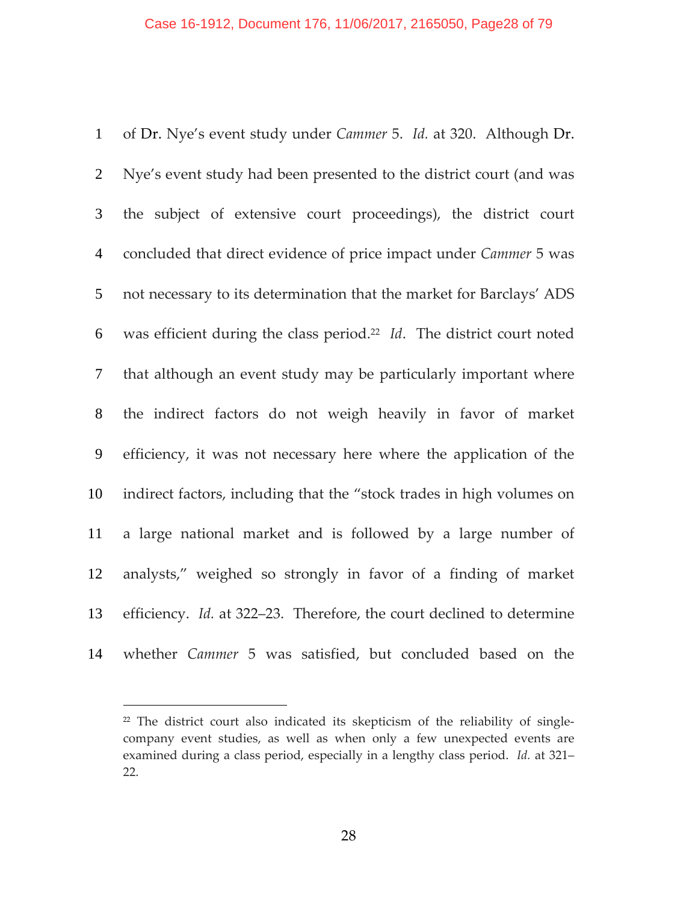of Dr. Nye's event study under *Cammer* 5. *Id.* at 320. Although Dr. Nye's event study had been presented to the district court (and was the subject of extensive court proceedings), the district court concluded that direct evidence of price impact under *Cammer* 5 was not necessary to its determination that the market for Barclays' ADS 6 was efficient during the class period.<sup>22</sup> *Id*. The district court noted that although an event study may be particularly important where the indirect factors do not weigh heavily in favor of market efficiency, it was not necessary here where the application of the indirect factors, including that the "stock trades in high volumes on a large national market and is followed by a large number of analysts," weighed so strongly in favor of a finding of market efficiency. *Id.* at 322–23. Therefore, the court declined to determine whether *Cammer* 5 was satisfied, but concluded based on the

<sup>&</sup>lt;sup>22</sup> The district court also indicated its skepticism of the reliability of singlecompany event studies, as well as when only a few unexpected events are examined during a class period, especially in a lengthy class period. *Id.* at 321– 22.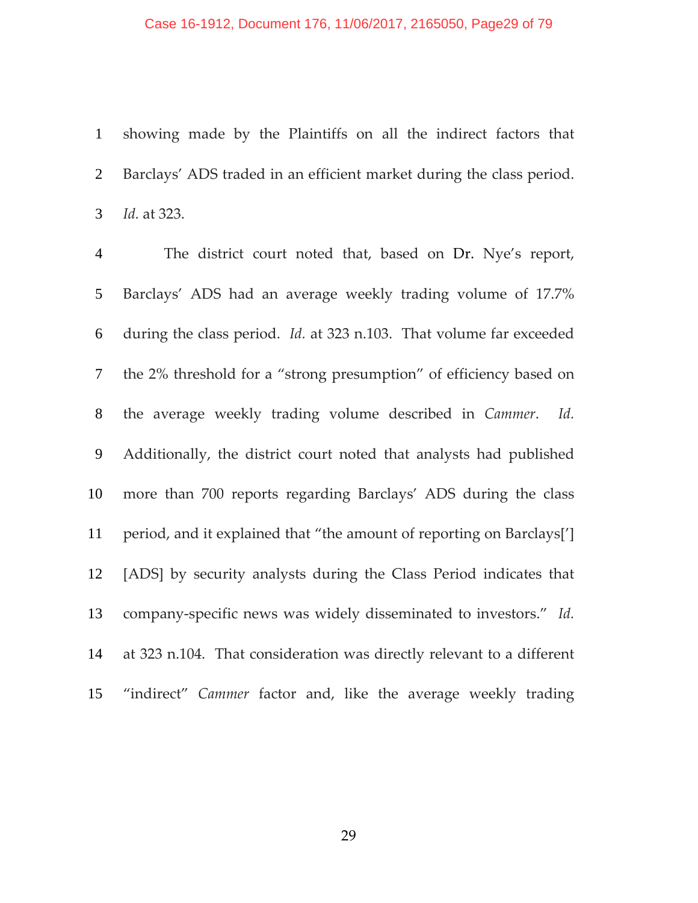#### Case 16-1912, Document 176, 11/06/2017, 2165050, Page29 of 79

showing made by the Plaintiffs on all the indirect factors that Barclays' ADS traded in an efficient market during the class period. *Id.* at 323.

The district court noted that, based on Dr. Nye's report, Barclays' ADS had an average weekly trading volume of 17.7% during the class period. *Id.* at 323 n.103. That volume far exceeded the 2% threshold for a "strong presumption" of efficiency based on the average weekly trading volume described in *Cammer*. *Id.* Additionally, the district court noted that analysts had published more than 700 reports regarding Barclays' ADS during the class period, and it explained that "the amount of reporting on Barclays['] [ADS] by security analysts during the Class Period indicates that company‐specific news was widely disseminated to investors." *Id.* at 323 n.104. That consideration was directly relevant to a different "indirect" *Cammer* factor and, like the average weekly trading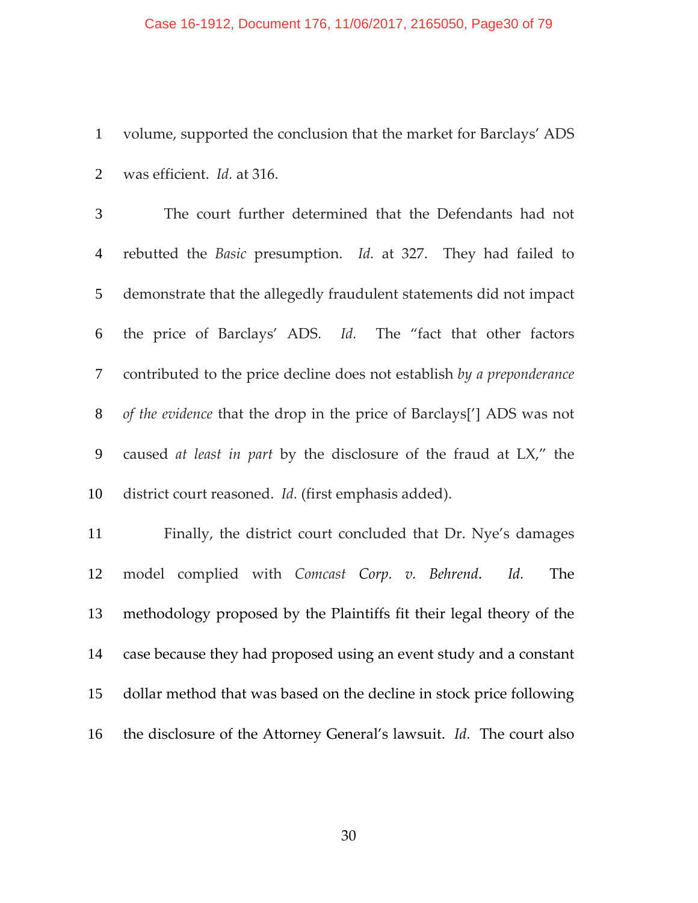#### Case 16-1912, Document 176, 11/06/2017, 2165050, Page30 of 79

volume, supported the conclusion that the market for Barclays' ADS was efficient. *Id.* at 316.

The court further determined that the Defendants had not rebutted the *Basic* presumption. *Id.* at 327. They had failed to demonstrate that the allegedly fraudulent statements did not impact the price of Barclays' ADS. *Id.* The "fact that other factors contributed to the price decline does not establish *by a preponderance of the evidence* that the drop in the price of Barclays['] ADS was not caused *at least in part* by the disclosure of the fraud at LX," the district court reasoned. *Id.* (first emphasis added).

Finally, the district court concluded that Dr. Nye's damages model complied with *Comcast Corp. v. Behrend*. *Id.*  The methodology proposed by the Plaintiffs fit their legal theory of the case because they had proposed using an event study and a constant dollar method that was based on the decline in stock price following the disclosure of the Attorney General's lawsuit. *Id.* The court also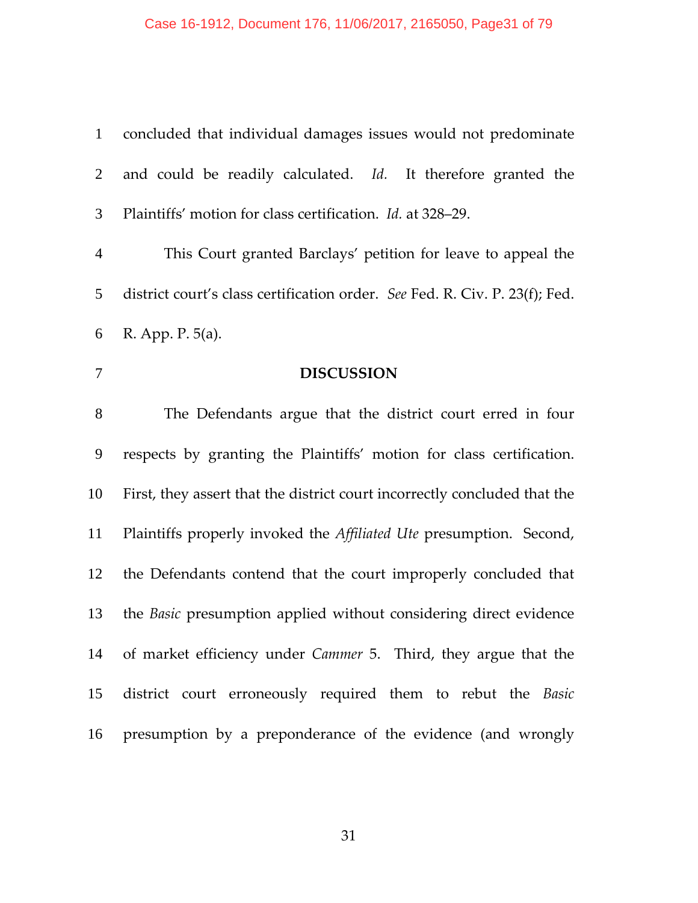# Case 16-1912, Document 176, 11/06/2017, 2165050, Page31 of 79

| $\mathbf{1}$   | concluded that individual damages issues would not predominate              |
|----------------|-----------------------------------------------------------------------------|
| 2              | and could be readily calculated. Id. It therefore granted the               |
| 3              | Plaintiffs' motion for class certification. <i>Id.</i> at 328–29.           |
| $\overline{4}$ | This Court granted Barclays' petition for leave to appeal the               |
| 5              | district court's class certification order. See Fed. R. Civ. P. 23(f); Fed. |
| 6              | R. App. P. 5(a).                                                            |
| 7              | <b>DISCUSSION</b>                                                           |
| 8              | The Defendants argue that the district court erred in four                  |
| 9              | respects by granting the Plaintiffs' motion for class certification.        |
| 10             | First, they assert that the district court incorrectly concluded that the   |
| 11             | Plaintiffs properly invoked the Affiliated Ute presumption. Second,         |
| 12             | the Defendants contend that the court improperly concluded that             |
| 13             | the <i>Basic</i> presumption applied without considering direct evidence    |
| 14             | of market efficiency under <i>Cammer</i> 5. Third, they argue that the      |
| 15             | district court erroneously required them to rebut the Basic                 |
| 16             | presumption by a preponderance of the evidence (and wrongly                 |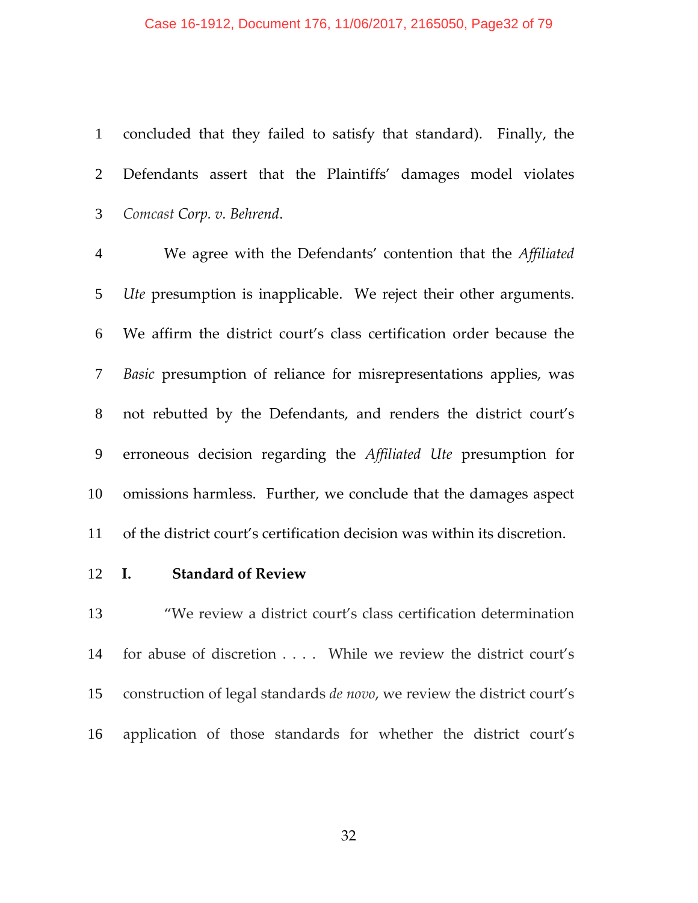#### Case 16-1912, Document 176, 11/06/2017, 2165050, Page32 of 79

concluded that they failed to satisfy that standard). Finally, the Defendants assert that the Plaintiffs' damages model violates *Comcast Corp. v. Behrend*.

We agree with the Defendants' contention that the *Affiliated Ute* presumption is inapplicable. We reject their other arguments. We affirm the district court's class certification order because the *Basic* presumption of reliance for misrepresentations applies, was not rebutted by the Defendants, and renders the district court's erroneous decision regarding the *Affiliated Ute* presumption for omissions harmless. Further, we conclude that the damages aspect of the district court's certification decision was within its discretion.

### **I. Standard of Review**

"We review a district court's class certification determination 14 for abuse of discretion . . . . While we review the district court's construction of legal standards *de novo*, we review the district court's application of those standards for whether the district court's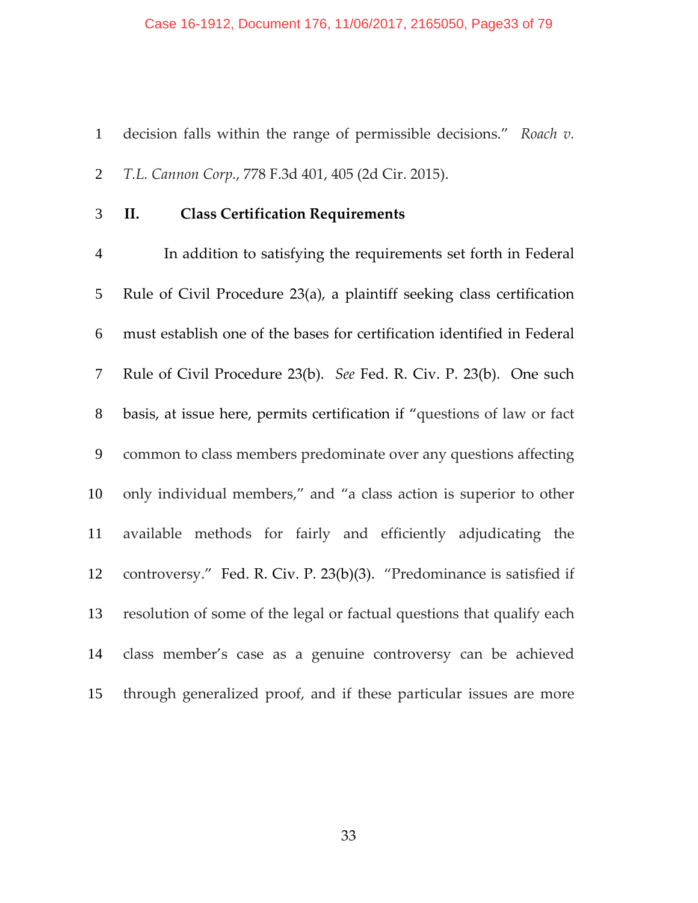#### Case 16-1912, Document 176, 11/06/2017, 2165050, Page33 of 79

decision falls within the range of permissible decisions." *Roach v. T.L. Cannon Corp.*, 778 F.3d 401, 405 (2d Cir. 2015).

**II. Class Certification Requirements**

In addition to satisfying the requirements set forth in Federal Rule of Civil Procedure 23(a), a plaintiff seeking class certification must establish one of the bases for certification identified in Federal Rule of Civil Procedure 23(b). *See* Fed. R. Civ. P. 23(b). One such basis, at issue here, permits certification if "questions of law or fact common to class members predominate over any questions affecting only individual members," and "a class action is superior to other available methods for fairly and efficiently adjudicating the controversy." Fed. R. Civ. P. 23(b)(3). "Predominance is satisfied if resolution of some of the legal or factual questions that qualify each class member's case as a genuine controversy can be achieved through generalized proof, and if these particular issues are more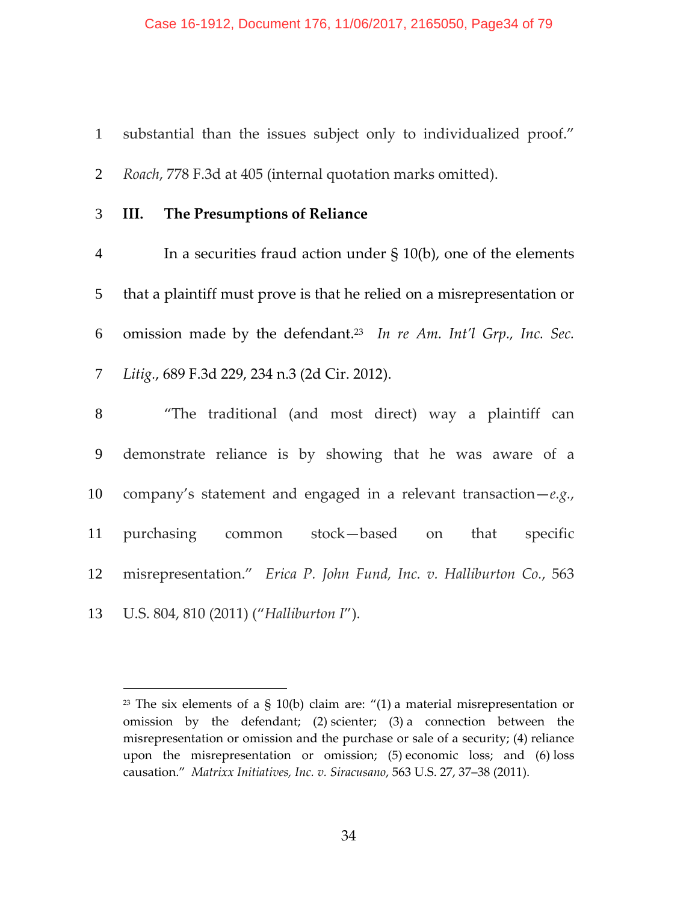substantial than the issues subject only to individualized proof."

*Roach*, 778 F.3d at 405 (internal quotation marks omitted).

## **III. The Presumptions of Reliance**

In a securities fraud action under § 10(b), one of the elements that a plaintiff must prove is that he relied on a misrepresentation or 6 omission made by the defendant.<sup>23</sup> In re Am. Int'l Grp., Inc. Sec. *Litig.*, 689 F.3d 229, 234 n.3 (2d Cir. 2012).

"The traditional (and most direct) way a plaintiff can demonstrate reliance is by showing that he was aware of a company's statement and engaged in a relevant transaction—*e.g.*, purchasing common stock—based on that specific misrepresentation." *Erica P. John Fund, Inc. v. Halliburton Co.*, 563 U.S. 804, 810 (2011) ("*Halliburton I*").

<sup>&</sup>lt;sup>23</sup> The six elements of a § 10(b) claim are:  $''(1)$  a material misrepresentation or omission by the defendant; (2) scienter; (3) a connection between the misrepresentation or omission and the purchase or sale of a security; (4) reliance upon the misrepresentation or omission; (5) economic loss; and (6) loss causation." *Matrixx Initiatives, Inc. v. Siracusano*, 563 U.S. 27, 37–38 (2011).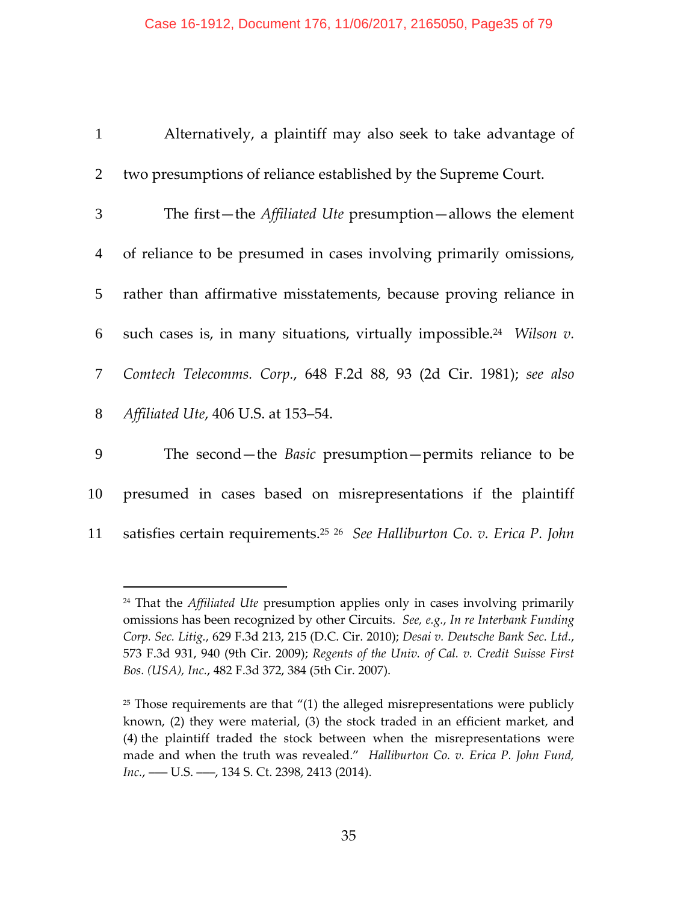| $\mathbf{1}$   | Alternatively, a plaintiff may also seek to take advantage of                         |
|----------------|---------------------------------------------------------------------------------------|
| $\overline{2}$ | two presumptions of reliance established by the Supreme Court.                        |
| 3 <sup>1</sup> | The first-the Affiliated Ute presumption-allows the element                           |
| $\overline{4}$ | of reliance to be presumed in cases involving primarily omissions,                    |
| 5 <sup>5</sup> | rather than affirmative misstatements, because proving reliance in                    |
| 6              | such cases is, in many situations, virtually impossible. <sup>24</sup> Wilson $v$ .   |
| $\mathcal{T}$  | Comtech Telecomms. Corp., 648 F.2d 88, 93 (2d Cir. 1981); see also                    |
| 8              | Affiliated Ute, 406 U.S. at 153–54.                                                   |
| 9              | The second—the <i>Basic</i> presumption—permits reliance to be                        |
| 10             | presumed in cases based on misrepresentations if the plaintiff                        |
| 11             | satisfies certain requirements. <sup>25</sup> 26 See Halliburton Co. v. Erica P. John |

<sup>24</sup> That the *Affiliated Ute* presumption applies only in cases involving primarily omissions has been recognized by other Circuits. *See, e.g.*, *In re Interbank Funding Corp. Sec. Litig.*, 629 F.3d 213, 215 (D.C. Cir. 2010); *Desai v. Deutsche Bank Sec. Ltd.*, 573 F.3d 931, 940 (9th Cir. 2009); *Regents of the Univ. of Cal. v. Credit Suisse First Bos. (USA), Inc.*, 482 F.3d 372, 384 (5th Cir. 2007).

 $25$  Those requirements are that  $''(1)$  the alleged misrepresentations were publicly known, (2) they were material, (3) the stock traded in an efficient market, and (4) the plaintiff traded the stock between when the misrepresentations were made and when the truth was revealed." *Halliburton Co. v. Erica P. John Fund, Inc.*, — U.S. — , 134 S. Ct. 2398, 2413 (2014).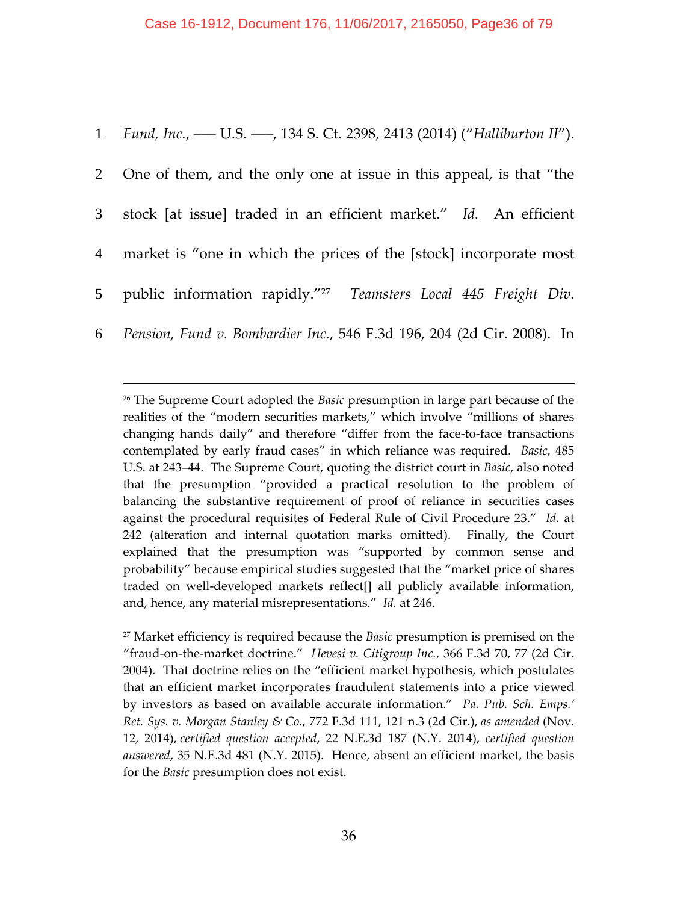|                | 1 Fund, Inc., — U.S. — 134 S. Ct. 2398, 2413 (2014) ("Halliburton II").       |
|----------------|-------------------------------------------------------------------------------|
| 2              | One of them, and the only one at issue in this appeal, is that "the           |
| 3 <sup>7</sup> | stock [at issue] traded in an efficient market." Id. An efficient             |
| $\overline{4}$ | market is "one in which the prices of the [stock] incorporate most            |
|                | 5 public information rapidly." <sup>27</sup> Teamsters Local 445 Freight Div. |
| 6              | Pension, Fund v. Bombardier Inc., 546 F.3d 196, 204 (2d Cir. 2008). In        |

 $\overline{a}$ 

<sup>27</sup> Market efficiency is required because the *Basic* presumption is premised on the "fraud‐on‐the‐market doctrine." *Hevesi v. Citigroup Inc.*, 366 F.3d 70, 77 (2d Cir. 2004). That doctrine relies on the "efficient market hypothesis, which postulates that an efficient market incorporates fraudulent statements into a price viewed by investors as based on available accurate information." *Pa. Pub. Sch. Emps.' Ret. Sys. v. Morgan Stanley & Co.*, 772 F.3d 111, 121 n.3 (2d Cir.), *as amended* (Nov. 12, 2014), *certified question accepted*, 22 N.E.3d 187 (N.Y. 2014), *certified question answered*, 35 N.E.3d 481 (N.Y. 2015). Hence, absent an efficient market, the basis for the *Basic* presumption does not exist.

<sup>26</sup> The Supreme Court adopted the *Basic* presumption in large part because of the realities of the "modern securities markets," which involve "millions of shares changing hands daily" and therefore "differ from the face-to-face transactions contemplated by early fraud cases" in which reliance was required. *Basic*, 485 U.S. at 243–44. The Supreme Court, quoting the district court in *Basic*, also noted that the presumption "provided a practical resolution to the problem of balancing the substantive requirement of proof of reliance in securities cases against the procedural requisites of Federal Rule of Civil Procedure 23." *Id.* at 242 (alteration and internal quotation marks omitted). Finally, the Court explained that the presumption was "supported by common sense and probability" because empirical studies suggested that the "market price of shares traded on well‐developed markets reflect[] all publicly available information, and, hence, any material misrepresentations." *Id.* at 246.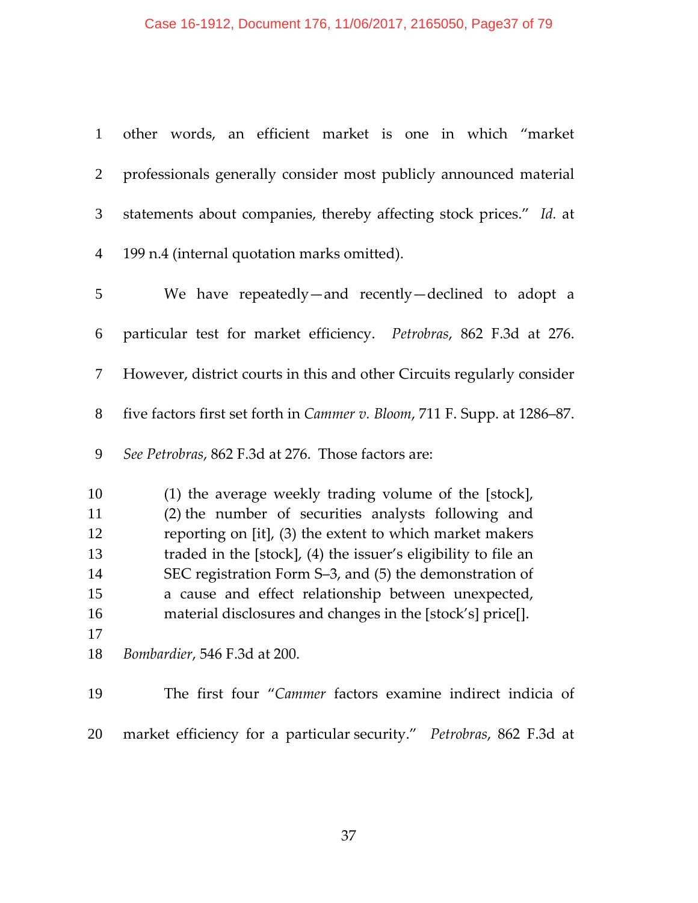| $\mathbf{1}$   | other words, an efficient market is one in which "market                          |
|----------------|-----------------------------------------------------------------------------------|
| $\overline{2}$ | professionals generally consider most publicly announced material                 |
| 3              | statements about companies, thereby affecting stock prices." Id. at               |
| $\overline{4}$ | 199 n.4 (internal quotation marks omitted).                                       |
| 5              | We have repeatedly—and recently—declined to adopt a                               |
| 6              | particular test for market efficiency. Petrobras, 862 F.3d at 276.                |
| 7              | However, district courts in this and other Circuits regularly consider            |
| 8              | five factors first set forth in <i>Cammer v. Bloom</i> , 711 F. Supp. at 1286–87. |
| 9              | See Petrobras, 862 F.3d at 276. Those factors are:                                |
| 10             | (1) the average weekly trading volume of the [stock],                             |
| 11             | (2) the number of securities analysts following and                               |
| 12             | reporting on [it], (3) the extent to which market makers                          |
| 13             | traded in the [stock], (4) the issuer's eligibility to file an                    |
| 14             | SEC registration Form S-3, and (5) the demonstration of                           |
| 15             |                                                                                   |
|                | a cause and effect relationship between unexpected,                               |
| 16             | material disclosures and changes in the [stock's] price[].                        |
| 17             |                                                                                   |
| 18             | Bombardier, 546 F.3d at 200.                                                      |
| 19             | The first four "Cammer factors examine indirect indicia of                        |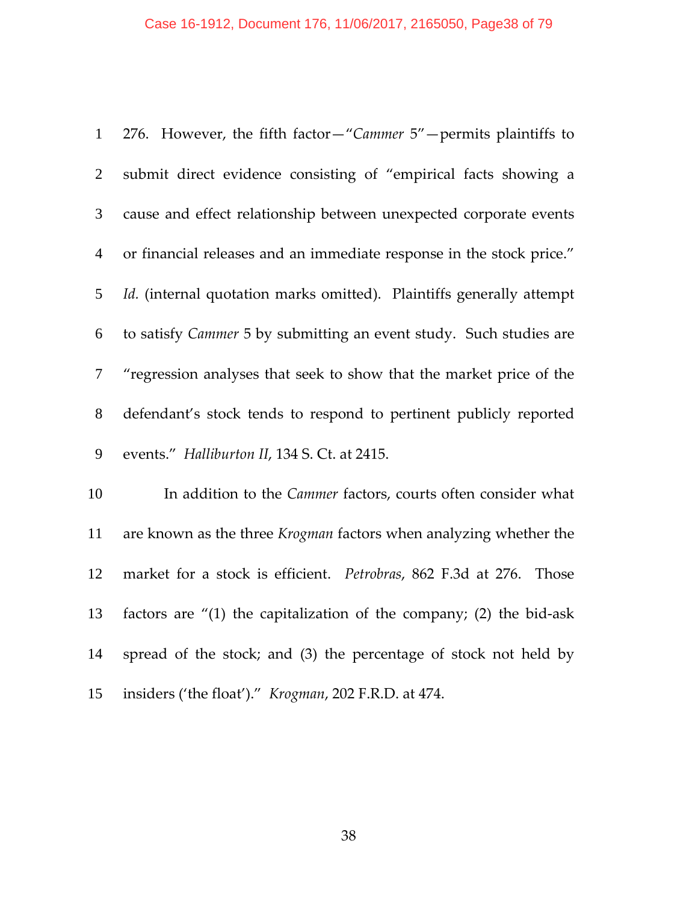| $\mathbf{1}$   | 276. However, the fifth factor-"Cammer 5"-permits plaintiffs to        |
|----------------|------------------------------------------------------------------------|
| $\overline{2}$ | submit direct evidence consisting of "empirical facts showing a        |
| $\mathfrak{Z}$ | cause and effect relationship between unexpected corporate events      |
| $\overline{4}$ | or financial releases and an immediate response in the stock price."   |
| 5              | Id. (internal quotation marks omitted). Plaintiffs generally attempt   |
| 6              | to satisfy Cammer 5 by submitting an event study. Such studies are     |
| $\overline{7}$ | "regression analyses that seek to show that the market price of the    |
| $8\,$          | defendant's stock tends to respond to pertinent publicly reported      |
| 9              | events." Halliburton II, 134 S. Ct. at 2415.                           |
| 10             | In addition to the Cammer factors, courts often consider what          |
| 11             | are known as the three Krogman factors when analyzing whether the      |
| 12             | market for a stock is efficient. Petrobras, 862 F.3d at 276.<br>Those  |
| 13             | factors are $''(1)$ the capitalization of the company; (2) the bid-ask |
| 14             | spread of the stock; and (3) the percentage of stock not held by       |
| 15             | insiders ('the float')." Krogman, 202 F.R.D. at 474.                   |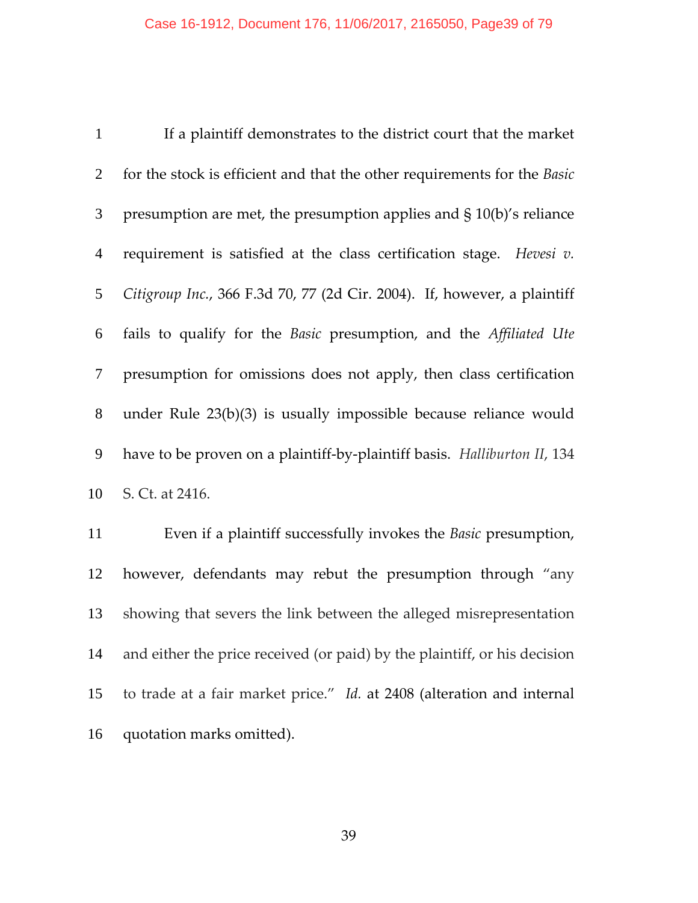If a plaintiff demonstrates to the district court that the market for the stock is efficient and that the other requirements for the *Basic* presumption are met, the presumption applies and § 10(b)'s reliance requirement is satisfied at the class certification stage. *Hevesi v. Citigroup Inc.*, 366 F.3d 70, 77 (2d Cir. 2004). If, however, a plaintiff fails to qualify for the *Basic* presumption, and the *Affiliated Ute* presumption for omissions does not apply, then class certification under Rule 23(b)(3) is usually impossible because reliance would have to be proven on a plaintiff‐by‐plaintiff basis. *Halliburton II*, 134 S. Ct. at 2416.

Even if a plaintiff successfully invokes the *Basic* presumption, however, defendants may rebut the presumption through "any showing that severs the link between the alleged misrepresentation and either the price received (or paid) by the plaintiff, or his decision to trade at a fair market price." *Id.* at 2408 (alteration and internal quotation marks omitted).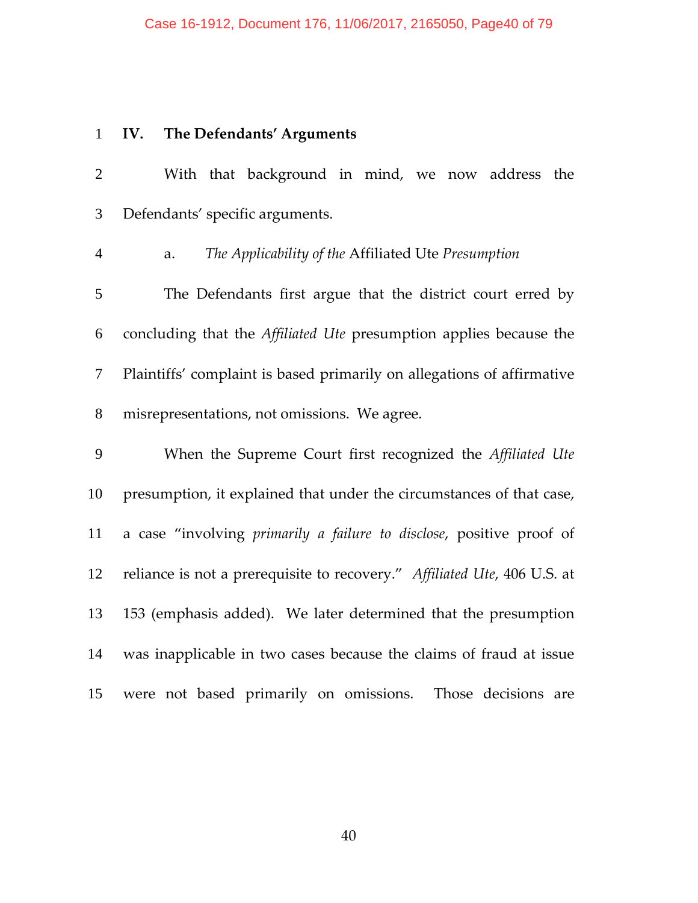# **IV. The Defendants' Arguments**

| $\overline{2}$ | With that background in mind, we now address the                         |
|----------------|--------------------------------------------------------------------------|
| 3              | Defendants' specific arguments.                                          |
| $\overline{4}$ | The Applicability of the Affiliated Ute Presumption<br>a.                |
| 5              | The Defendants first argue that the district court erred by              |
| 6              | concluding that the Affiliated Ute presumption applies because the       |
| $\tau$         | Plaintiffs' complaint is based primarily on allegations of affirmative   |
| 8              | misrepresentations, not omissions. We agree.                             |
| 9              | When the Supreme Court first recognized the Affiliated Ute               |
| 10             | presumption, it explained that under the circumstances of that case,     |
| 11             | a case "involving primarily a failure to disclose, positive proof of     |
| 12             | reliance is not a prerequisite to recovery." Affiliated Ute, 406 U.S. at |
| 13             | 153 (emphasis added). We later determined that the presumption           |
| 14             | was inapplicable in two cases because the claims of fraud at issue       |
| 15             | were not based primarily on omissions.<br>Those decisions are            |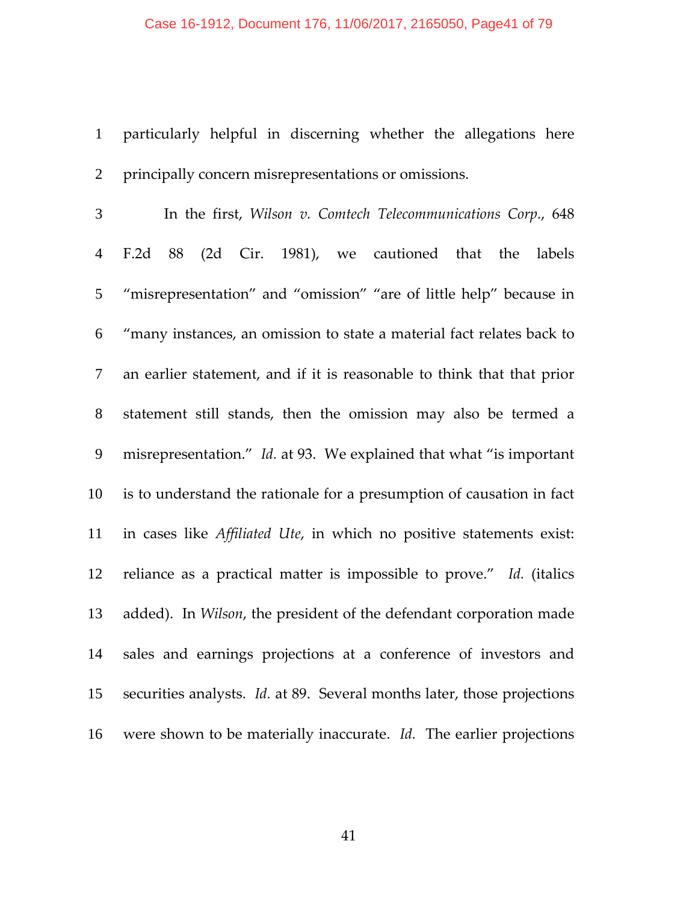particularly helpful in discerning whether the allegations here principally concern misrepresentations or omissions.

In the first, *Wilson v. Comtech Telecommunications Corp.*, 648 F.2d 88 (2d Cir. 1981), we cautioned that the labels "misrepresentation" and "omission" "are of little help" because in "many instances, an omission to state a material fact relates back to an earlier statement, and if it is reasonable to think that that prior statement still stands, then the omission may also be termed a misrepresentation." *Id.* at 93. We explained that what "is important is to understand the rationale for a presumption of causation in fact in cases like *Affiliated Ute*, in which no positive statements exist: reliance as a practical matter is impossible to prove." *Id.* (italics added). In *Wilson*, the president of the defendant corporation made sales and earnings projections at a conference of investors and securities analysts. *Id.* at 89. Several months later, those projections 16 were shown to be materially inaccurate. *Id.* The earlier projections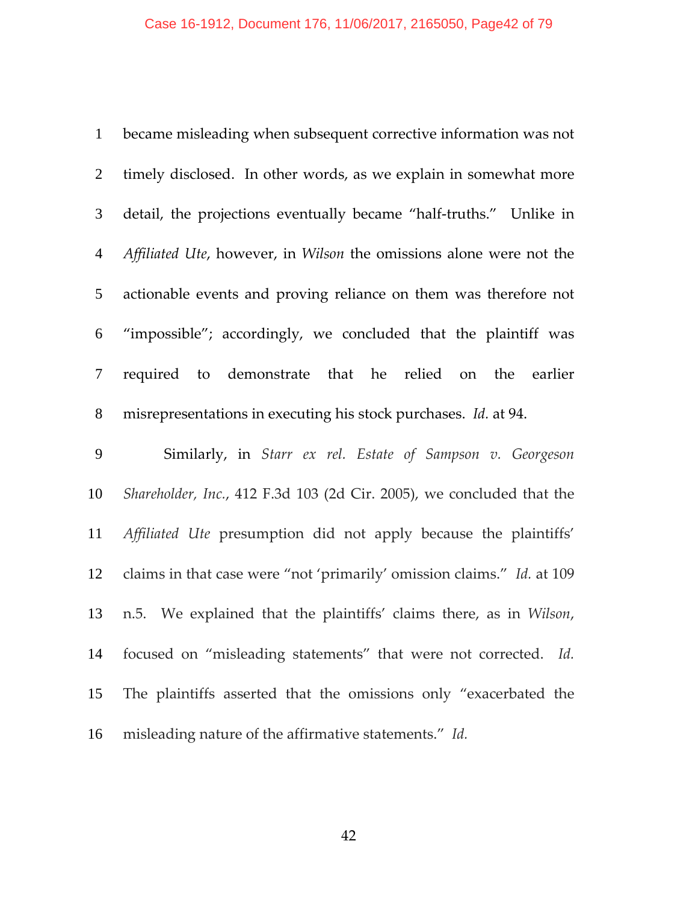| $\mathbf{1}$    | became misleading when subsequent corrective information was not       |
|-----------------|------------------------------------------------------------------------|
| $\overline{2}$  | timely disclosed. In other words, as we explain in somewhat more       |
| $\mathfrak{Z}$  | detail, the projections eventually became "half-truths." Unlike in     |
| $\overline{4}$  | Affiliated Ute, however, in Wilson the omissions alone were not the    |
| $5\overline{)}$ | actionable events and proving reliance on them was therefore not       |
| 6               | "impossible"; accordingly, we concluded that the plaintiff was         |
| $\tau$          | required to demonstrate that he relied on the earlier                  |
| 8               | misrepresentations in executing his stock purchases. Id. at 94.        |
|                 |                                                                        |
| 9               | Similarly, in Starr ex rel. Estate of Sampson v. Georgeson             |
| 10              | Shareholder, Inc., 412 F.3d 103 (2d Cir. 2005), we concluded that the  |
| 11              | Affiliated Ute presumption did not apply because the plaintiffs'       |
| 12              | claims in that case were "not 'primarily' omission claims." Id. at 109 |
| 13              | n.5. We explained that the plaintiffs' claims there, as in Wilson,     |
| 14              | focused on "misleading statements" that were not corrected. Id.        |
| 15              | The plaintiffs asserted that the omissions only "exacerbated the       |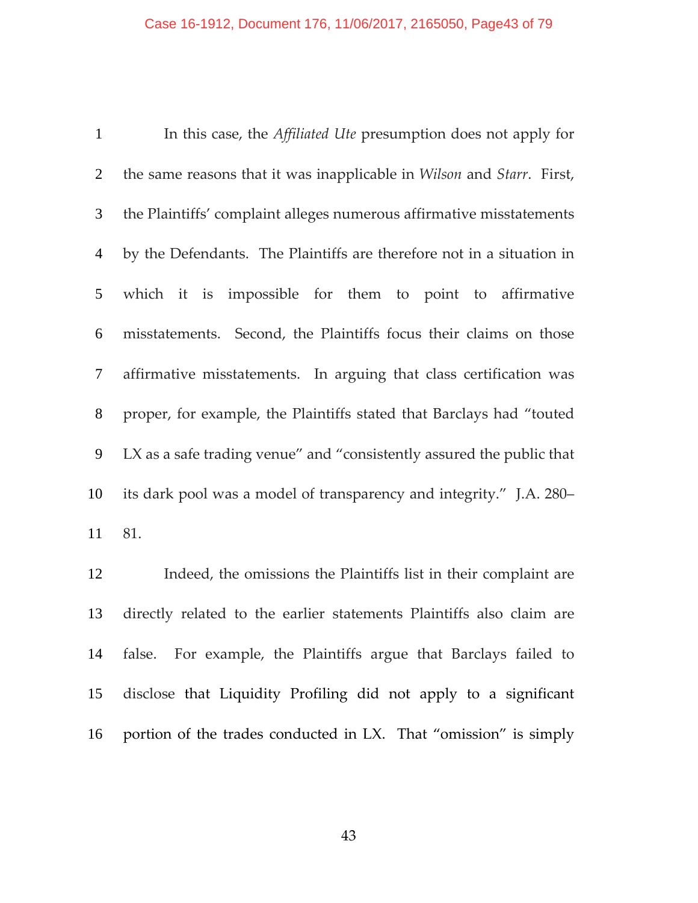In this case, the *Affiliated Ute* presumption does not apply for the same reasons that it was inapplicable in *Wilson* and *Starr*. First, the Plaintiffs' complaint alleges numerous affirmative misstatements by the Defendants. The Plaintiffs are therefore not in a situation in which it is impossible for them to point to affirmative misstatements. Second, the Plaintiffs focus their claims on those affirmative misstatements. In arguing that class certification was proper, for example, the Plaintiffs stated that Barclays had "touted LX as a safe trading venue" and "consistently assured the public that its dark pool was a model of transparency and integrity." J.A. 280– 81.

Indeed, the omissions the Plaintiffs list in their complaint are directly related to the earlier statements Plaintiffs also claim are 14 false. For example, the Plaintiffs argue that Barclays failed to disclose that Liquidity Profiling did not apply to a significant portion of the trades conducted in LX. That "omission" is simply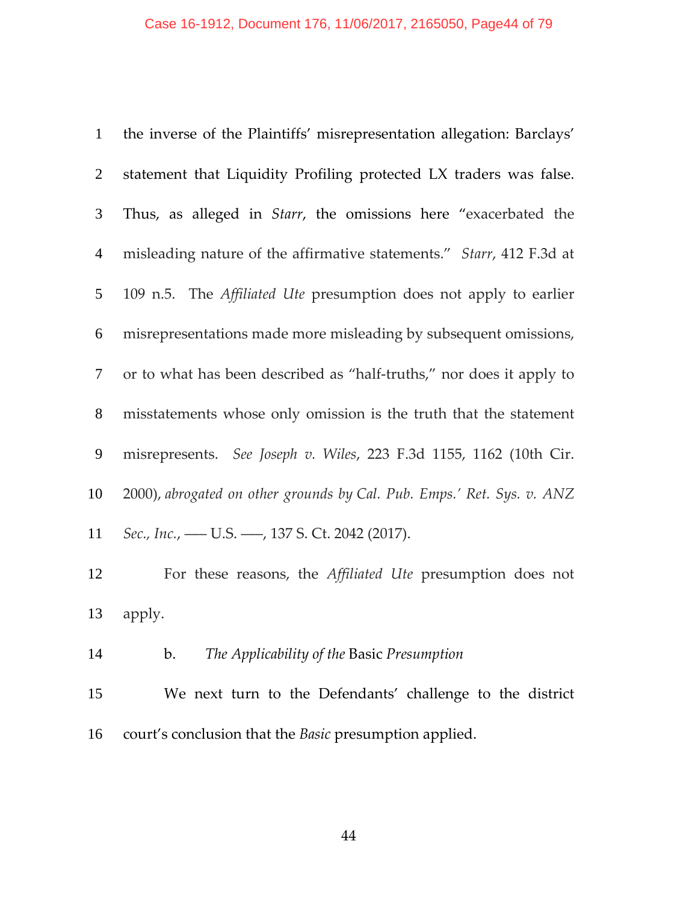| $\mathbf{1}$   | the inverse of the Plaintiffs' misrepresentation allegation: Barclays'   |
|----------------|--------------------------------------------------------------------------|
| 2              | statement that Liquidity Profiling protected LX traders was false.       |
| $\mathfrak{Z}$ | Thus, as alleged in <i>Starr</i> , the omissions here "exacerbated the   |
| 4              | misleading nature of the affirmative statements." Starr, 412 F.3d at     |
| 5              | 109 n.5. The <i>Affiliated Ute</i> presumption does not apply to earlier |
| 6              | misrepresentations made more misleading by subsequent omissions,         |
| 7              | or to what has been described as "half-truths," nor does it apply to     |
| 8              | misstatements whose only omission is the truth that the statement        |
| 9              | misrepresents. See Joseph v. Wiles, 223 F.3d 1155, 1162 (10th Cir.       |
| 10             | 2000), abrogated on other grounds by Cal. Pub. Emps.' Ret. Sys. v. ANZ   |
| 11             | Sec., Inc., - U.S. - , 137 S. Ct. 2042 (2017).                           |
| 12             | For these reasons, the Affiliated Ute presumption does not               |
| 13             | apply.                                                                   |
| 14             | The Applicability of the Basic Presumption<br>$\mathbf{b}$ .             |
| 15             | We next turn to the Defendants' challenge to the district                |
| 16             | court's conclusion that the <i>Basic</i> presumption applied.            |
|                |                                                                          |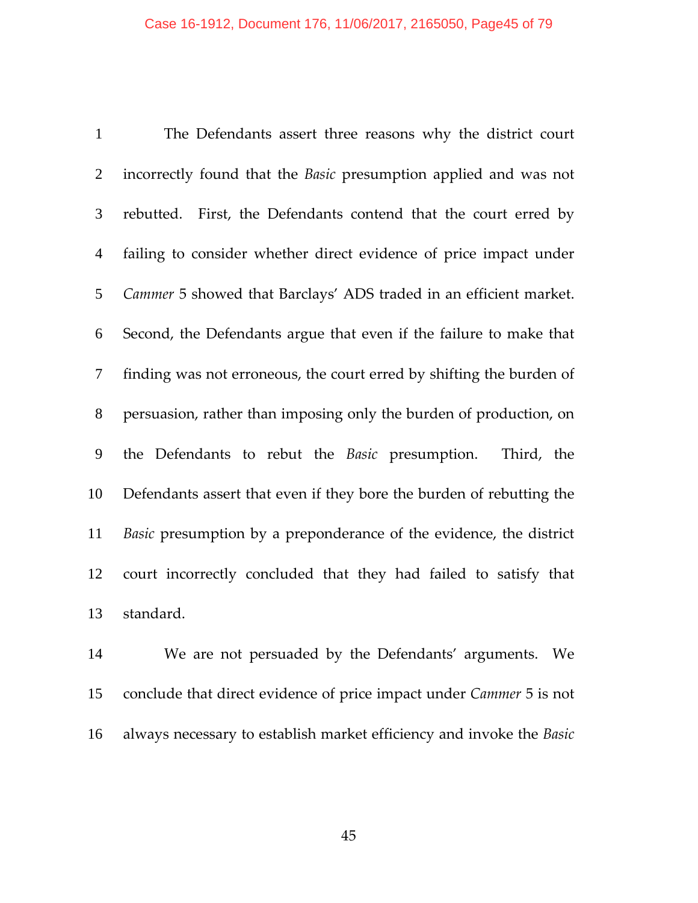The Defendants assert three reasons why the district court incorrectly found that the *Basic* presumption applied and was not rebutted. First, the Defendants contend that the court erred by failing to consider whether direct evidence of price impact under *Cammer* 5 showed that Barclays' ADS traded in an efficient market. Second, the Defendants argue that even if the failure to make that finding was not erroneous, the court erred by shifting the burden of persuasion, rather than imposing only the burden of production, on the Defendants to rebut the *Basic* presumption. Third, the Defendants assert that even if they bore the burden of rebutting the *Basic* presumption by a preponderance of the evidence, the district court incorrectly concluded that they had failed to satisfy that standard.

We are not persuaded by the Defendants' arguments. We conclude that direct evidence of price impact under *Cammer* 5 is not always necessary to establish market efficiency and invoke the *Basic*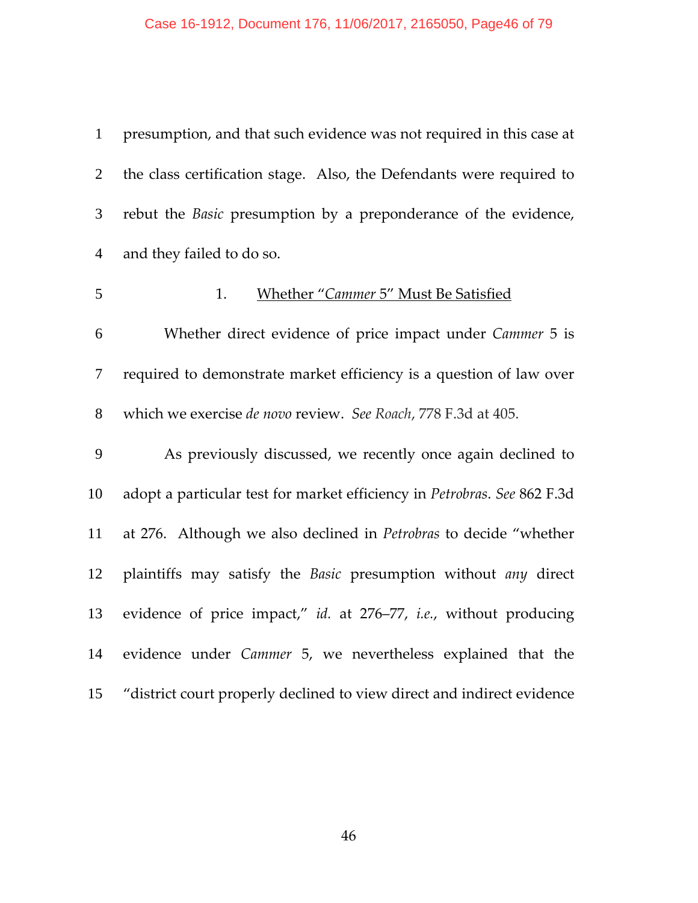#### Case 16-1912, Document 176, 11/06/2017, 2165050, Page46 of 79

presumption, and that such evidence was not required in this case at the class certification stage. Also, the Defendants were required to rebut the *Basic* presumption by a preponderance of the evidence, and they failed to do so. 1. Whether "*Cammer* 5" Must Be Satisfied Whether direct evidence of price impact under *Cammer* 5 is required to demonstrate market efficiency is a question of law over which we exercise *de novo* review. *See Roach*, 778 F.3d at 405. As previously discussed, we recently once again declined to adopt a particular test for market efficiency in *Petrobras*. *See* 862 F.3d at 276. Although we also declined in *Petrobras* to decide "whether plaintiffs may satisfy the *Basic* presumption without *any* direct evidence of price impact," *id.* at 276–77, *i.e.*, without producing evidence under *Cammer* 5, we nevertheless explained that the "district court properly declined to view direct and indirect evidence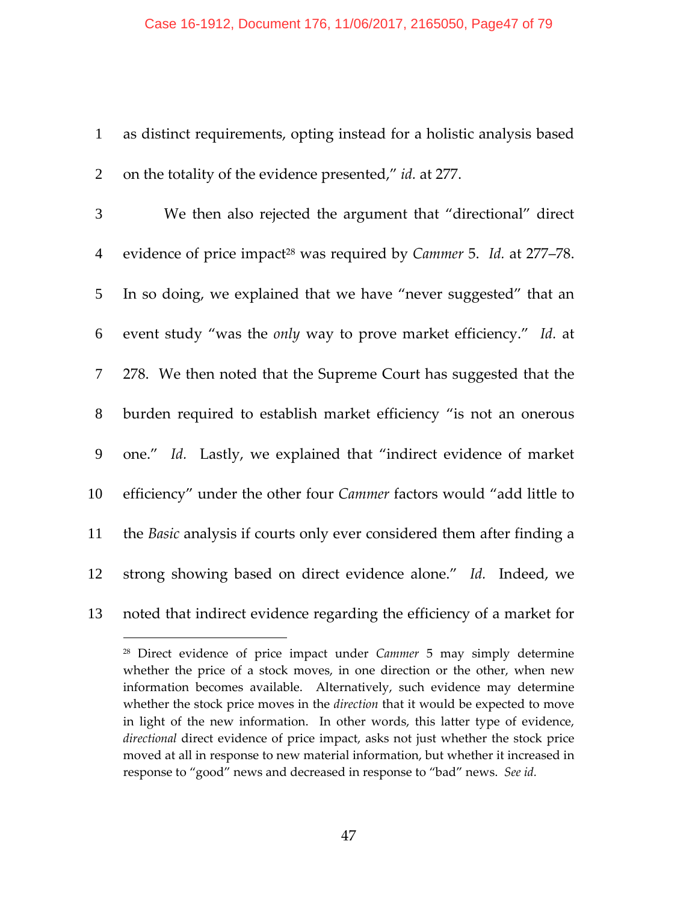1 as distinct requirements, opting instead for a holistic analysis based 2 on the totality of the evidence presented," *id.* at 277.

We then also rejected the argument that "directional" direct 4 evidence of price impact<sup>28</sup> was required by *Cammer* 5. *Id.* at 277–78. In so doing, we explained that we have "never suggested" that an event study "was the *only* way to prove market efficiency." *Id.* at 278. We then noted that the Supreme Court has suggested that the burden required to establish market efficiency "is not an onerous one." *Id.* Lastly, we explained that "indirect evidence of market efficiency" under the other four *Cammer* factors would "add little to the *Basic* analysis if courts only ever considered them after finding a 12 strong showing based on direct evidence alone." Id. Indeed, we noted that indirect evidence regarding the efficiency of a market for

<sup>28</sup> Direct evidence of price impact under *Cammer* 5 may simply determine whether the price of a stock moves, in one direction or the other, when new information becomes available. Alternatively, such evidence may determine whether the stock price moves in the *direction* that it would be expected to move in light of the new information. In other words, this latter type of evidence, *directional* direct evidence of price impact, asks not just whether the stock price moved at all in response to new material information, but whether it increased in response to "good" news and decreased in response to "bad" news. *See id.*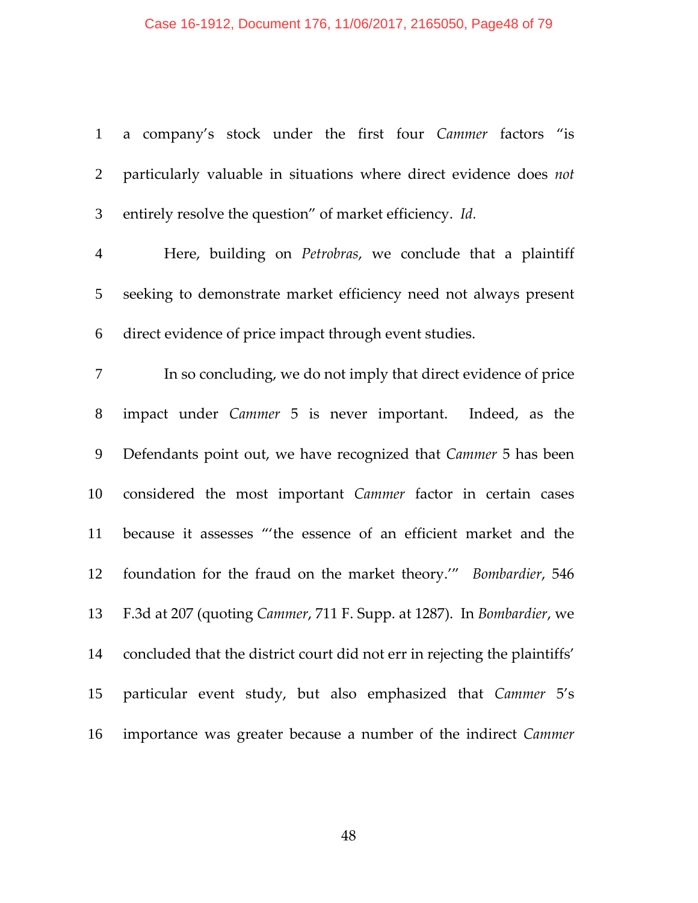## Case 16-1912, Document 176, 11/06/2017, 2165050, Page48 of 79

| 1               | a company's stock under the first four Cammer factors "is                  |
|-----------------|----------------------------------------------------------------------------|
| $\overline{2}$  | particularly valuable in situations where direct evidence does not         |
| $\mathfrak{Z}$  | entirely resolve the question" of market efficiency. Id.                   |
| $\overline{4}$  | Here, building on Petrobras, we conclude that a plaintiff                  |
| $5\overline{)}$ | seeking to demonstrate market efficiency need not always present           |
| 6               | direct evidence of price impact through event studies.                     |
| 7               | In so concluding, we do not imply that direct evidence of price            |
| 8               | impact under Cammer 5 is never important. Indeed, as the                   |
| 9               | Defendants point out, we have recognized that Cammer 5 has been            |
| 10              | considered the most important Cammer factor in certain cases               |
| 11              | because it assesses "'the essence of an efficient market and the           |
| 12              | foundation for the fraud on the market theory." Bombardier, 546            |
| 13              | F.3d at 207 (quoting Cammer, 711 F. Supp. at 1287). In Bombardier, we      |
| 14              | concluded that the district court did not err in rejecting the plaintiffs' |
| 15              | particular event study, but also emphasized that Cammer 5's                |
| 16              | importance was greater because a number of the indirect Cammer             |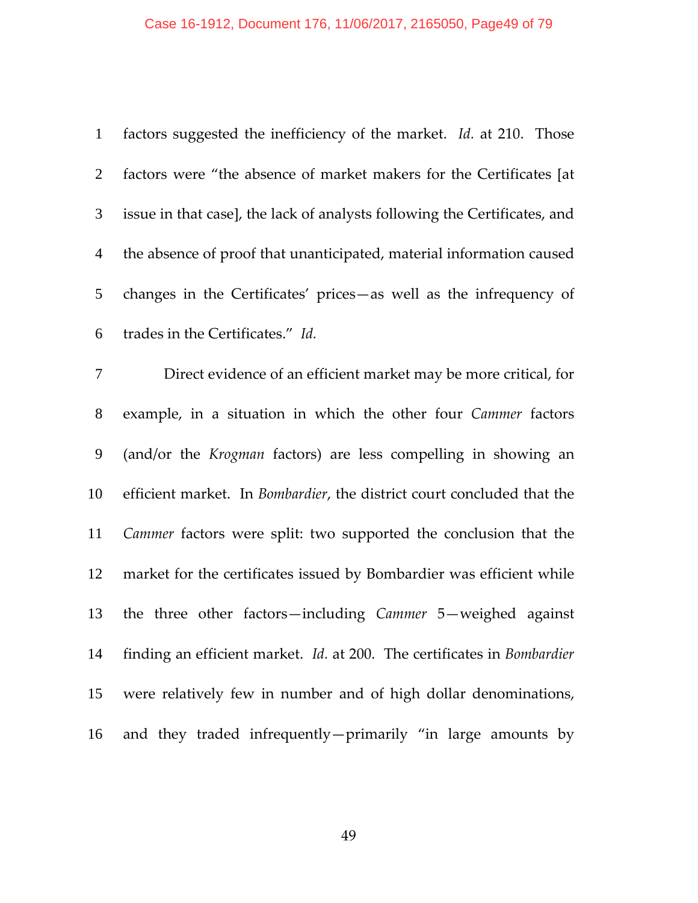# Case 16-1912, Document 176, 11/06/2017, 2165050, Page49 of 79

| $\mathbf{1}$   | factors suggested the inefficiency of the market. Id. at 210. Those       |
|----------------|---------------------------------------------------------------------------|
| $\overline{2}$ | factors were "the absence of market makers for the Certificates [at       |
| $\mathfrak{Z}$ | issue in that case], the lack of analysts following the Certificates, and |
| $\overline{4}$ | the absence of proof that unanticipated, material information caused      |
| 5              | changes in the Certificates' prices-as well as the infrequency of         |
| 6              | trades in the Certificates." Id.                                          |
| $\overline{7}$ | Direct evidence of an efficient market may be more critical, for          |
| $8\,$          | example, in a situation in which the other four Cammer factors            |
| 9              | (and/or the Krogman factors) are less compelling in showing an            |
| 10             | efficient market. In Bombardier, the district court concluded that the    |
| 11             | Cammer factors were split: two supported the conclusion that the          |
| 12             | market for the certificates issued by Bombardier was efficient while      |
| 13             | the three other factors-including Cammer 5-weighed against                |
| 14             | finding an efficient market. Id. at 200. The certificates in Bombardier   |
| 15             | were relatively few in number and of high dollar denominations,           |
| 16             | and they traded infrequently—primarily "in large amounts by               |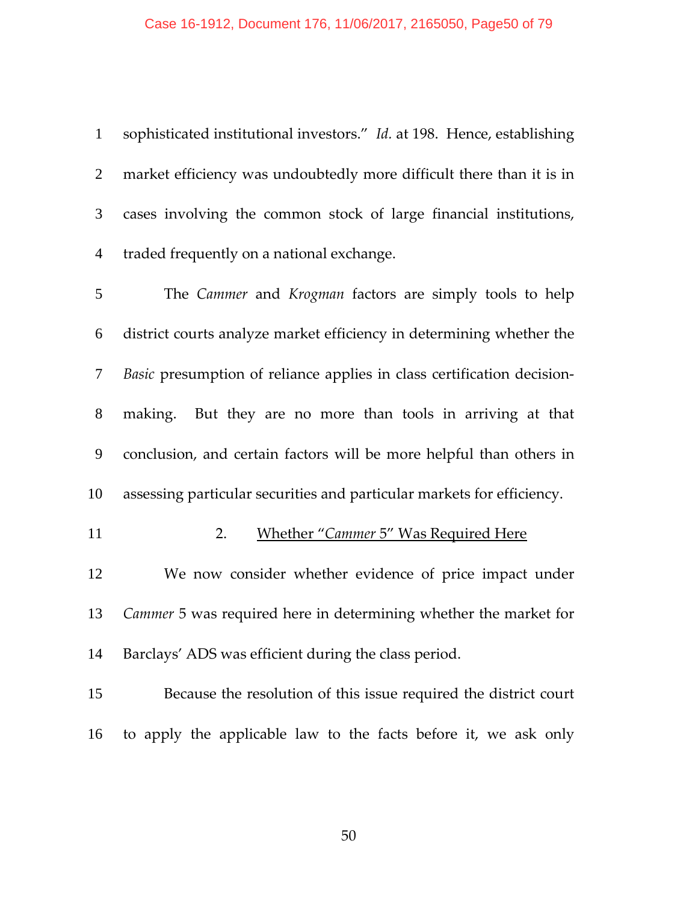## Case 16-1912, Document 176, 11/06/2017, 2165050, Page50 of 79

| $\mathbf{1}$   | sophisticated institutional investors." Id. at 198. Hence, establishing |
|----------------|-------------------------------------------------------------------------|
| 2              | market efficiency was undoubtedly more difficult there than it is in    |
| 3              | cases involving the common stock of large financial institutions,       |
| $\overline{4}$ | traded frequently on a national exchange.                               |
| 5              | The Cammer and Krogman factors are simply tools to help                 |
| 6              | district courts analyze market efficiency in determining whether the    |
| 7              | Basic presumption of reliance applies in class certification decision-  |
| 8              | making. But they are no more than tools in arriving at that             |
| 9              | conclusion, and certain factors will be more helpful than others in     |
| 10             | assessing particular securities and particular markets for efficiency.  |
| 11             | <b>Whether "Cammer 5" Was Required Here</b><br>2.                       |
| 12             | We now consider whether evidence of price impact under                  |
| 13             | Cammer 5 was required here in determining whether the market for        |
| 14             | Barclays' ADS was efficient during the class period.                    |
| 15             | Because the resolution of this issue required the district court        |
| 16             | to apply the applicable law to the facts before it, we ask only         |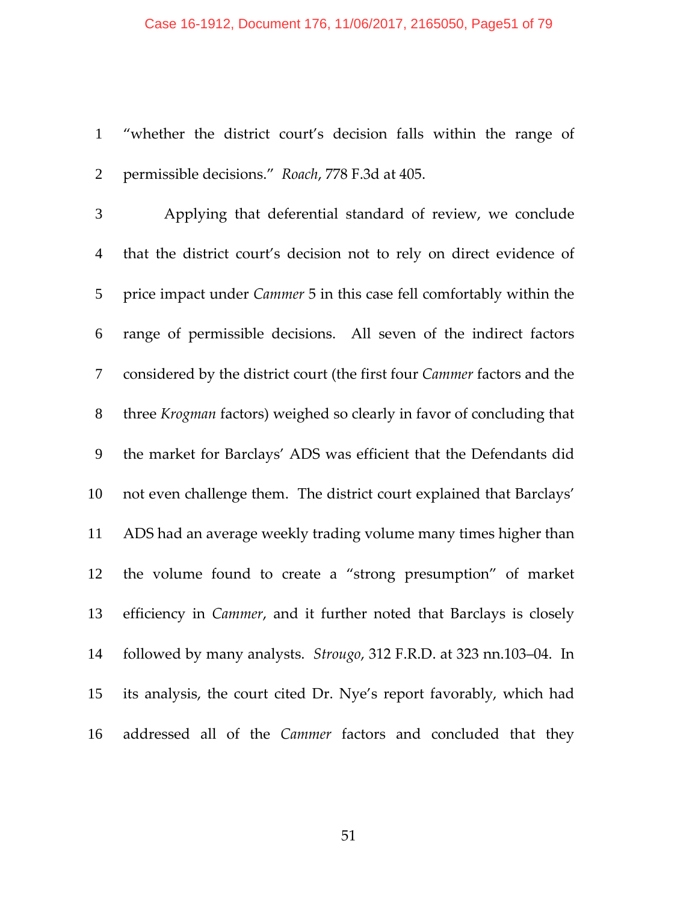#### Case 16-1912, Document 176, 11/06/2017, 2165050, Page51 of 79

"whether the district court's decision falls within the range of permissible decisions." *Roach*, 778 F.3d at 405.

Applying that deferential standard of review, we conclude that the district court's decision not to rely on direct evidence of price impact under *Cammer* 5 in this case fell comfortably within the range of permissible decisions. All seven of the indirect factors considered by the district court (the first four *Cammer* factors and the three *Krogman* factors) weighed so clearly in favor of concluding that the market for Barclays' ADS was efficient that the Defendants did not even challenge them. The district court explained that Barclays' ADS had an average weekly trading volume many times higher than the volume found to create a "strong presumption" of market efficiency in *Cammer*, and it further noted that Barclays is closely followed by many analysts. *Strougo*, 312 F.R.D. at 323 nn.103–04. In its analysis, the court cited Dr. Nye's report favorably, which had addressed all of the *Cammer* factors and concluded that they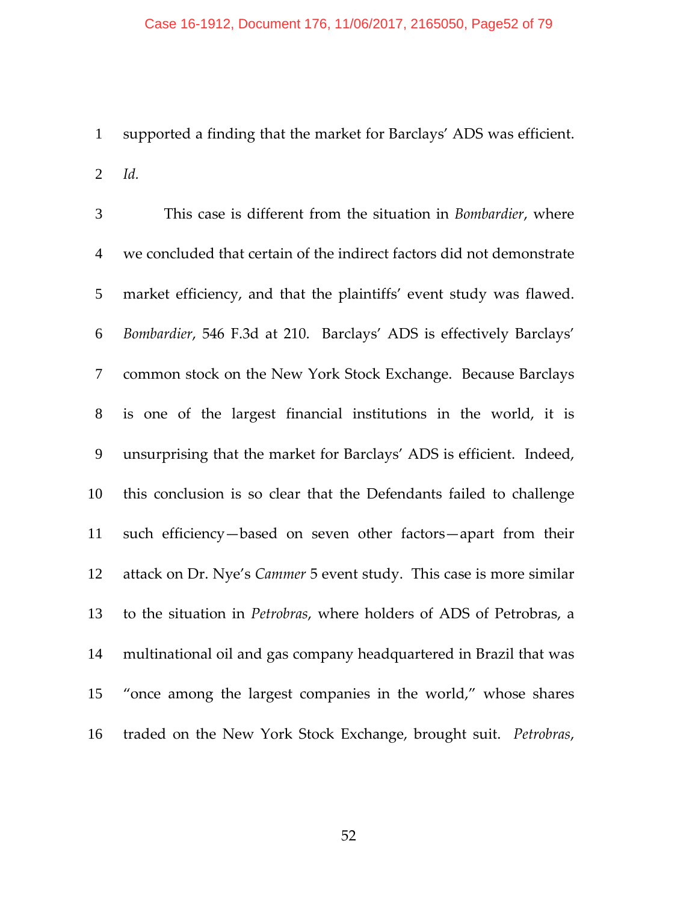#### Case 16-1912, Document 176, 11/06/2017, 2165050, Page52 of 79

supported a finding that the market for Barclays' ADS was efficient. *Id.*

This case is different from the situation in *Bombardier*, where we concluded that certain of the indirect factors did not demonstrate market efficiency, and that the plaintiffs' event study was flawed. *Bombardier*, 546 F.3d at 210. Barclays' ADS is effectively Barclays' common stock on the New York Stock Exchange. Because Barclays is one of the largest financial institutions in the world, it is unsurprising that the market for Barclays' ADS is efficient. Indeed, this conclusion is so clear that the Defendants failed to challenge such efficiency—based on seven other factors—apart from their attack on Dr. Nye's *Cammer* 5 event study. This case is more similar to the situation in *Petrobras*, where holders of ADS of Petrobras, a multinational oil and gas company headquartered in Brazil that was "once among the largest companies in the world," whose shares traded on the New York Stock Exchange, brought suit. *Petrobras*,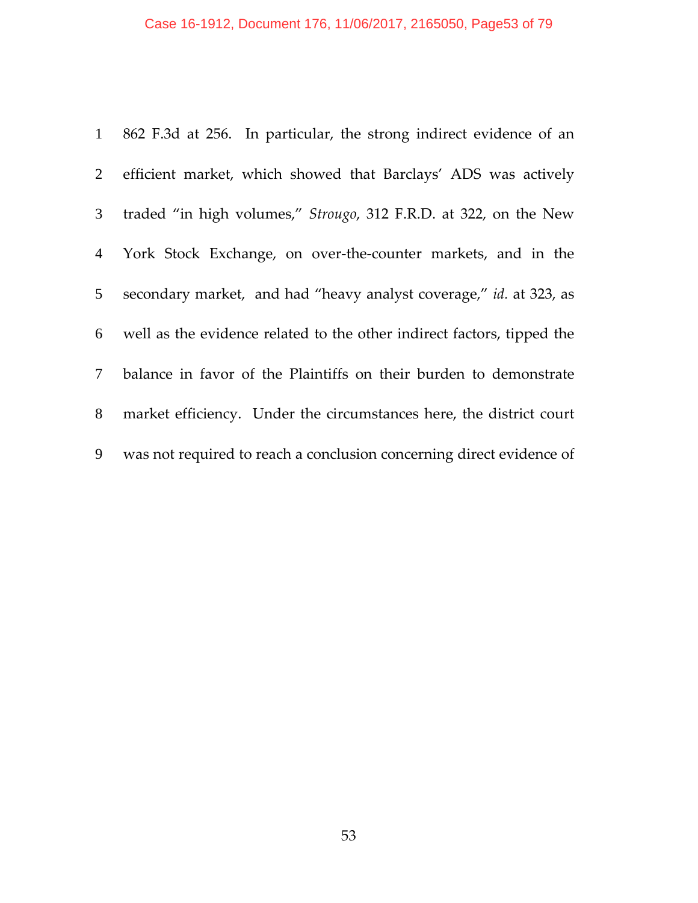|                 | 1 862 F.3d at 256. In particular, the strong indirect evidence of an   |
|-----------------|------------------------------------------------------------------------|
| $\overline{2}$  | efficient market, which showed that Barclays' ADS was actively         |
| 3 <sup>7</sup>  | traded "in high volumes," Strougo, 312 F.R.D. at 322, on the New       |
|                 | 4 York Stock Exchange, on over-the-counter markets, and in the         |
| 5 <sup>5</sup>  | secondary market, and had "heavy analyst coverage," id. at 323, as     |
| 6               | well as the evidence related to the other indirect factors, tipped the |
| $7\overline{ }$ | balance in favor of the Plaintiffs on their burden to demonstrate      |
| 8               | market efficiency. Under the circumstances here, the district court    |
| 9               | was not required to reach a conclusion concerning direct evidence of   |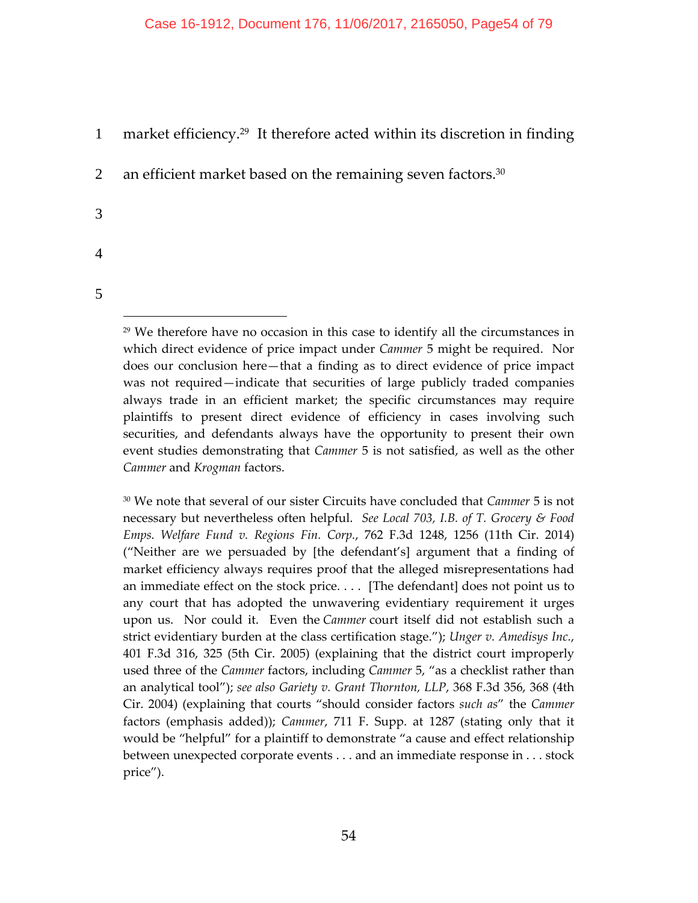## 1 market efficiency.<sup>29</sup> It therefore acted within its discretion in finding

2 an efficient market based on the remaining seven factors. $30$ 

- 3
- 4
- 5

 $\overline{a}$ 

<sup>29</sup> We therefore have no occasion in this case to identify all the circumstances in which direct evidence of price impact under *Cammer* 5 might be required. Nor does our conclusion here—that a finding as to direct evidence of price impact was not required—indicate that securities of large publicly traded companies always trade in an efficient market; the specific circumstances may require plaintiffs to present direct evidence of efficiency in cases involving such securities, and defendants always have the opportunity to present their own event studies demonstrating that *Cammer* 5 is not satisfied, as well as the other *Cammer* and *Krogman* factors.

<sup>30</sup> We note that several of our sister Circuits have concluded that *Cammer* 5 is not necessary but nevertheless often helpful. *See Local 703, I.B. of T. Grocery & Food Emps. Welfare Fund v. Regions Fin. Corp.*, 762 F.3d 1248, 1256 (11th Cir. 2014) ("Neither are we persuaded by [the defendant's] argument that a finding of market efficiency always requires proof that the alleged misrepresentations had an immediate effect on the stock price. . . . [The defendant] does not point us to any court that has adopted the unwavering evidentiary requirement it urges upon us. Nor could it. Even the *Cammer* court itself did not establish such a strict evidentiary burden at the class certification stage."); *Unger v. Amedisys Inc.*, 401 F.3d 316, 325 (5th Cir. 2005) (explaining that the district court improperly used three of the *Cammer* factors, including *Cammer* 5, "as a checklist rather than an analytical tool"); *see also Gariety v. Grant Thornton, LLP*, 368 F.3d 356, 368 (4th Cir. 2004) (explaining that courts "should consider factors *such as*" the *Cammer* factors (emphasis added)); *Cammer*, 711 F. Supp. at 1287 (stating only that it would be "helpful" for a plaintiff to demonstrate "a cause and effect relationship between unexpected corporate events . . . and an immediate response in . . . stock price").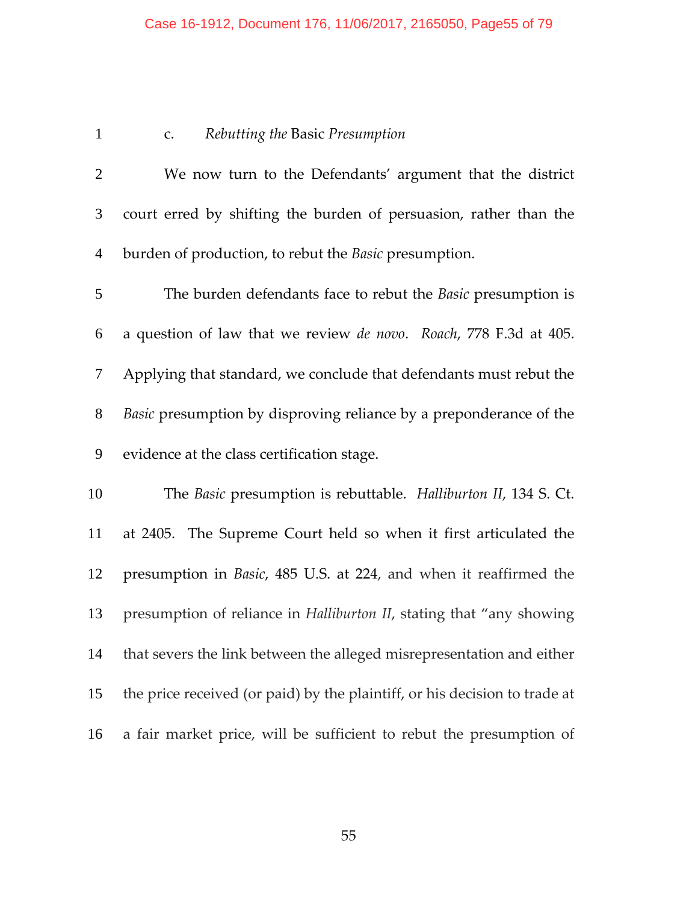### Case 16-1912, Document 176, 11/06/2017, 2165050, Page55 of 79

## c. *Rebutting the* Basic *Presumption*

| $\overline{2}$ | We now turn to the Defendants' argument that the district                 |
|----------------|---------------------------------------------------------------------------|
| $\mathfrak{Z}$ | court erred by shifting the burden of persuasion, rather than the         |
| 4              | burden of production, to rebut the Basic presumption.                     |
| 5              | The burden defendants face to rebut the <i>Basic</i> presumption is       |
| 6              | a question of law that we review <i>de novo</i> . Roach, 778 F.3d at 405. |
| $\mathcal{T}$  | Applying that standard, we conclude that defendants must rebut the        |
| 8              | Basic presumption by disproving reliance by a preponderance of the        |
| 9              | evidence at the class certification stage.                                |
| 10             | The Basic presumption is rebuttable. Halliburton II, 134 S. Ct.           |
| 11             | at 2405. The Supreme Court held so when it first articulated the          |
| 12             | presumption in <i>Basic</i> , 485 U.S. at 224, and when it reaffirmed the |

presumption of reliance in *Halliburton II*, stating that "any showing

that severs the link between the alleged misrepresentation and either

the price received (or paid) by the plaintiff, or his decision to trade at

a fair market price, will be sufficient to rebut the presumption of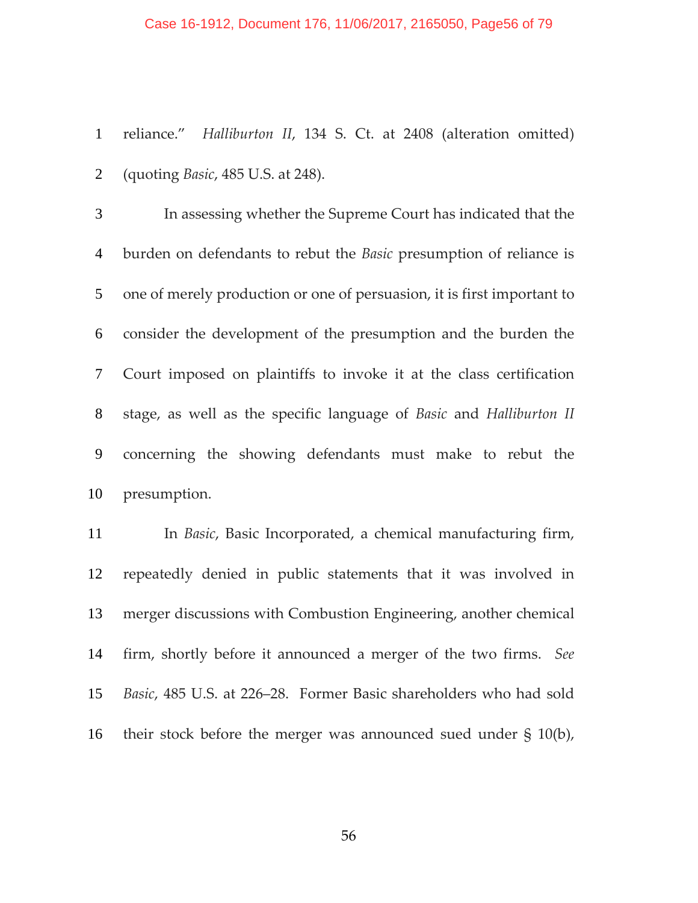#### Case 16-1912, Document 176, 11/06/2017, 2165050, Page56 of 79

reliance." *Halliburton II*, 134 S. Ct. at 2408 (alteration omitted) (quoting *Basic*, 485 U.S. at 248).

In assessing whether the Supreme Court has indicated that the burden on defendants to rebut the *Basic* presumption of reliance is one of merely production or one of persuasion, it is first important to consider the development of the presumption and the burden the Court imposed on plaintiffs to invoke it at the class certification stage, as well as the specific language of *Basic* and *Halliburton II* concerning the showing defendants must make to rebut the presumption.

In *Basic*, Basic Incorporated, a chemical manufacturing firm, repeatedly denied in public statements that it was involved in merger discussions with Combustion Engineering, another chemical firm, shortly before it announced a merger of the two firms. *See Basic*, 485 U.S. at 226–28. Former Basic shareholders who had sold their stock before the merger was announced sued under § 10(b),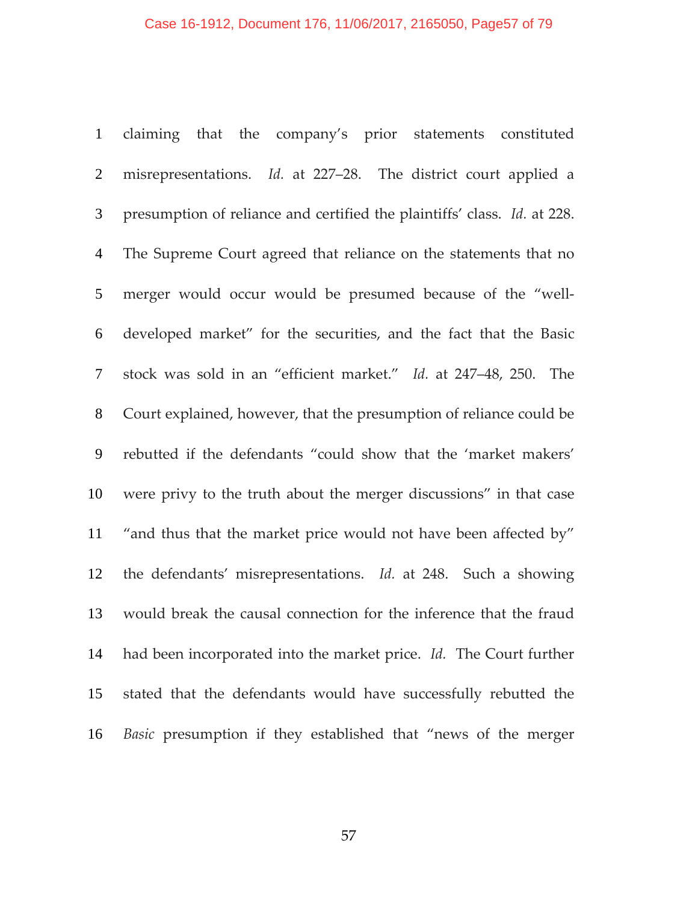claiming that the company's prior statements constituted misrepresentations. *Id.* at 227–28. The district court applied a presumption of reliance and certified the plaintiffs' class. *Id.* at 228. The Supreme Court agreed that reliance on the statements that no 5 merger would occur would be presumed because of the "well-developed market" for the securities, and the fact that the Basic stock was sold in an "efficient market." *Id.* at 247–48, 250. The Court explained, however, that the presumption of reliance could be rebutted if the defendants "could show that the 'market makers' were privy to the truth about the merger discussions" in that case "and thus that the market price would not have been affected by" the defendants' misrepresentations. *Id.* at 248. Such a showing would break the causal connection for the inference that the fraud had been incorporated into the market price. *Id.* The Court further stated that the defendants would have successfully rebutted the *Basic* presumption if they established that "news of the merger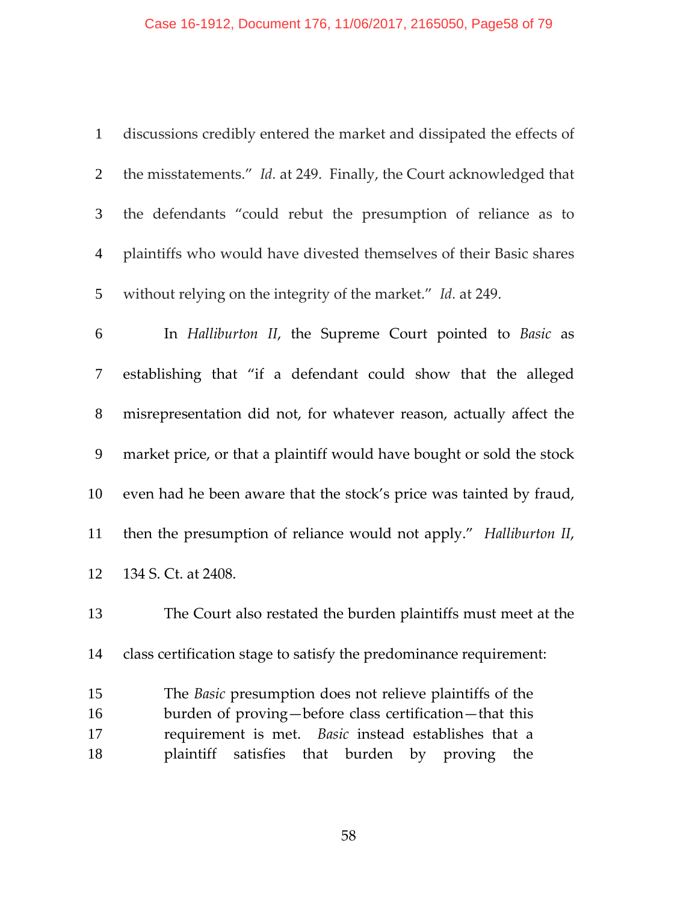# Case 16-1912, Document 176, 11/06/2017, 2165050, Page58 of 79

| $\mathbf{1}$             | discussions credibly entered the market and dissipated the effects of                                                     |
|--------------------------|---------------------------------------------------------------------------------------------------------------------------|
| $\overline{2}$           | the misstatements." Id. at 249. Finally, the Court acknowledged that                                                      |
| $\mathfrak{Z}$           | the defendants "could rebut the presumption of reliance as to                                                             |
| $\overline{4}$           | plaintiffs who would have divested themselves of their Basic shares                                                       |
| $5\overline{)}$          | without relying on the integrity of the market." Id. at 249.                                                              |
| 6                        | In Halliburton II, the Supreme Court pointed to Basic as                                                                  |
| $\overline{\mathcal{L}}$ | establishing that "if a defendant could show that the alleged                                                             |
| $8\,$                    | misrepresentation did not, for whatever reason, actually affect the                                                       |
| 9                        | market price, or that a plaintiff would have bought or sold the stock                                                     |
| 10                       | even had he been aware that the stock's price was tainted by fraud,                                                       |
| 11                       | then the presumption of reliance would not apply." Halliburton II,                                                        |
| 12                       | 134 S. Ct. at 2408.                                                                                                       |
| 13                       | The Court also restated the burden plaintiffs must meet at the                                                            |
| 14                       | class certification stage to satisfy the predominance requirement:                                                        |
| 15<br>16                 | The <i>Basic</i> presumption does not relieve plaintiffs of the<br>burden of proving-before class certification-that this |
| 17                       | requirement is met. Basic instead establishes that a                                                                      |
| 18                       | plaintiff<br>satisfies that burden by proving the                                                                         |
|                          |                                                                                                                           |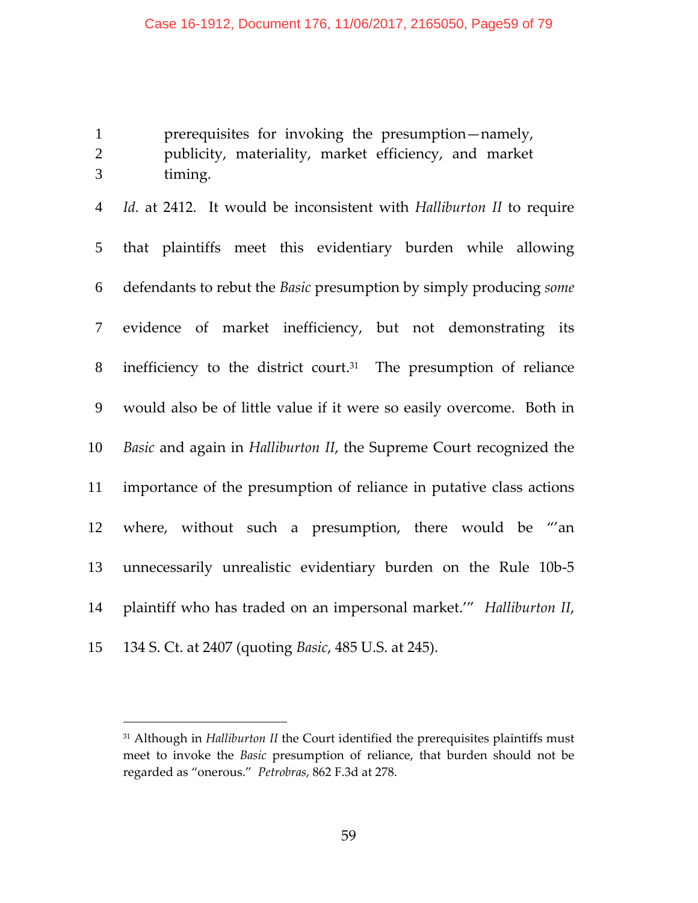prerequisites for invoking the presumption—namely, publicity, materiality, market efficiency, and market timing.

*Id.* at 2412. It would be inconsistent with *Halliburton II* to require that plaintiffs meet this evidentiary burden while allowing defendants to rebut the *Basic* presumption by simply producing *some* evidence of market inefficiency, but not demonstrating its  $\delta$  inefficiency to the district court.<sup>31</sup> The presumption of reliance would also be of little value if it were so easily overcome. Both in *Basic* and again in *Halliburton II*, the Supreme Court recognized the importance of the presumption of reliance in putative class actions where, without such a presumption, there would be "'an 13 unnecessarily unrealistic evidentiary burden on the Rule 10b-5 plaintiff who has traded on an impersonal market.'" *Halliburton II*, 134 S. Ct. at 2407 (quoting *Basic*, 485 U.S. at 245).

 Although in *Halliburton II* the Court identified the prerequisites plaintiffs must meet to invoke the *Basic* presumption of reliance, that burden should not be regarded as "onerous." *Petrobras*, 862 F.3d at 278.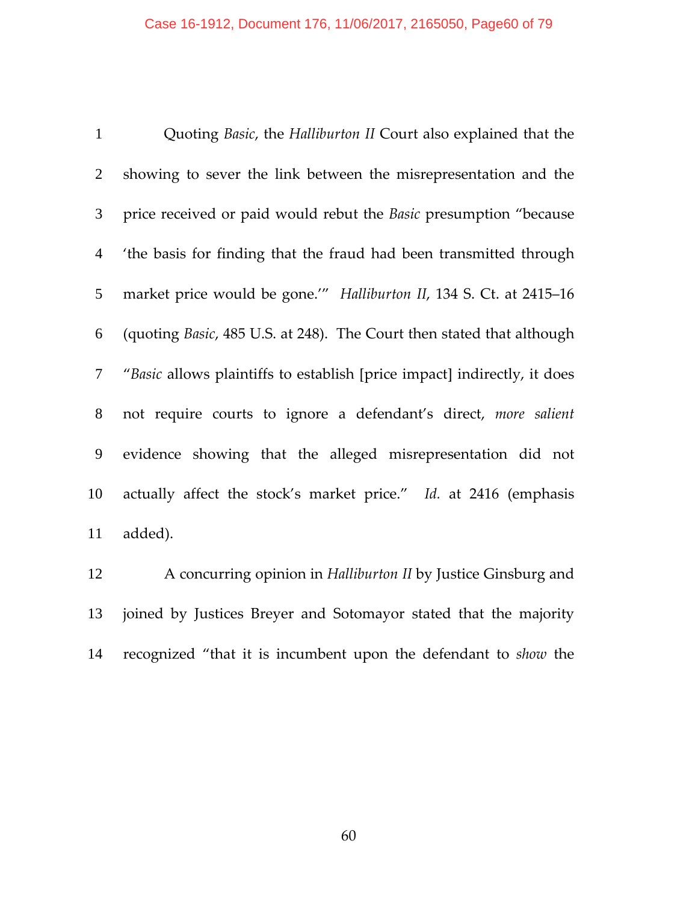Quoting *Basic*, the *Halliburton II* Court also explained that the showing to sever the link between the misrepresentation and the price received or paid would rebut the *Basic* presumption "because 'the basis for finding that the fraud had been transmitted through market price would be gone.'" *Halliburton II*, 134 S. Ct. at 2415–16 (quoting *Basic*, 485 U.S. at 248). The Court then stated that although "*Basic* allows plaintiffs to establish [price impact] indirectly, it does not require courts to ignore a defendant's direct, *more salient* evidence showing that the alleged misrepresentation did not actually affect the stock's market price." *Id.* at 2416 (emphasis added).

A concurring opinion in *Halliburton II* by Justice Ginsburg and joined by Justices Breyer and Sotomayor stated that the majority recognized "that it is incumbent upon the defendant to *show* the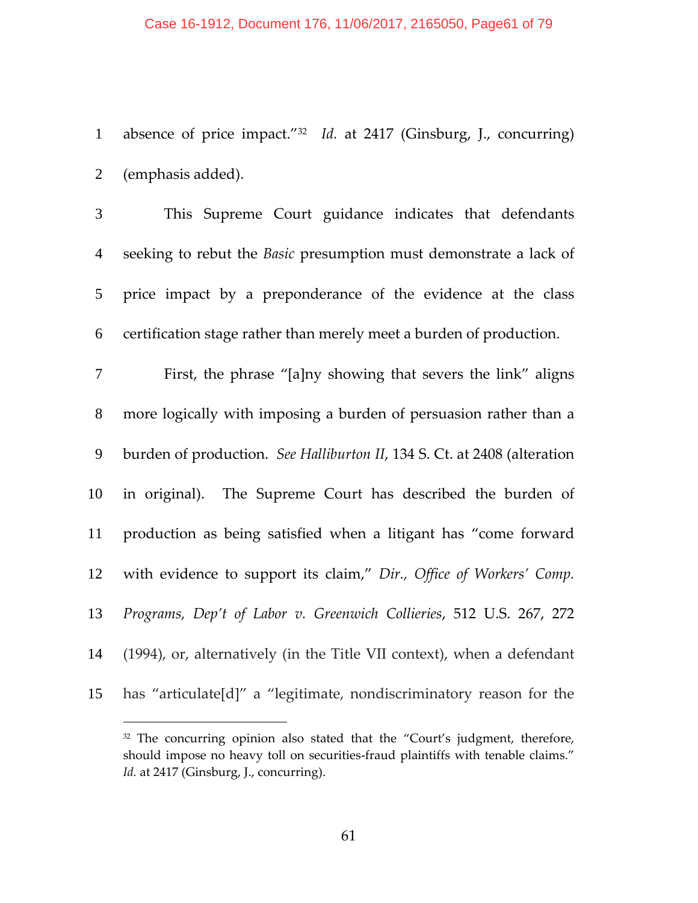1 absence of price impact.<sup>"32</sup> *Id.* at 2417 (Ginsburg, J., concurring) (emphasis added).

This Supreme Court guidance indicates that defendants seeking to rebut the *Basic* presumption must demonstrate a lack of price impact by a preponderance of the evidence at the class certification stage rather than merely meet a burden of production. First, the phrase "[a]ny showing that severs the link" aligns more logically with imposing a burden of persuasion rather than a burden of production. *See Halliburton II*, 134 S. Ct. at 2408 (alteration 10 in original). The Supreme Court has described the burden of production as being satisfied when a litigant has "come forward with evidence to support its claim," *Dir., Office of Workers' Comp.*

*Programs, Dep't of Labor v. Greenwich Collieries*, 512 U.S. 267, 272

(1994), or, alternatively (in the Title VII context), when a defendant

has "articulate[d]" a "legitimate, nondiscriminatory reason for the

<sup>&</sup>lt;sup>32</sup> The concurring opinion also stated that the "Court's judgment, therefore, should impose no heavy toll on securities‐fraud plaintiffs with tenable claims." Id. at 2417 (Ginsburg, J., concurring).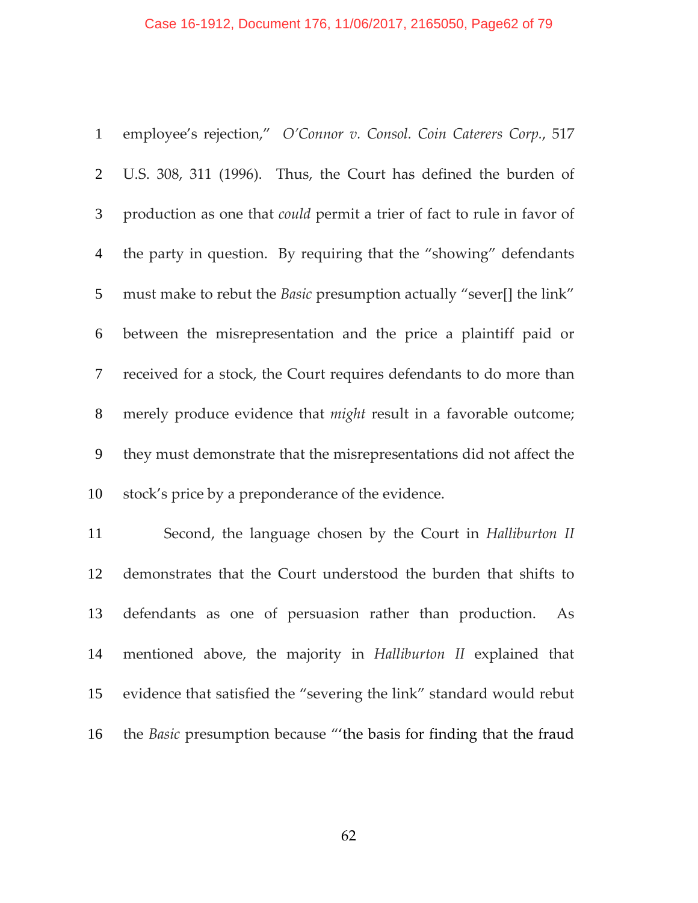### Case 16-1912, Document 176, 11/06/2017, 2165050, Page62 of 79

| $\mathbf{1}$   | employee's rejection," O'Connor v. Consol. Coin Caterers Corp., 517            |
|----------------|--------------------------------------------------------------------------------|
| $\overline{2}$ | U.S. 308, 311 (1996). Thus, the Court has defined the burden of                |
| $\mathfrak{Z}$ | production as one that <i>could</i> permit a trier of fact to rule in favor of |
| $\overline{4}$ | the party in question. By requiring that the "showing" defendants              |
| 5              | must make to rebut the <i>Basic</i> presumption actually "sever[] the link"    |
| 6              | between the misrepresentation and the price a plaintiff paid or                |
| $\tau$         | received for a stock, the Court requires defendants to do more than            |
| 8              | merely produce evidence that <i>might</i> result in a favorable outcome;       |
| 9              | they must demonstrate that the misrepresentations did not affect the           |
| 10             | stock's price by a preponderance of the evidence.                              |
| 11             | Second, the language chosen by the Court in Halliburton II                     |
| 12             | demonstrates that the Court understood the burden that shifts to               |
| 13             | defendants as one of persuasion rather than production.<br>As                  |

mentioned above, the majority in *Halliburton II* explained that evidence that satisfied the "severing the link" standard would rebut the *Basic* presumption because "'the basis for finding that the fraud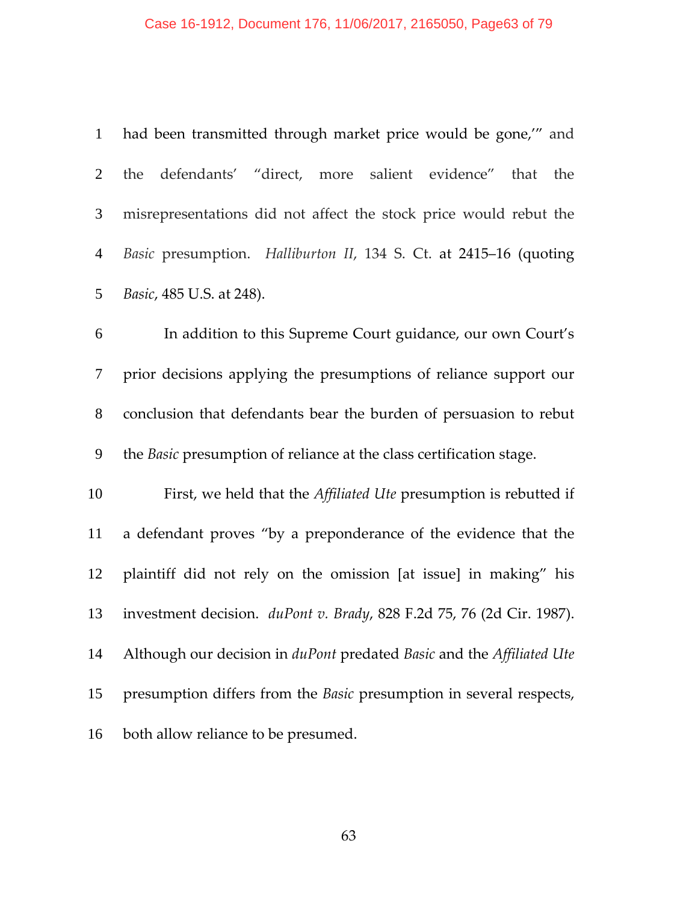#### Case 16-1912, Document 176, 11/06/2017, 2165050, Page63 of 79

|                | 1 had been transmitted through market price would be gone," and     |
|----------------|---------------------------------------------------------------------|
|                | 2 the defendants' "direct, more salient evidence" that the          |
|                | 3 misrepresentations did not affect the stock price would rebut the |
|                | 4 Basic presumption. Halliburton II, 134 S. Ct. at 2415–16 (quoting |
| 5 <sup>5</sup> | <i>Basic</i> , 485 U.S. at 248).                                    |

In addition to this Supreme Court guidance, our own Court's prior decisions applying the presumptions of reliance support our conclusion that defendants bear the burden of persuasion to rebut the *Basic* presumption of reliance at the class certification stage.

First, we held that the *Affiliated Ute* presumption is rebutted if a defendant proves "by a preponderance of the evidence that the plaintiff did not rely on the omission [at issue] in making" his investment decision. *duPont v. Brady*, 828 F.2d 75, 76 (2d Cir. 1987). Although our decision in *duPont* predated *Basic* and the *Affiliated Ute* presumption differs from the *Basic* presumption in several respects, both allow reliance to be presumed.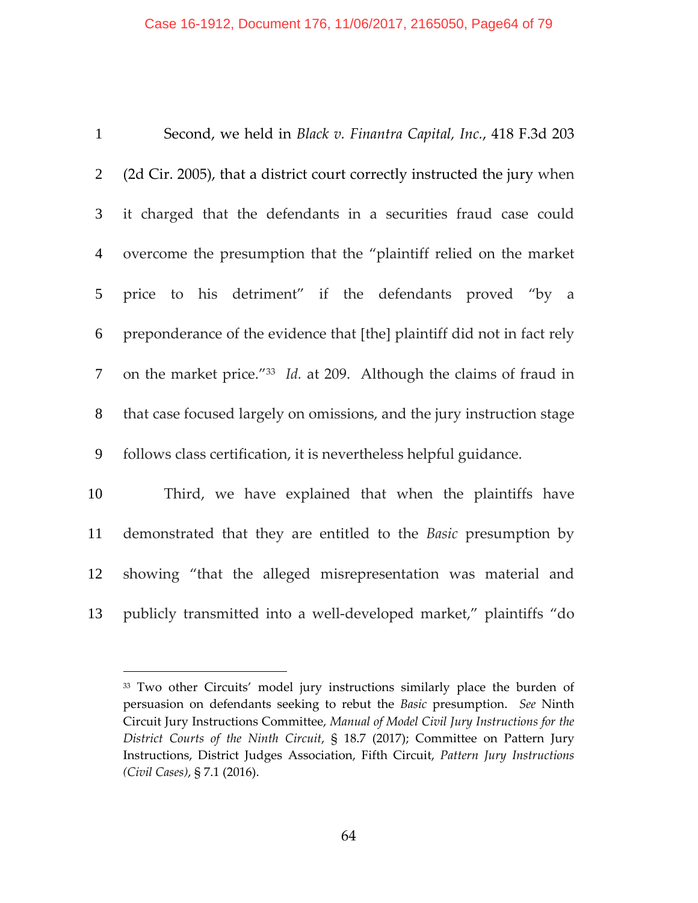#### Case 16-1912, Document 176, 11/06/2017, 2165050, Page64 of 79

| $\mathbf{1}$    | Second, we held in Black v. Finantra Capital, Inc., 418 F.3d 203         |
|-----------------|--------------------------------------------------------------------------|
| $\overline{2}$  | (2d Cir. 2005), that a district court correctly instructed the jury when |
| $\mathfrak{Z}$  | it charged that the defendants in a securities fraud case could          |
| $\overline{4}$  | overcome the presumption that the "plaintiff relied on the market        |
| $5\overline{)}$ | price to his detriment" if the defendants proved "by a                   |
| 6               | preponderance of the evidence that [the] plaintiff did not in fact rely  |
| $\overline{7}$  | on the market price."33 Id. at 209. Although the claims of fraud in      |
| 8               | that case focused largely on omissions, and the jury instruction stage   |
| 9               | follows class certification, it is nevertheless helpful guidance.        |
| 10              | Third, we have explained that when the plaintiffs have                   |
| 11              | demonstrated that they are entitled to the <i>Basic</i> presumption by   |
| 12              | showing "that the alleged misrepresentation was material and             |
|                 |                                                                          |

<sup>13</sup> publicly transmitted into a well-developed market," plaintiffs "do

<sup>&</sup>lt;sup>33</sup> Two other Circuits' model jury instructions similarly place the burden of persuasion on defendants seeking to rebut the *Basic* presumption. *See* Ninth Circuit Jury Instructions Committee, *Manual of Model Civil Jury Instructions for the District Courts of the Ninth Circuit*, § 18.7 (2017); Committee on Pattern Jury Instructions, District Judges Association, Fifth Circuit, *Pattern Jury Instructions (Civil Cases)*, § 7.1 (2016).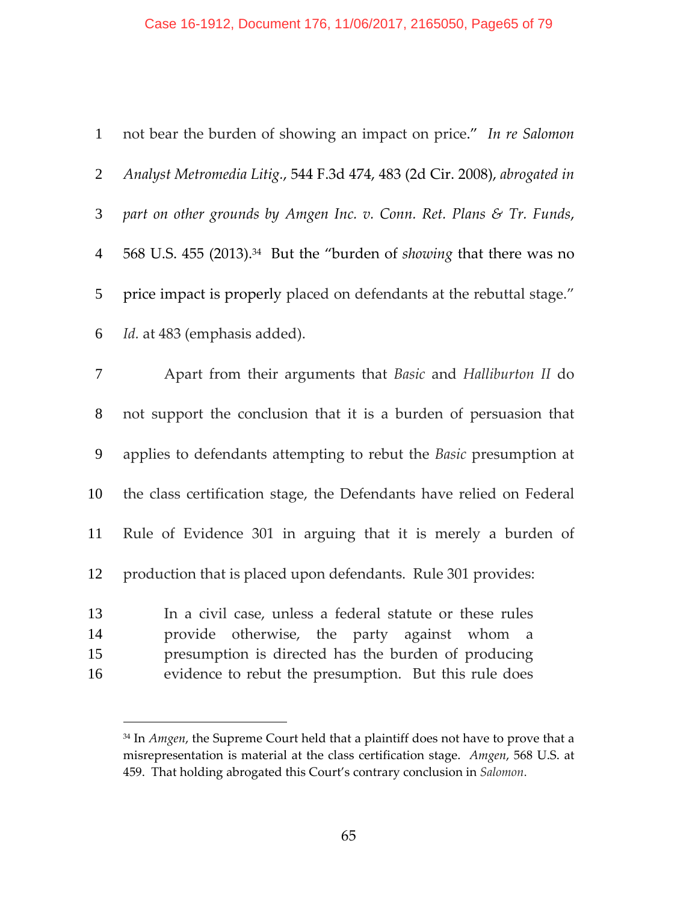### Case 16-1912, Document 176, 11/06/2017, 2165050, Page65 of 79

| $\mathbf{1}$         | not bear the burden of showing an impact on price." In re Salomon                                                                                                                                                                        |
|----------------------|------------------------------------------------------------------------------------------------------------------------------------------------------------------------------------------------------------------------------------------|
| $\overline{2}$       | Analyst Metromedia Litig., 544 F.3d 474, 483 (2d Cir. 2008), abrogated in                                                                                                                                                                |
| 3                    | part on other grounds by Amgen Inc. v. Conn. Ret. Plans & Tr. Funds,                                                                                                                                                                     |
| $\overline{4}$       | 568 U.S. 455 (2013). <sup>34</sup> But the "burden of showing that there was no                                                                                                                                                          |
| 5                    | price impact is properly placed on defendants at the rebuttal stage."                                                                                                                                                                    |
| 6                    | Id. at 483 (emphasis added).                                                                                                                                                                                                             |
| 7                    | Apart from their arguments that Basic and Halliburton II do                                                                                                                                                                              |
| $8\,$                | not support the conclusion that it is a burden of persuasion that                                                                                                                                                                        |
| 9                    | applies to defendants attempting to rebut the Basic presumption at                                                                                                                                                                       |
| 10                   | the class certification stage, the Defendants have relied on Federal                                                                                                                                                                     |
| 11                   | Rule of Evidence 301 in arguing that it is merely a burden of                                                                                                                                                                            |
| 12                   | production that is placed upon defendants. Rule 301 provides:                                                                                                                                                                            |
| 13<br>14<br>15<br>16 | In a civil case, unless a federal statute or these rules<br>otherwise, the party against whom<br>provide<br><sub>a</sub><br>presumption is directed has the burden of producing<br>evidence to rebut the presumption. But this rule does |

<sup>&</sup>lt;sup>34</sup> In *Amgen*, the Supreme Court held that a plaintiff does not have to prove that a misrepresentation is material at the class certification stage. *Amgen*, 568 U.S. at 459. That holding abrogated this Court's contrary conclusion in *Salomon*.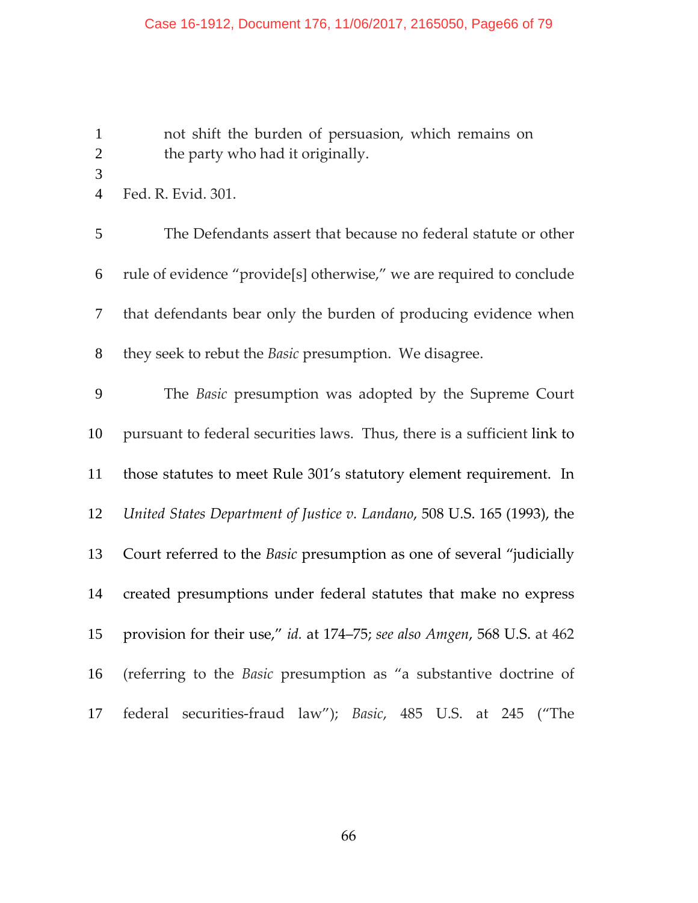not shift the burden of persuasion, which remains on the party who had it originally.

Fed. R. Evid. 301.

The Defendants assert that because no federal statute or other rule of evidence "provide[s] otherwise," we are required to conclude that defendants bear only the burden of producing evidence when they seek to rebut the *Basic* presumption. We disagree.

The *Basic* presumption was adopted by the Supreme Court pursuant to federal securities laws. Thus, there is a sufficient link to those statutes to meet Rule 301's statutory element requirement. In *United States Department of Justice v. Landano*, 508 U.S. 165 (1993), the Court referred to the *Basic* presumption as one of several "judicially created presumptions under federal statutes that make no express provision for their use," *id.* at 174–75; *see also Amgen*, 568 U.S. at 462 (referring to the *Basic* presumption as "a substantive doctrine of federal securities‐fraud law"); *Basic*, 485 U.S. at 245 ("The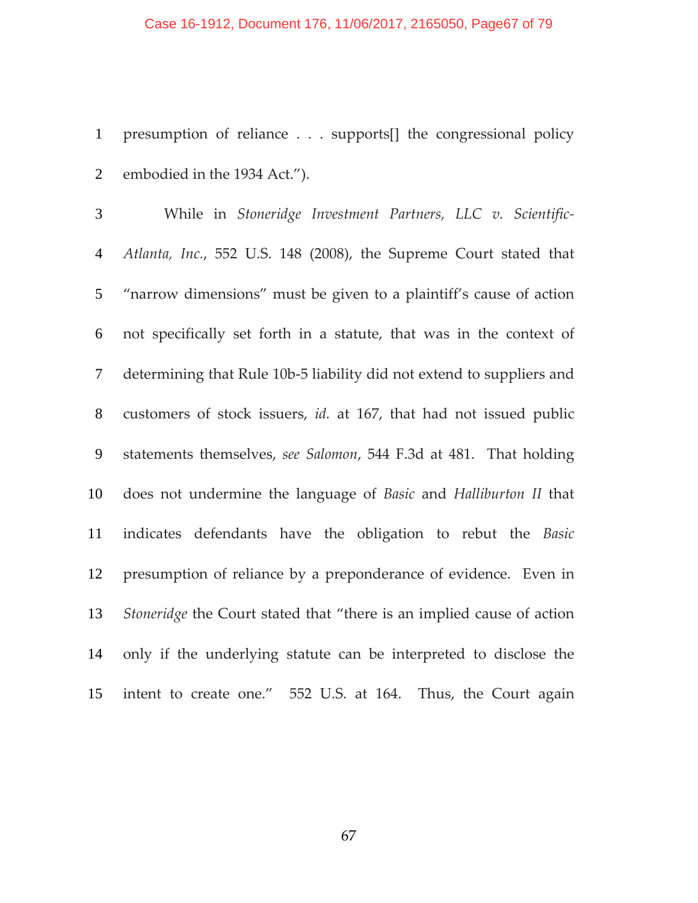#### Case 16-1912, Document 176, 11/06/2017, 2165050, Page67 of 79

presumption of reliance . . . supports[] the congressional policy embodied in the 1934 Act.").

While in *Stoneridge Investment Partners, LLC v. Scientific‐ Atlanta, Inc.*, 552 U.S. 148 (2008), the Supreme Court stated that "narrow dimensions" must be given to a plaintiff's cause of action not specifically set forth in a statute, that was in the context of determining that Rule 10b‐5 liability did not extend to suppliers and customers of stock issuers, *id.* at 167, that had not issued public statements themselves, *see Salomon*, 544 F.3d at 481. That holding does not undermine the language of *Basic* and *Halliburton II* that indicates defendants have the obligation to rebut the *Basic* presumption of reliance by a preponderance of evidence. Even in *Stoneridge* the Court stated that "there is an implied cause of action only if the underlying statute can be interpreted to disclose the intent to create one." 552 U.S. at 164. Thus, the Court again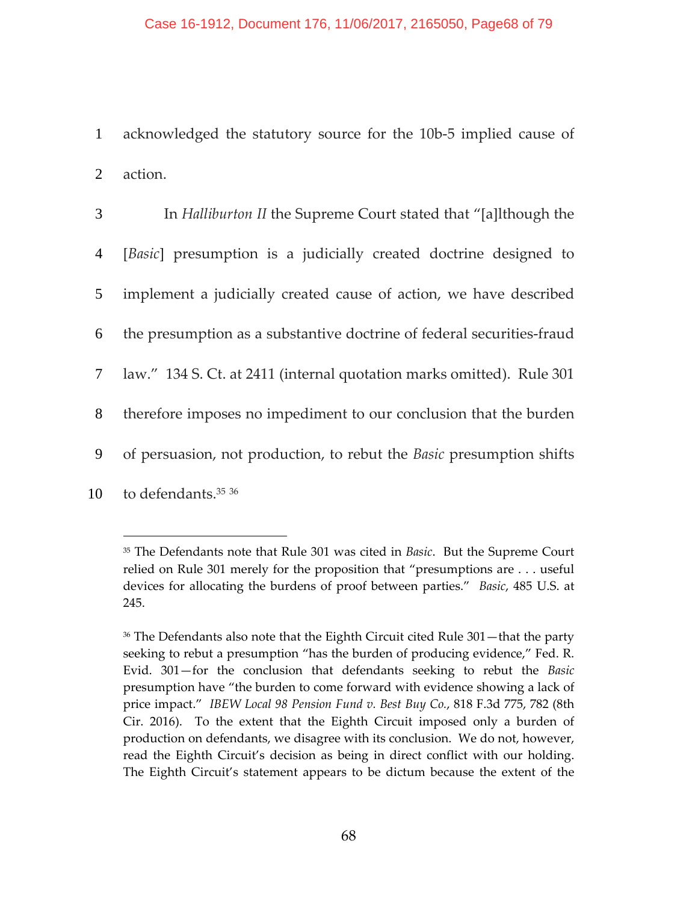1 acknowledged the statutory source for the 10b‐5 implied cause of 2 action.

| 3              | In Halliburton II the Supreme Court stated that "[a]lthough the           |
|----------------|---------------------------------------------------------------------------|
| $\overline{4}$ | [ <i>Basic</i> ] presumption is a judicially created doctrine designed to |
| 5 <sup>5</sup> | implement a judicially created cause of action, we have described         |
| 6              | the presumption as a substantive doctrine of federal securities-fraud     |
|                | 7 law." 134 S. Ct. at 2411 (internal quotation marks omitted). Rule 301   |
| 8              | therefore imposes no impediment to our conclusion that the burden         |
| 9              | of persuasion, not production, to rebut the Basic presumption shifts      |
| 10             | to defendants. <sup>35</sup> 36                                           |

<sup>35</sup> The Defendants note that Rule 301 was cited in *Basic*. But the Supreme Court relied on Rule 301 merely for the proposition that "presumptions are . . . useful devices for allocating the burdens of proof between parties." *Basic*, 485 U.S. at 245.

<sup>36</sup> The Defendants also note that the Eighth Circuit cited Rule 301—that the party seeking to rebut a presumption "has the burden of producing evidence," Fed. R. Evid. 301—for the conclusion that defendants seeking to rebut the *Basic* presumption have "the burden to come forward with evidence showing a lack of price impact." *IBEW Local 98 Pension Fund v. Best Buy Co.*, 818 F.3d 775, 782 (8th Cir. 2016). To the extent that the Eighth Circuit imposed only a burden of production on defendants, we disagree with its conclusion. We do not, however, read the Eighth Circuit's decision as being in direct conflict with our holding. The Eighth Circuit's statement appears to be dictum because the extent of the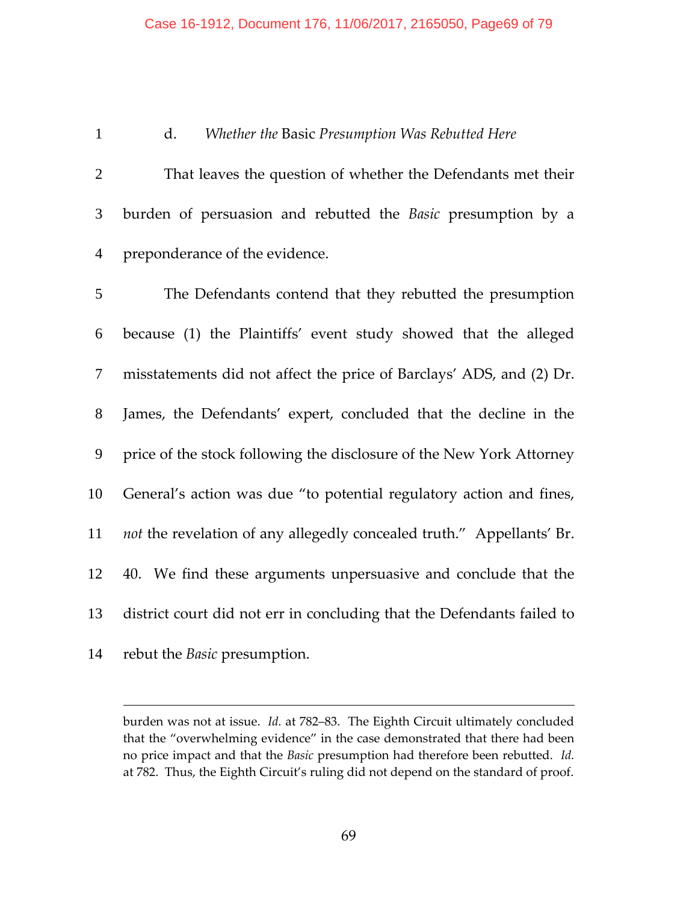#### Case 16-1912, Document 176, 11/06/2017, 2165050, Page69 of 79

### d. *Whether the* Basic *Presumption Was Rebutted Here*

That leaves the question of whether the Defendants met their burden of persuasion and rebutted the *Basic* presumption by a preponderance of the evidence.

The Defendants contend that they rebutted the presumption because (1) the Plaintiffs' event study showed that the alleged misstatements did not affect the price of Barclays' ADS, and (2) Dr. James, the Defendants' expert, concluded that the decline in the price of the stock following the disclosure of the New York Attorney General's action was due "to potential regulatory action and fines, *not* the revelation of any allegedly concealed truth." Appellants' Br. 40. We find these arguments unpersuasive and conclude that the district court did not err in concluding that the Defendants failed to rebut the *Basic* presumption.

burden was not at issue. *Id.* at 782–83. The Eighth Circuit ultimately concluded that the "overwhelming evidence" in the case demonstrated that there had been no price impact and that the *Basic* presumption had therefore been rebutted. *Id.* at 782. Thus, the Eighth Circuit's ruling did not depend on the standard of proof.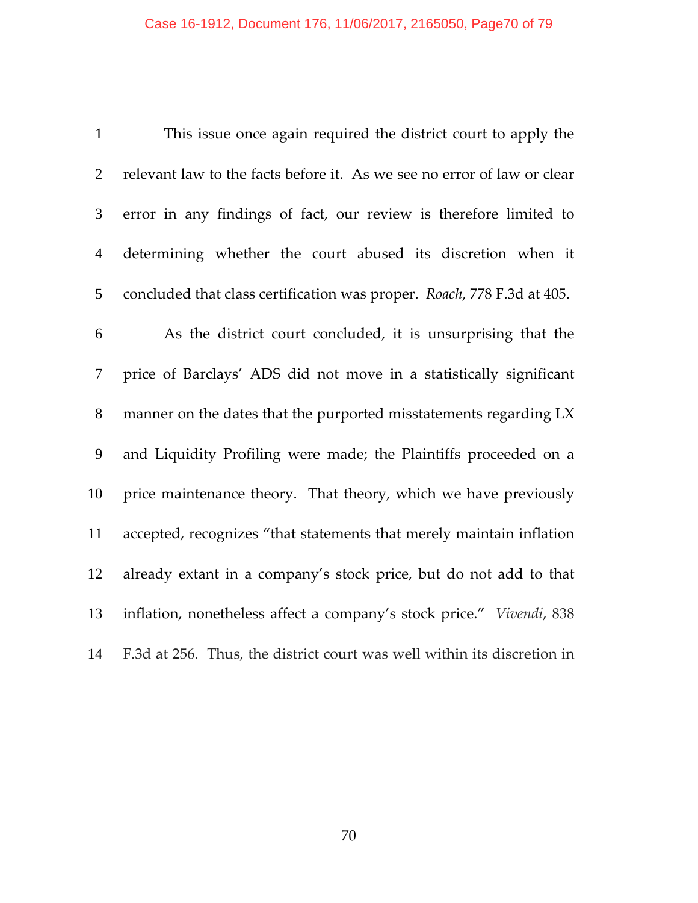| $\mathbf{1}$   | This issue once again required the district court to apply the          |
|----------------|-------------------------------------------------------------------------|
| $\overline{2}$ | relevant law to the facts before it. As we see no error of law or clear |
| 3              | error in any findings of fact, our review is therefore limited to       |
| $\overline{4}$ | determining whether the court abused its discretion when it             |
| 5              | concluded that class certification was proper. Roach, 778 F.3d at 405.  |
| 6              | As the district court concluded, it is unsurprising that the            |
| 7              | price of Barclays' ADS did not move in a statistically significant      |
| $8\,$          | manner on the dates that the purported misstatements regarding LX       |
| 9              | and Liquidity Profiling were made; the Plaintiffs proceeded on a        |
| 10             | price maintenance theory. That theory, which we have previously         |
| 11             | accepted, recognizes "that statements that merely maintain inflation    |
| 12             | already extant in a company's stock price, but do not add to that       |
| 13             | inflation, nonetheless affect a company's stock price." Vivendi, 838    |
| 14             | F.3d at 256. Thus, the district court was well within its discretion in |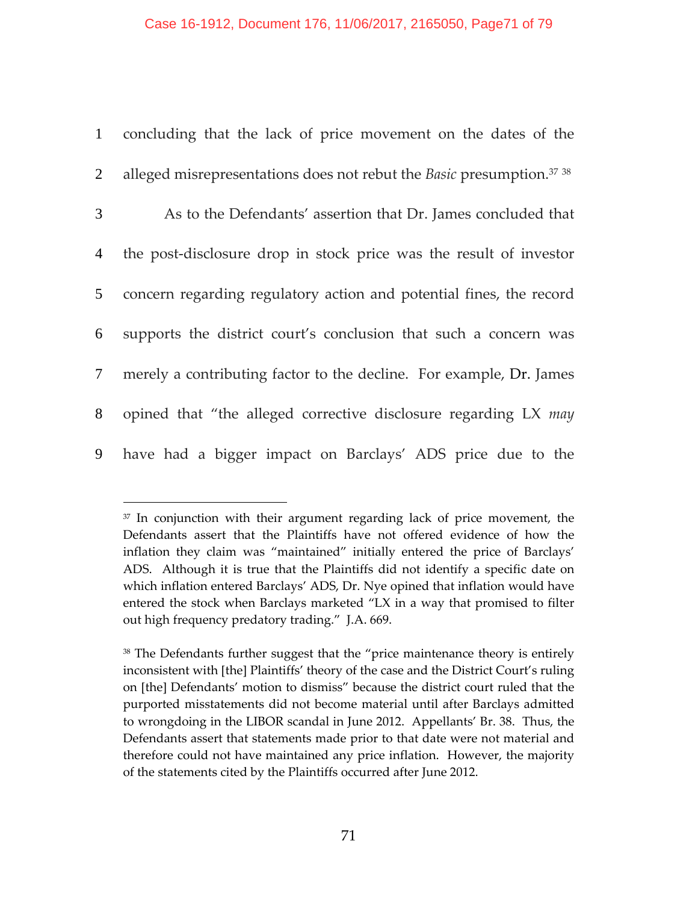| 1               | concluding that the lack of price movement on the dates of the                    |
|-----------------|-----------------------------------------------------------------------------------|
| $\overline{2}$  | alleged misrepresentations does not rebut the Basic presumption. <sup>37</sup> 38 |
| $\mathfrak{Z}$  | As to the Defendants' assertion that Dr. James concluded that                     |
| $\overline{4}$  | the post-disclosure drop in stock price was the result of investor                |
| 5 <sup>5</sup>  | concern regarding regulatory action and potential fines, the record               |
| 6               | supports the district court's conclusion that such a concern was                  |
| $7\overline{ }$ | merely a contributing factor to the decline. For example, Dr. James               |
| 8               | opined that "the alleged corrective disclosure regarding LX may                   |
| 9               | have had a bigger impact on Barclays' ADS price due to the                        |

 $37$  In conjunction with their argument regarding lack of price movement, the Defendants assert that the Plaintiffs have not offered evidence of how the inflation they claim was "maintained" initially entered the price of Barclays' ADS. Although it is true that the Plaintiffs did not identify a specific date on which inflation entered Barclays' ADS, Dr. Nye opined that inflation would have entered the stock when Barclays marketed "LX in a way that promised to filter out high frequency predatory trading." J.A. 669.

<sup>38</sup> The Defendants further suggest that the "price maintenance theory is entirely inconsistent with [the] Plaintiffs' theory of the case and the District Court's ruling on [the] Defendants' motion to dismiss" because the district court ruled that the purported misstatements did not become material until after Barclays admitted to wrongdoing in the LIBOR scandal in June 2012. Appellants' Br. 38. Thus, the Defendants assert that statements made prior to that date were not material and therefore could not have maintained any price inflation. However, the majority of the statements cited by the Plaintiffs occurred after June 2012.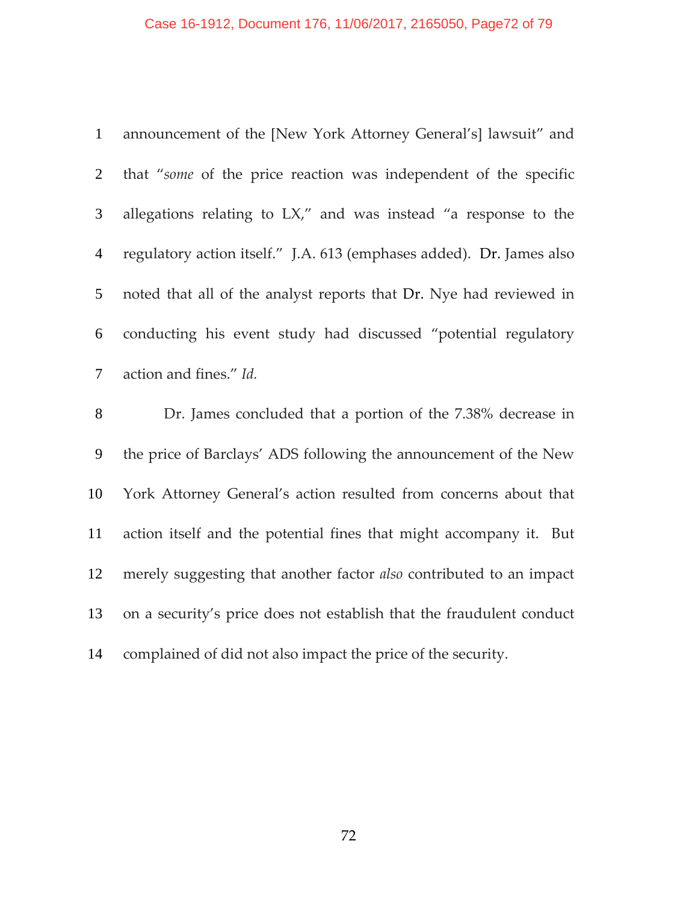# Case 16-1912, Document 176, 11/06/2017, 2165050, Page72 of 79

| $\mathbf{1}$   | announcement of the [New York Attorney General's] lawsuit" and       |
|----------------|----------------------------------------------------------------------|
| $\overline{2}$ | that "some of the price reaction was independent of the specific     |
| 3              | allegations relating to LX," and was instead "a response to the      |
| $\overline{4}$ | regulatory action itself." J.A. 613 (emphases added). Dr. James also |
| 5              | noted that all of the analyst reports that Dr. Nye had reviewed in   |
| 6              | conducting his event study had discussed "potential regulatory       |
| 7              | action and fines." Id.                                               |
|                |                                                                      |
| 8              | Dr. James concluded that a portion of the 7.38% decrease in          |
| 9              | the price of Barclays' ADS following the announcement of the New     |
| 10             | York Attorney General's action resulted from concerns about that     |
| 11             | action itself and the potential fines that might accompany it. But   |
| 12             | merely suggesting that another factor also contributed to an impact  |
| 13             | on a security's price does not establish that the fraudulent conduct |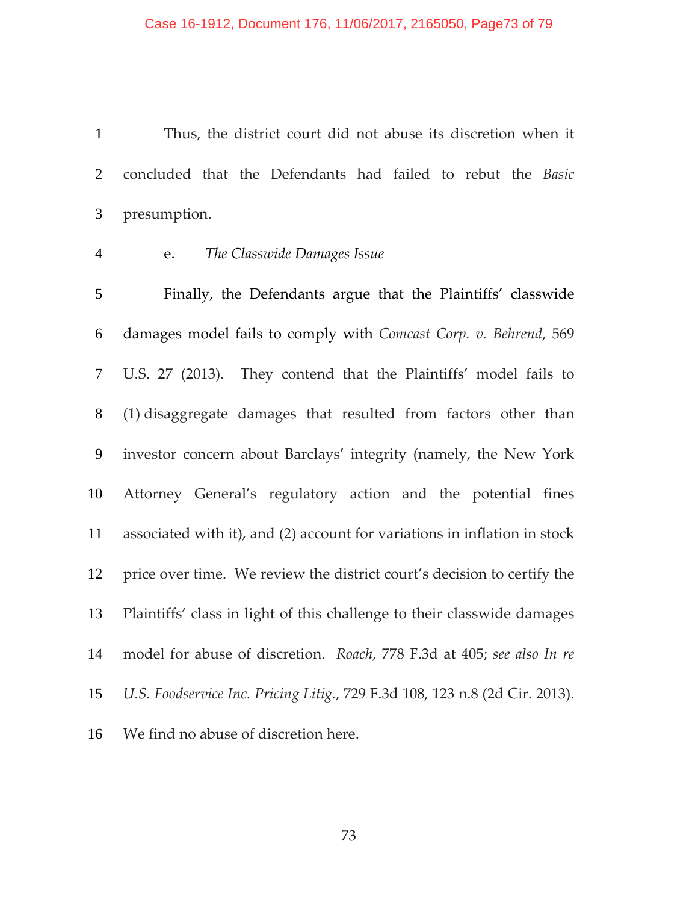Thus, the district court did not abuse its discretion when it concluded that the Defendants had failed to rebut the *Basic* presumption.

### e. *The Classwide Damages Issue*

Finally, the Defendants argue that the Plaintiffs' classwide damages model fails to comply with *Comcast Corp. v. Behrend*, 569 U.S. 27 (2013). They contend that the Plaintiffs' model fails to (1) disaggregate damages that resulted from factors other than investor concern about Barclays' integrity (namely, the New York Attorney General's regulatory action and the potential fines associated with it), and (2) account for variations in inflation in stock price over time. We review the district court's decision to certify the Plaintiffs' class in light of this challenge to their classwide damages model for abuse of discretion. *Roach*, 778 F.3d at 405; *see also In re U.S. Foodservice Inc. Pricing Litig.*, 729 F.3d 108, 123 n.8 (2d Cir. 2013). We find no abuse of discretion here.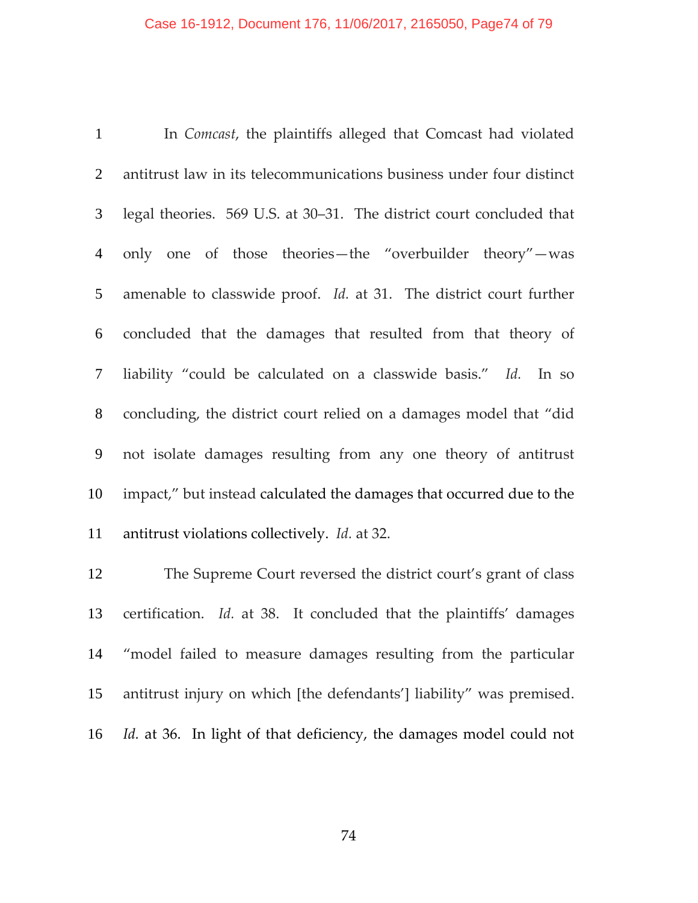#### Case 16-1912, Document 176, 11/06/2017, 2165050, Page74 of 79

In *Comcast*, the plaintiffs alleged that Comcast had violated antitrust law in its telecommunications business under four distinct legal theories. 569 U.S. at 30–31. The district court concluded that only one of those theories—the "overbuilder theory"—was 5 amenable to classwide proof. *Id.* at 31. The district court further concluded that the damages that resulted from that theory of liability "could be calculated on a classwide basis." *Id.* In so concluding, the district court relied on a damages model that "did not isolate damages resulting from any one theory of antitrust impact," but instead calculated the damages that occurred due to the antitrust violations collectively. *Id.* at 32.

The Supreme Court reversed the district court's grant of class certification. *Id.* at 38. It concluded that the plaintiffs' damages "model failed to measure damages resulting from the particular antitrust injury on which [the defendants'] liability" was premised. *Id.* at 36. In light of that deficiency, the damages model could not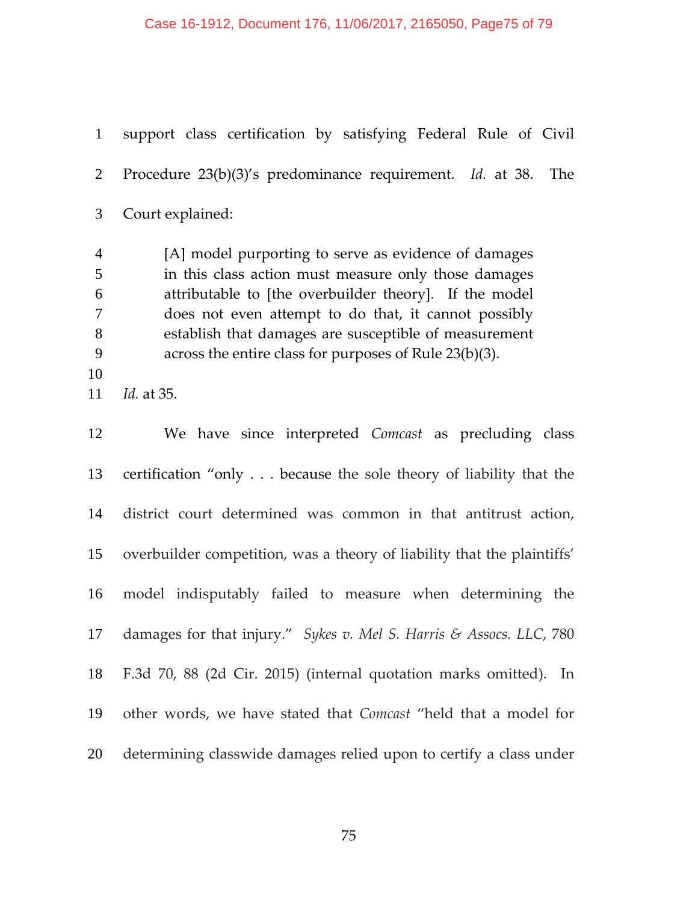support class certification by satisfying Federal Rule of Civil Procedure 23(b)(3)'s predominance requirement. *Id.* at 38. The Court explained: [A] model purporting to serve as evidence of damages in this class action must measure only those damages attributable to [the overbuilder theory]. If the model does not even attempt to do that, it cannot possibly establish that damages are susceptible of measurement across the entire class for purposes of Rule 23(b)(3). *Id.* at 35. We have since interpreted *Comcast* as precluding class

certification "only . . . because the sole theory of liability that the district court determined was common in that antitrust action, overbuilder competition, was a theory of liability that the plaintiffs' model indisputably failed to measure when determining the damages for that injury." *Sykes v. Mel S. Harris & Assocs. LLC*, 780 F.3d 70, 88 (2d Cir. 2015) (internal quotation marks omitted). In other words, we have stated that *Comcast* "held that a model for determining classwide damages relied upon to certify a class under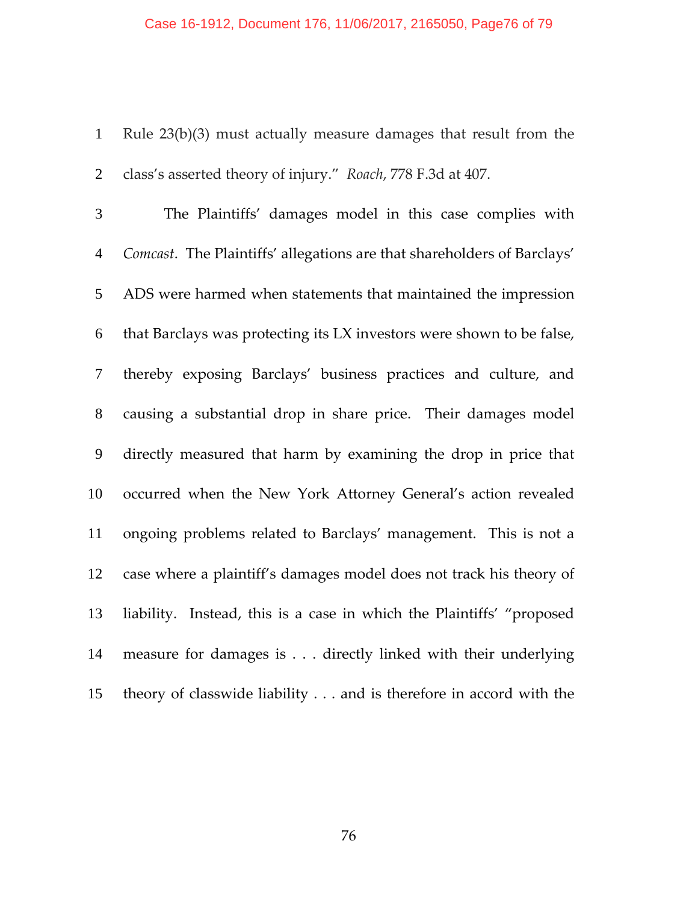Rule 23(b)(3) must actually measure damages that result from the class's asserted theory of injury." *Roach*, 778 F.3d at 407.

The Plaintiffs' damages model in this case complies with *Comcast*. The Plaintiffs' allegations are that shareholders of Barclays' ADS were harmed when statements that maintained the impression that Barclays was protecting its LX investors were shown to be false, thereby exposing Barclays' business practices and culture, and causing a substantial drop in share price. Their damages model directly measured that harm by examining the drop in price that occurred when the New York Attorney General's action revealed ongoing problems related to Barclays' management. This is not a case where a plaintiff's damages model does not track his theory of liability. Instead, this is a case in which the Plaintiffs' "proposed measure for damages is . . . directly linked with their underlying theory of classwide liability . . . and is therefore in accord with the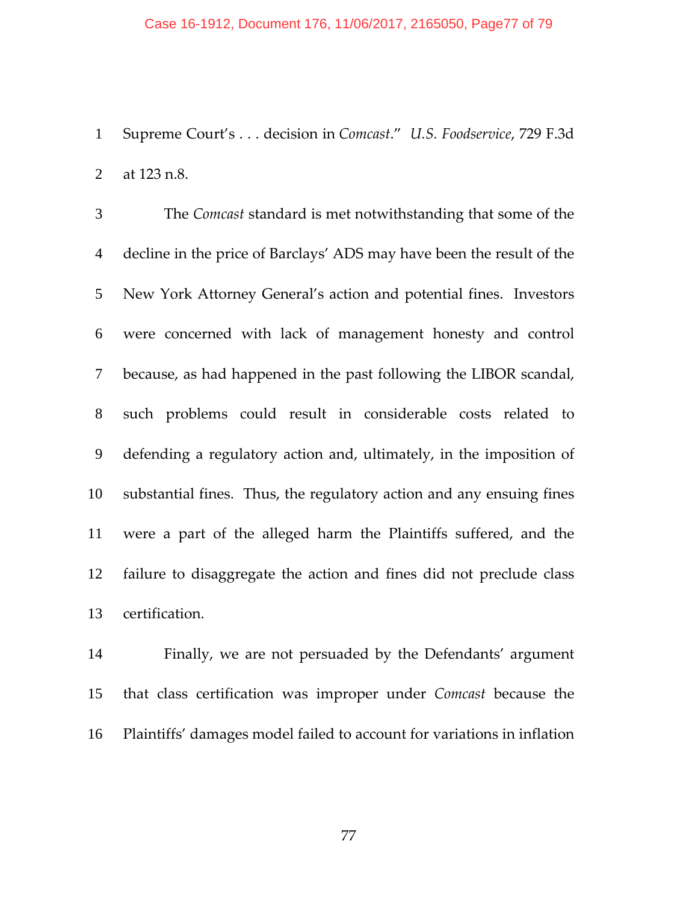#### Case 16-1912, Document 176, 11/06/2017, 2165050, Page77 of 79

Supreme Court's . . . decision in *Comcast*." *U.S. Foodservice*, 729 F.3d at 123 n.8.

The *Comcast* standard is met notwithstanding that some of the decline in the price of Barclays' ADS may have been the result of the New York Attorney General's action and potential fines. Investors were concerned with lack of management honesty and control because, as had happened in the past following the LIBOR scandal, such problems could result in considerable costs related to defending a regulatory action and, ultimately, in the imposition of substantial fines. Thus, the regulatory action and any ensuing fines were a part of the alleged harm the Plaintiffs suffered, and the failure to disaggregate the action and fines did not preclude class certification.

Finally, we are not persuaded by the Defendants' argument that class certification was improper under *Comcast* because the Plaintiffs' damages model failed to account for variations in inflation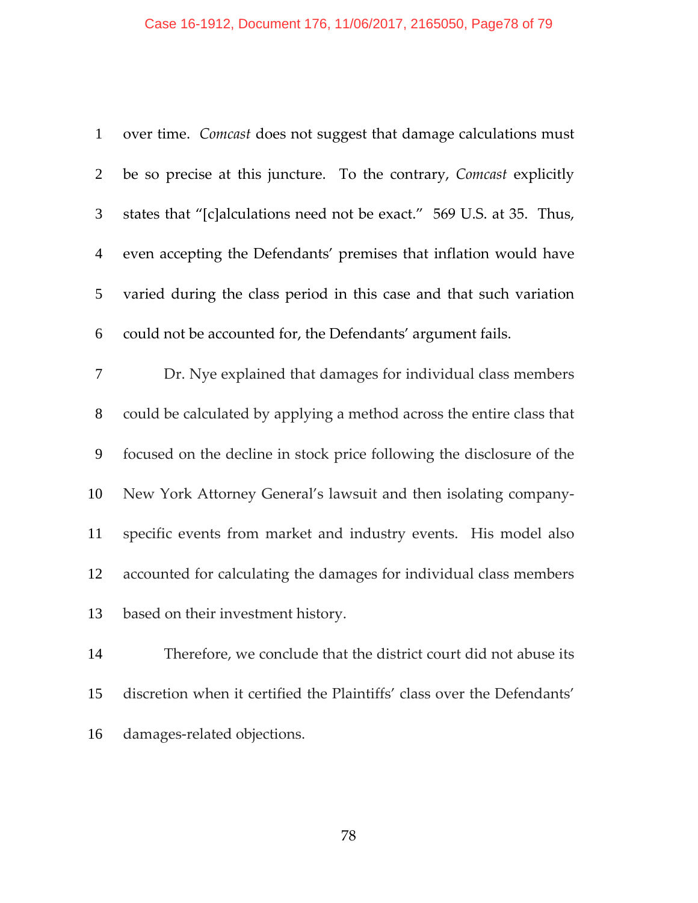## Case 16-1912, Document 176, 11/06/2017, 2165050, Page78 of 79

| $\mathbf{1}$   | over time. Comcast does not suggest that damage calculations must       |
|----------------|-------------------------------------------------------------------------|
| $\overline{2}$ | be so precise at this juncture. To the contrary, Comcast explicitly     |
| $\mathfrak{Z}$ | states that "[c]alculations need not be exact." 569 U.S. at 35. Thus,   |
| $\overline{4}$ | even accepting the Defendants' premises that inflation would have       |
| 5              | varied during the class period in this case and that such variation     |
| 6              | could not be accounted for, the Defendants' argument fails.             |
| 7              | Dr. Nye explained that damages for individual class members             |
| $8\,$          | could be calculated by applying a method across the entire class that   |
| 9              | focused on the decline in stock price following the disclosure of the   |
| 10             | New York Attorney General's lawsuit and then isolating company-         |
| 11             | specific events from market and industry events. His model also         |
| 12             | accounted for calculating the damages for individual class members      |
| 13             | based on their investment history.                                      |
| 14             | Therefore, we conclude that the district court did not abuse its        |
| 15             | discretion when it certified the Plaintiffs' class over the Defendants' |
| 16             | damages-related objections.                                             |